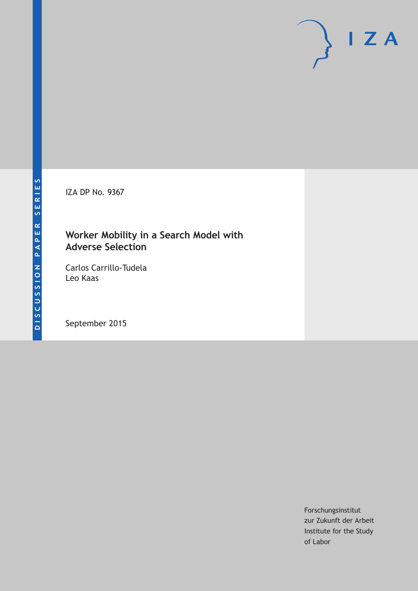IZA DP No. 9367

## **Worker Mobility in a Search Model with Adverse Selection**

Carlos Carrillo-Tudela Leo Kaas

September 2015

Forschungsinstitut zur Zukunft der Arbeit Institute for the Study of Labor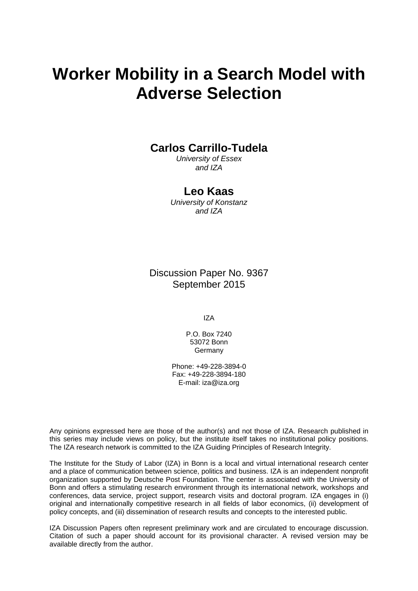# **Worker Mobility in a Search Model with Adverse Selection**

## **Carlos Carrillo-Tudela**

*University of Essex and IZA* 

## **Leo Kaas**

*University of Konstanz and IZA* 

Discussion Paper No. 9367 September 2015

IZA

P.O. Box 7240 53072 Bonn Germany

Phone: +49-228-3894-0 Fax: +49-228-3894-180 E-mail: iza@iza.org

Any opinions expressed here are those of the author(s) and not those of IZA. Research published in this series may include views on policy, but the institute itself takes no institutional policy positions. The IZA research network is committed to the IZA Guiding Principles of Research Integrity.

The Institute for the Study of Labor (IZA) in Bonn is a local and virtual international research center and a place of communication between science, politics and business. IZA is an independent nonprofit organization supported by Deutsche Post Foundation. The center is associated with the University of Bonn and offers a stimulating research environment through its international network, workshops and conferences, data service, project support, research visits and doctoral program. IZA engages in (i) original and internationally competitive research in all fields of labor economics, (ii) development of policy concepts, and (iii) dissemination of research results and concepts to the interested public.

IZA Discussion Papers often represent preliminary work and are circulated to encourage discussion. Citation of such a paper should account for its provisional character. A revised version may be available directly from the author.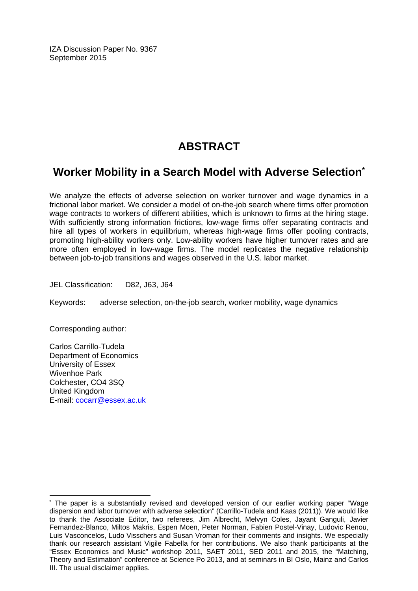IZA Discussion Paper No. 9367 September 2015

## **ABSTRACT**

## **Worker Mobility in a Search Model with Adverse Selection\***

We analyze the effects of adverse selection on worker turnover and wage dynamics in a frictional labor market. We consider a model of on-the-job search where firms offer promotion wage contracts to workers of different abilities, which is unknown to firms at the hiring stage. With sufficiently strong information frictions, low-wage firms offer separating contracts and hire all types of workers in equilibrium, whereas high-wage firms offer pooling contracts, promoting high-ability workers only. Low-ability workers have higher turnover rates and are more often employed in low-wage firms. The model replicates the negative relationship between job-to-job transitions and wages observed in the U.S. labor market.

JEL Classification: D82, J63, J64

Keywords: adverse selection, on-the-job search, worker mobility, wage dynamics

Corresponding author:

 $\overline{\phantom{a}}$ 

Carlos Carrillo-Tudela Department of Economics University of Essex Wivenhoe Park Colchester, CO4 3SQ United Kingdom E-mail: cocarr@essex.ac.uk

<sup>\*</sup> The paper is a substantially revised and developed version of our earlier working paper "Wage dispersion and labor turnover with adverse selection" (Carrillo-Tudela and Kaas (2011)). We would like to thank the Associate Editor, two referees, Jim Albrecht, Melvyn Coles, Jayant Ganguli, Javier Fernandez-Blanco, Miltos Makris, Espen Moen, Peter Norman, Fabien Postel-Vinay, Ludovic Renou, Luis Vasconcelos, Ludo Visschers and Susan Vroman for their comments and insights. We especially thank our research assistant Vigile Fabella for her contributions. We also thank participants at the "Essex Economics and Music" workshop 2011, SAET 2011, SED 2011 and 2015, the "Matching, Theory and Estimation" conference at Science Po 2013, and at seminars in BI Oslo, Mainz and Carlos III. The usual disclaimer applies.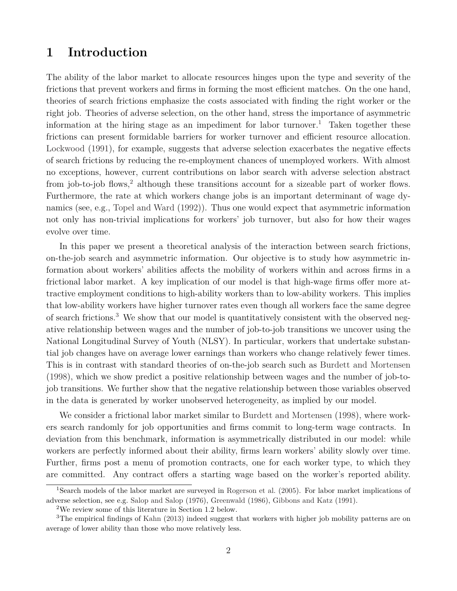## **1 Introduction**

The ability of the labor market to allocate resources hinges upon the type and severity of the frictions that prevent workers and firms in forming the most efficient matches. On the one hand, theories of search frictions emphasize the costs associated with finding the right worker or the right job. Theories of adverse selection, on the other hand, stress the importance of asymmetric information at the hiring stage as an impediment for labor turnover.<sup>[1](#page-3-0)</sup> Taken together these frictions can present formidable barriers for worker turnover and efficient resource allocation. [Lockwood](#page-34-0) [\(1991\)](#page-34-0), for example, suggests that adverse selection exacerbates the negative effects of search frictions by reducing the re-employment chances of unemployed workers. With almost no exceptions, however, current contributions on labor search with adverse selection abstract from job-to-job flows,<sup>[2](#page-3-1)</sup> although these transitions account for a sizeable part of worker flows. Furthermore, the rate at which workers change jobs is an important determinant of wage dynamics (see, e.g., [Topel and Ward](#page-35-0) [\(1992\)](#page-35-0)). Thus one would expect that asymmetric information not only has non-trivial implications for workers' job turnover, but also for how their wages evolve over time.

In this paper we present a theoretical analysis of the interaction between search frictions, on-the-job search and asymmetric information. Our objective is to study how asymmetric information about workers' abilities affects the mobility of workers within and across firms in a frictional labor market. A key implication of our model is that high-wage firms offer more attractive employment conditions to high-ability workers than to low-ability workers. This implies that low-ability workers have higher turnover rates even though all workers face the same degree of search frictions.<sup>[3](#page-3-2)</sup> We show that our model is quantitatively consistent with the observed negative relationship between wages and the number of job-to-job transitions we uncover using the National Longitudinal Survey of Youth (NLSY). In particular, workers that undertake substantial job changes have on average lower earnings than workers who change relatively fewer times. This is in contrast with standard theories of on-the-job search such as [Burdett and Mortensen](#page-32-0) [\(1998\)](#page-32-0), which we show predict a positive relationship between wages and the number of job-tojob transitions. We further show that the negative relationship between those variables observed in the data is generated by worker unobserved heterogeneity, as implied by our model.

We consider a frictional labor market similar to [Burdett and Mortensen](#page-32-0) [\(1998\)](#page-32-0), where workers search randomly for job opportunities and firms commit to long-term wage contracts. In deviation from this benchmark, information is asymmetrically distributed in our model: while workers are perfectly informed about their ability, firms learn workers' ability slowly over time. Further, firms post a menu of promotion contracts, one for each worker type, to which they are committed. Any contract offers a starting wage based on the worker's reported ability.

<span id="page-3-0"></span><sup>1</sup>Search models of the labor market are surveyed in [Rogerson et al.](#page-35-1) [\(2005\)](#page-35-1). For labor market implications of adverse selection, see e.g. [Salop and Salop](#page-35-2) [\(1976\)](#page-35-2), [Greenwald](#page-33-0) [\(1986\)](#page-33-0), [Gibbons and Katz](#page-33-1) [\(1991\)](#page-33-1).

<span id="page-3-2"></span><span id="page-3-1"></span><sup>2</sup>We review some of this literature in Section 1.2 below.

<sup>&</sup>lt;sup>3</sup>The empirical findings of [Kahn](#page-33-2) [\(2013\)](#page-33-2) indeed suggest that workers with higher job mobility patterns are on average of lower ability than those who move relatively less.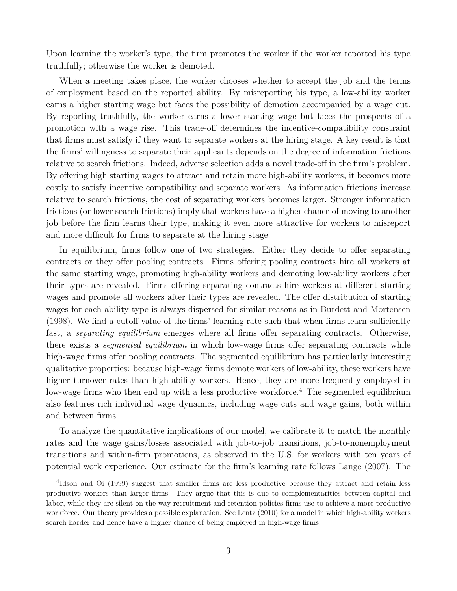Upon learning the worker's type, the firm promotes the worker if the worker reported his type truthfully; otherwise the worker is demoted.

When a meeting takes place, the worker chooses whether to accept the job and the terms of employment based on the reported ability. By misreporting his type, a low-ability worker earns a higher starting wage but faces the possibility of demotion accompanied by a wage cut. By reporting truthfully, the worker earns a lower starting wage but faces the prospects of a promotion with a wage rise. This trade-off determines the incentive-compatibility constraint that firms must satisfy if they want to separate workers at the hiring stage. A key result is that the firms' willingness to separate their applicants depends on the degree of information frictions relative to search frictions. Indeed, adverse selection adds a novel trade-off in the firm's problem. By offering high starting wages to attract and retain more high-ability workers, it becomes more costly to satisfy incentive compatibility and separate workers. As information frictions increase relative to search frictions, the cost of separating workers becomes larger. Stronger information frictions (or lower search frictions) imply that workers have a higher chance of moving to another job before the firm learns their type, making it even more attractive for workers to misreport and more difficult for firms to separate at the hiring stage.

In equilibrium, firms follow one of two strategies. Either they decide to offer separating contracts or they offer pooling contracts. Firms offering pooling contracts hire all workers at the same starting wage, promoting high-ability workers and demoting low-ability workers after their types are revealed. Firms offering separating contracts hire workers at different starting wages and promote all workers after their types are revealed. The offer distribution of starting wages for each ability type is always dispersed for similar reasons as in [Burdett and Mortensen](#page-32-0) [\(1998\)](#page-32-0). We find a cutoff value of the firms' learning rate such that when firms learn sufficiently fast, a *separating equilibrium* emerges where all firms offer separating contracts. Otherwise, there exists a *segmented equilibrium* in which low-wage firms offer separating contracts while high-wage firms offer pooling contracts. The segmented equilibrium has particularly interesting qualitative properties: because high-wage firms demote workers of low-ability, these workers have higher turnover rates than high-ability workers. Hence, they are more frequently employed in low-wage firms who then end up with a less productive workforce.<sup>[4](#page-4-0)</sup> The segmented equilibrium also features rich individual wage dynamics, including wage cuts and wage gains, both within and between firms.

To analyze the quantitative implications of our model, we calibrate it to match the monthly rates and the wage gains/losses associated with job-to-job transitions, job-to-nonemployment transitions and within-firm promotions, as observed in the U.S. for workers with ten years of potential work experience. Our estimate for the firm's learning rate follows [Lange](#page-34-1) [\(2007\)](#page-34-1). The

<span id="page-4-0"></span><sup>&</sup>lt;sup>4</sup>[Idson and Oi](#page-33-3) [\(1999\)](#page-33-3) suggest that smaller firms are less productive because they attract and retain less productive workers than larger firms. They argue that this is due to complementarities between capital and labor, while they are silent on the way recruitment and retention policies firms use to achieve a more productive workforce. Our theory provides a possible explanation. See [Lentz](#page-34-2) [\(2010\)](#page-34-2) for a model in which high-ability workers search harder and hence have a higher chance of being employed in high-wage firms.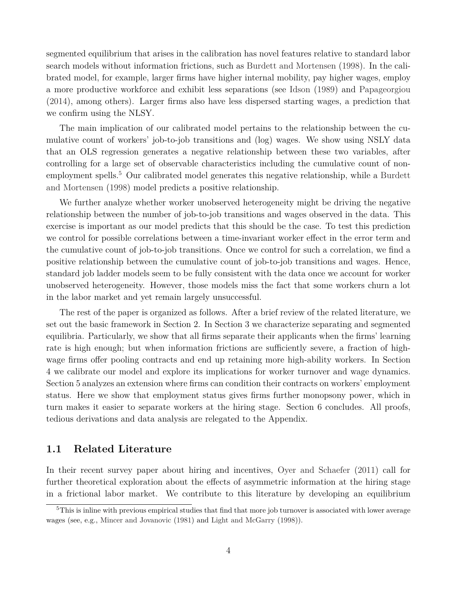segmented equilibrium that arises in the calibration has novel features relative to standard labor search models without information frictions, such as [Burdett and Mortensen](#page-32-0) [\(1998\)](#page-32-0). In the calibrated model, for example, larger firms have higher internal mobility, pay higher wages, employ a more productive workforce and exhibit less separations (see [Idson](#page-33-4) [\(1989\)](#page-33-4) and [Papageorgiou](#page-34-3) [\(2014\)](#page-34-3), among others). Larger firms also have less dispersed starting wages, a prediction that we confirm using the NLSY.

The main implication of our calibrated model pertains to the relationship between the cumulative count of workers' job-to-job transitions and (log) wages. We show using NSLY data that an OLS regression generates a negative relationship between these two variables, after controlling for a large set of observable characteristics including the cumulative count of non-employment spells.<sup>[5](#page-5-0)</sup> Our calibrated model generates this negative relationship, while a [Burdett](#page-32-0) [and Mortensen](#page-32-0) [\(1998\)](#page-32-0) model predicts a positive relationship.

We further analyze whether worker unobserved heterogeneity might be driving the negative relationship between the number of job-to-job transitions and wages observed in the data. This exercise is important as our model predicts that this should be the case. To test this prediction we control for possible correlations between a time-invariant worker effect in the error term and the cumulative count of job-to-job transitions. Once we control for such a correlation, we find a positive relationship between the cumulative count of job-to-job transitions and wages. Hence, standard job ladder models seem to be fully consistent with the data once we account for worker unobserved heterogeneity. However, those models miss the fact that some workers churn a lot in the labor market and yet remain largely unsuccessful.

The rest of the paper is organized as follows. After a brief review of the related literature, we set out the basic framework in Section 2. In Section 3 we characterize separating and segmented equilibria. Particularly, we show that all firms separate their applicants when the firms' learning rate is high enough; but when information frictions are sufficiently severe, a fraction of highwage firms offer pooling contracts and end up retaining more high-ability workers. In Section 4 we calibrate our model and explore its implications for worker turnover and wage dynamics. Section 5 analyzes an extension where firms can condition their contracts on workers' employment status. Here we show that employment status gives firms further monopsony power, which in turn makes it easier to separate workers at the hiring stage. Section 6 concludes. All proofs, tedious derivations and data analysis are relegated to the Appendix.

## **1.1 Related Literature**

In their recent survey paper about hiring and incentives, [Oyer and Schaefer](#page-34-4) [\(2011\)](#page-34-4) call for further theoretical exploration about the effects of asymmetric information at the hiring stage in a frictional labor market. We contribute to this literature by developing an equilibrium

<span id="page-5-0"></span><sup>&</sup>lt;sup>5</sup>This is inline with previous empirical studies that find that more job turnover is associated with lower average wages (see, e.g., [Mincer and Jovanovic](#page-34-5) [\(1981\)](#page-34-5) and [Light and McGarry](#page-34-6) [\(1998\)](#page-34-6)).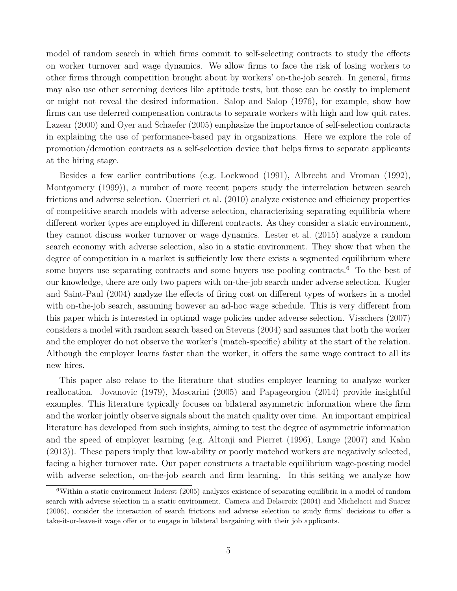model of random search in which firms commit to self-selecting contracts to study the effects on worker turnover and wage dynamics. We allow firms to face the risk of losing workers to other firms through competition brought about by workers' on-the-job search. In general, firms may also use other screening devices like aptitude tests, but those can be costly to implement or might not reveal the desired information. [Salop and Salop](#page-35-2) [\(1976\)](#page-35-2), for example, show how firms can use deferred compensation contracts to separate workers with high and low quit rates. [Lazear](#page-34-7) [\(2000\)](#page-34-7) and [Oyer and Schaefer](#page-34-8) [\(2005\)](#page-34-8) emphasize the importance of self-selection contracts in explaining the use of performance-based pay in organizations. Here we explore the role of promotion/demotion contracts as a self-selection device that helps firms to separate applicants at the hiring stage.

Besides a few earlier contributions (e.g. [Lockwood](#page-34-0) [\(1991\)](#page-34-0), [Albrecht and Vroman](#page-32-1) [\(1992\)](#page-32-1), [Montgomery](#page-34-9) [\(1999\)](#page-34-9)), a number of more recent papers study the interrelation between search frictions and adverse selection. [Guerrieri et al.](#page-33-5) [\(2010\)](#page-33-5) analyze existence and efficiency properties of competitive search models with adverse selection, characterizing separating equilibria where different worker types are employed in different contracts. As they consider a static environment, they cannot discuss worker turnover or wage dynamics. [Lester et al.](#page-34-10) [\(2015\)](#page-34-10) analyze a random search economy with adverse selection, also in a static environment. They show that when the degree of competition in a market is sufficiently low there exists a segmented equilibrium where some buyers use separating contracts and some buyers use pooling contracts.<sup>[6](#page-6-0)</sup> To the best of our knowledge, there are only two papers with on-the-job search under adverse selection. [Kugler](#page-34-11) [and Saint-Paul](#page-34-11) [\(2004\)](#page-34-11) analyze the effects of firing cost on different types of workers in a model with on-the-job search, assuming however an ad-hoc wage schedule. This is very different from this paper which is interested in optimal wage policies under adverse selection. [Visschers](#page-35-3) [\(2007\)](#page-35-3) considers a model with random search based on [Stevens](#page-35-4) [\(2004\)](#page-35-4) and assumes that both the worker and the employer do not observe the worker's (match-specific) ability at the start of the relation. Although the employer learns faster than the worker, it offers the same wage contract to all its new hires.

This paper also relate to the literature that studies employer learning to analyze worker reallocation. [Jovanovic](#page-33-6) [\(1979\)](#page-33-6), [Moscarini](#page-34-12) [\(2005\)](#page-34-12) and [Papageorgiou](#page-34-3) [\(2014\)](#page-34-3) provide insightful examples. This literature typically focuses on bilateral asymmetric information where the firm and the worker jointly observe signals about the match quality over time. An important empirical literature has developed from such insights, aiming to test the degree of asymmetric information and the speed of employer learning (e.g. [Altonji and Pierret](#page-32-2) [\(1996\)](#page-32-2), [Lange](#page-34-1) [\(2007\)](#page-34-1) and [Kahn](#page-33-2) [\(2013\)](#page-33-2)). These papers imply that low-ability or poorly matched workers are negatively selected, facing a higher turnover rate. Our paper constructs a tractable equilibrium wage-posting model with adverse selection, on-the-job search and firm learning. In this setting we analyze how

<span id="page-6-0"></span><sup>6</sup>Within a static environment [Inderst](#page-33-7) [\(2005\)](#page-33-7) analyzes existence of separating equilibria in a model of random search with adverse selection in a static environment. [Camera and Delacroix](#page-32-3) [\(2004\)](#page-32-3) and [Michelacci and Suarez](#page-34-13) [\(2006\)](#page-34-13), consider the interaction of search frictions and adverse selection to study firms' decisions to offer a take-it-or-leave-it wage offer or to engage in bilateral bargaining with their job applicants.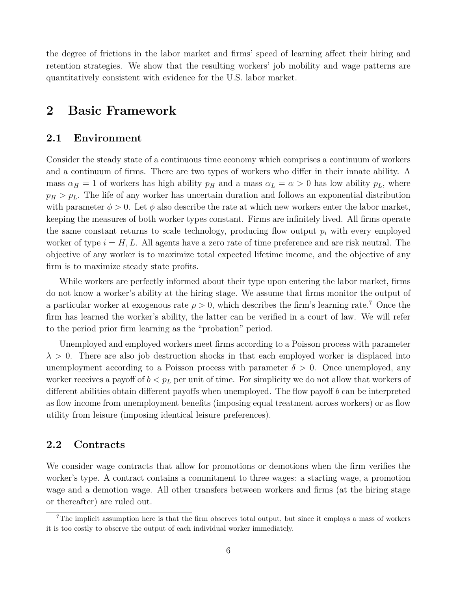the degree of frictions in the labor market and firms' speed of learning affect their hiring and retention strategies. We show that the resulting workers' job mobility and wage patterns are quantitatively consistent with evidence for the U.S. labor market.

## **2 Basic Framework**

### **2.1 Environment**

Consider the steady state of a continuous time economy which comprises a continuum of workers and a continuum of firms. There are two types of workers who differ in their innate ability. A mass  $\alpha_H = 1$  of workers has high ability  $p_H$  and a mass  $\alpha_L = \alpha > 0$  has low ability  $p_L$ , where  $p_H$  *> p<sub>L</sub>*. The life of any worker has uncertain duration and follows an exponential distribution with parameter  $\phi > 0$ . Let  $\phi$  also describe the rate at which new workers enter the labor market, keeping the measures of both worker types constant. Firms are infinitely lived. All firms operate the same constant returns to scale technology, producing flow output  $p_i$  with every employed worker of type  $i = H, L$ . All agents have a zero rate of time preference and are risk neutral. The objective of any worker is to maximize total expected lifetime income, and the objective of any firm is to maximize steady state profits.

While workers are perfectly informed about their type upon entering the labor market, firms do not know a worker's ability at the hiring stage. We assume that firms monitor the output of a particular worker at exogenous rate  $\rho > 0$ , which describes the firm's learning rate.<sup>[7](#page-7-0)</sup> Once the firm has learned the worker's ability, the latter can be verified in a court of law. We will refer to the period prior firm learning as the "probation" period.

Unemployed and employed workers meet firms according to a Poisson process with parameter *λ >* 0. There are also job destruction shocks in that each employed worker is displaced into unemployment according to a Poisson process with parameter  $\delta > 0$ . Once unemployed, any worker receives a payoff of  $b < p_L$  per unit of time. For simplicity we do not allow that workers of different abilities obtain different payoffs when unemployed. The flow payoff *b* can be interpreted as flow income from unemployment benefits (imposing equal treatment across workers) or as flow utility from leisure (imposing identical leisure preferences).

## **2.2 Contracts**

We consider wage contracts that allow for promotions or demotions when the firm verifies the worker's type. A contract contains a commitment to three wages: a starting wage, a promotion wage and a demotion wage. All other transfers between workers and firms (at the hiring stage or thereafter) are ruled out.

<span id="page-7-0"></span><sup>7</sup>The implicit assumption here is that the firm observes total output, but since it employs a mass of workers it is too costly to observe the output of each individual worker immediately.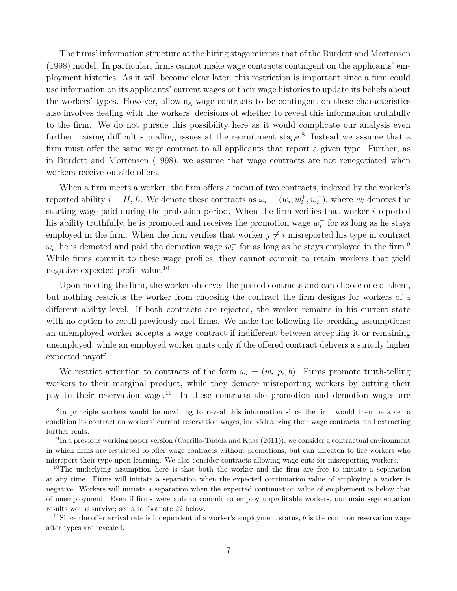The firms' information structure at the hiring stage mirrors that of the [Burdett and Mortensen](#page-32-0) [\(1998\)](#page-32-0) model. In particular, firms cannot make wage contracts contingent on the applicants' employment histories. As it will become clear later, this restriction is important since a firm could use information on its applicants' current wages or their wage histories to update its beliefs about the workers' types. However, allowing wage contracts to be contingent on these characteristics also involves dealing with the workers' decisions of whether to reveal this information truthfully to the firm. We do not pursue this possibility here as it would complicate our analysis even further, raising difficult signalling issues at the recruitment stage.<sup>[8](#page-8-0)</sup> Instead we assume that a firm must offer the same wage contract to all applicants that report a given type. Further, as in [Burdett and Mortensen](#page-32-0) [\(1998\)](#page-32-0), we assume that wage contracts are not renegotiated when workers receive outside offers.

When a firm meets a worker, the firm offers a menu of two contracts, indexed by the worker's reported ability  $i = H, L$ . We denote these contracts as  $\omega_i = (w_i, w_i^+, w_i^-)$ , where  $w_i$  denotes the starting wage paid during the probation period. When the firm verifies that worker *i* reported his ability truthfully, he is promoted and receives the promotion wage  $w_i^+$  for as long as he stays employed in the firm. When the firm verifies that worker  $j \neq i$  misreported his type in contract  $\omega_i$ , he is demoted and paid the demotion wage  $w_i^-$  for as long as he stays employed in the firm.<sup>[9](#page-8-1)</sup> While firms commit to these wage profiles, they cannot commit to retain workers that yield negative expected profit value.[10](#page-8-2)

Upon meeting the firm, the worker observes the posted contracts and can choose one of them, but nothing restricts the worker from choosing the contract the firm designs for workers of a different ability level. If both contracts are rejected, the worker remains in his current state with no option to recall previously met firms. We make the following tie-breaking assumptions: an unemployed worker accepts a wage contract if indifferent between accepting it or remaining unemployed, while an employed worker quits only if the offered contract delivers a strictly higher expected payoff.

We restrict attention to contracts of the form  $\omega_i = (w_i, p_i, b)$ . Firms promote truth-telling workers to their marginal product, while they demote misreporting workers by cutting their pay to their reservation wage.[11](#page-8-3) In these contracts the promotion and demotion wages are

<span id="page-8-3"></span><sup>11</sup>Since the offer arrival rate is independent of a worker's employment status, *b* is the common reservation wage after types are revealed.

<span id="page-8-0"></span><sup>8</sup> In principle workers would be unwilling to reveal this information since the firm would then be able to condition its contract on workers' current reservation wages, individualizing their wage contracts, and extracting further rents.

<span id="page-8-1"></span><sup>&</sup>lt;sup>9</sup>In a previous working paper version [\(Carrillo-Tudela and Kaas](#page-32-4) [\(2011\)](#page-32-4)), we consider a contractual environment in which firms are restricted to offer wage contracts without promotions, but can threaten to fire workers who misreport their type upon learning. We also consider contracts allowing wage cuts for misreporting workers.

<span id="page-8-2"></span><sup>&</sup>lt;sup>10</sup>The underlying assumption here is that both the worker and the firm are free to initiate a separation at any time. Firms will initiate a separation when the expected continuation value of employing a worker is negative. Workers will initiate a separation when the expected continuation value of employment is below that of unemployment. Even if firms were able to commit to employ unprofitable workers, our main segmentation results would survive; see also footnote [22](#page-19-0) below.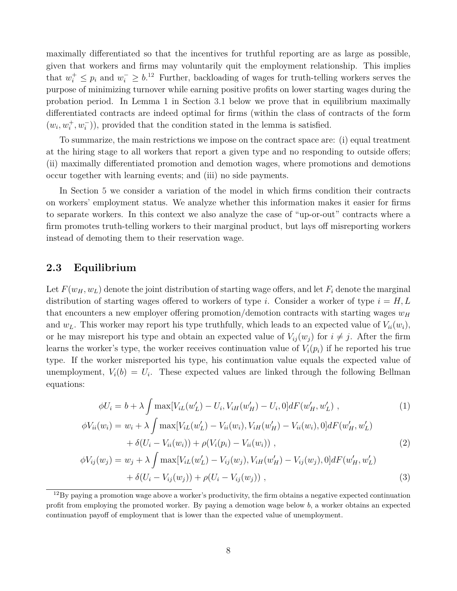maximally differentiated so that the incentives for truthful reporting are as large as possible, given that workers and firms may voluntarily quit the employment relationship. This implies that  $w_i^+ \leq p_i$  and  $w_i^- \geq b$ <sup>[12](#page-9-0)</sup> Further, backloading of wages for truth-telling workers serves the purpose of minimizing turnover while earning positive profits on lower starting wages during the probation period. In Lemma 1 in Section [3.1](#page-11-0) below we prove that in equilibrium maximally differentiated contracts are indeed optimal for firms (within the class of contracts of the form  $(w_i, w_i^+, w_i^-)$ , provided that the condition stated in the lemma is satisfied.

To summarize, the main restrictions we impose on the contract space are: (i) equal treatment at the hiring stage to all workers that report a given type and no responding to outside offers; (ii) maximally differentiated promotion and demotion wages, where promotions and demotions occur together with learning events; and (iii) no side payments.

In Section [5](#page-28-0) we consider a variation of the model in which firms condition their contracts on workers' employment status. We analyze whether this information makes it easier for firms to separate workers. In this context we also analyze the case of "up-or-out" contracts where a firm promotes truth-telling workers to their marginal product, but lays off misreporting workers instead of demoting them to their reservation wage.

### **2.3 Equilibrium**

Let  $F(w_H, w_L)$  denote the joint distribution of starting wage offers, and let  $F_i$  denote the marginal distribution of starting wages offered to workers of type *i*. Consider a worker of type  $i = H, L$ that encounters a new employer offering promotion/demotion contracts with starting wages  $w_H$ and  $w_L$ . This worker may report his type truthfully, which leads to an expected value of  $V_i(w_i)$ , or he may misreport his type and obtain an expected value of  $V_{ij}(w_j)$  for  $i \neq j$ . After the firm learns the worker's type, the worker receives continuation value of  $V_i(p_i)$  if he reported his true type. If the worker misreported his type, his continuation value equals the expected value of unemployment,  $V_i(b) = U_i$ . These expected values are linked through the following Bellman equations:

$$
\phi U_i = b + \lambda \int \max[V_{iL}(w'_L) - U_i, V_{iH}(w'_H) - U_i, 0] dF(w'_H, w'_L) , \qquad (1)
$$

$$
\phi V_{ii}(w_i) = w_i + \lambda \int \max[V_{iL}(w'_L) - V_{ii}(w_i), V_{iH}(w'_H) - V_{ii}(w_i), 0] dF(w'_H, w'_L) + \delta(U_i - V_{ii}(w_i)) + \rho(V_i(p_i) - V_{ii}(w_i)), \phi V_{ij}(w_j) = w_j + \lambda \int \max[V_{iL}(w'_L) - V_{ij}(w_j), V_{iH}(w'_H) - V_{ij}(w_j), 0] dF(w'_H, w'_L)
$$
\n(2)

<span id="page-9-3"></span><span id="page-9-2"></span><span id="page-9-1"></span>
$$
+\,\delta(U_i - V_{ij}(w_j)) + \rho(U_i - V_{ij}(w_j))\,,\tag{3}
$$

<span id="page-9-0"></span> $12\text{By paying a promotion wage above a worker's productivity, the firm obtains a negative expected continuation.}$ profit from employing the promoted worker. By paying a demotion wage below *b*, a worker obtains an expected continuation payoff of employment that is lower than the expected value of unemployment.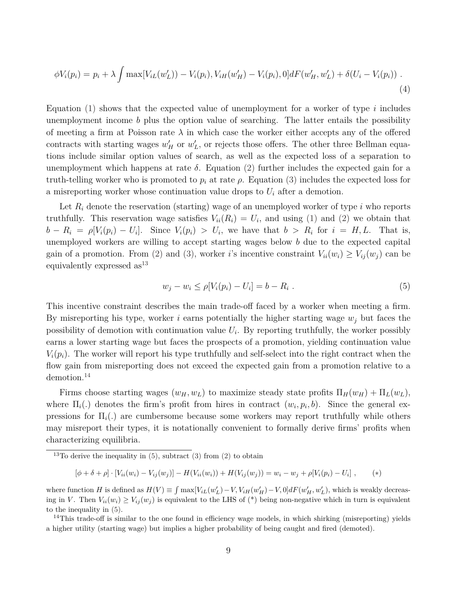$$
\phi V_i(p_i) = p_i + \lambda \int \max[V_{iL}(w'_L)) - V_i(p_i), V_{iH}(w'_H) - V_i(p_i), 0] dF(w'_H, w'_L) + \delta(U_i - V_i(p_i))
$$
\n(4)

Equation [\(1\)](#page-9-1) shows that the expected value of unemployment for a worker of type *i* includes unemployment income *b* plus the option value of searching. The latter entails the possibility of meeting a firm at Poisson rate  $\lambda$  in which case the worker either accepts any of the offered contracts with starting wages  $w'_H$  or  $w'_L$ , or rejects those offers. The other three Bellman equations include similar option values of search, as well as the expected loss of a separation to unemployment which happens at rate  $\delta$ . Equation [\(2\)](#page-9-2) further includes the expected gain for a truth-telling worker who is promoted to  $p_i$  at rate  $\rho$ . Equation [\(3\)](#page-9-3) includes the expected loss for a misreporting worker whose continuation value drops to *U<sup>i</sup>* after a demotion.

Let *R<sup>i</sup>* denote the reservation (starting) wage of an unemployed worker of type *i* who reports truthfully. This reservation wage satisfies  $V_{ii}(R_i) = U_i$ , and using [\(1\)](#page-9-1) and [\(2\)](#page-9-2) we obtain that  $b - R_i = \rho[V_i(p_i) - U_i]$ . Since  $V_i(p_i) > U_i$ , we have that  $b > R_i$  for  $i = H, L$ . That is, unemployed workers are willing to accept starting wages below *b* due to the expected capital gain of a promotion. From [\(2\)](#page-9-2) and [\(3\),](#page-9-3) worker *i*'s incentive constraint  $V_{ii}(w_i) \geq V_{ij}(w_j)$  can be equivalently expressed  $as<sup>13</sup>$  $as<sup>13</sup>$  $as<sup>13</sup>$ 

<span id="page-10-3"></span><span id="page-10-2"></span>
$$
w_j - w_i \le \rho [V_i(p_i) - U_i] = b - R_i . \tag{5}
$$

This incentive constraint describes the main trade-off faced by a worker when meeting a firm. By misreporting his type, worker  $i$  earns potentially the higher starting wage  $w_j$  but faces the possibility of demotion with continuation value  $U_i$ . By reporting truthfully, the worker possibly earns a lower starting wage but faces the prospects of a promotion, yielding continuation value  $V_i(p_i)$ . The worker will report his type truthfully and self-select into the right contract when the flow gain from misreporting does not exceed the expected gain from a promotion relative to a demotion.<sup>[14](#page-10-1)</sup>

Firms choose starting wages  $(w_H, w_L)$  to maximize steady state profits  $\Pi_H(w_H) + \Pi_L(w_L)$ , where  $\Pi_i(.)$  denotes the firm's profit from hires in contract  $(w_i, p_i, b)$ . Since the general expressions for Π*i*(*.*) are cumbersome because some workers may report truthfully while others may misreport their types, it is notationally convenient to formally derive firms' profits when characterizing equilibria.

$$
[\phi + \delta + \rho] \cdot [V_{ii}(w_i) - V_{ij}(w_j)] - H(V_{ii}(w_i)) + H(V_{ij}(w_j)) = w_i - w_j + \rho[V_i(p_i) - U_i],
$$
 (\*)

where function H is defined as  $H(V) \equiv \int \max[V_{iL}(w_L') - V, V_{iH}(w_H') - V, 0]dF(w_H', w_L')$ , which is weakly decreasing in *V*. Then  $V_{ii}(w_i) \geq V_{ij}(w_j)$  is equivalent to the LHS of (\*) being non-negative which in turn is equivalent to the inequality in [\(5\).](#page-10-2)

<span id="page-10-1"></span><sup>14</sup>This trade-off is similar to the one found in efficiency wage models, in which shirking (misreporting) yields a higher utility (starting wage) but implies a higher probability of being caught and fired (demoted).

<span id="page-10-0"></span><sup>&</sup>lt;sup>13</sup>To derive the inequality in  $(5)$ , subtract  $(3)$  from  $(2)$  to obtain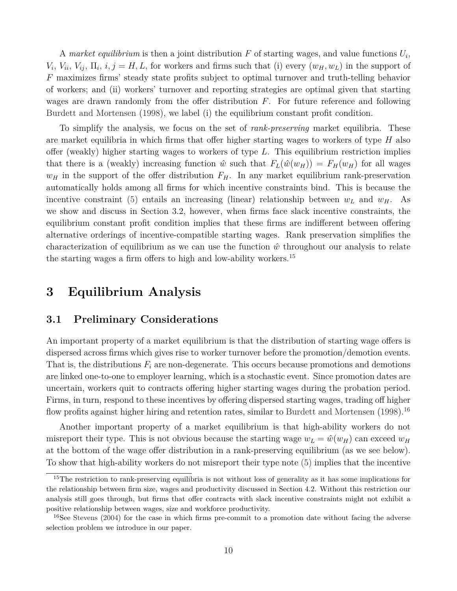A *market equilibrium* is then a joint distribution *F* of starting wages, and value functions *U<sup>i</sup>* ,  $V_i$ ,  $V_{ii}$ ,  $V_{ij}$ ,  $\Pi_i$ ,  $i, j = H, L$ , for workers and firms such that (i) every  $(w_H, w_L)$  in the support of *F* maximizes firms' steady state profits subject to optimal turnover and truth-telling behavior of workers; and (ii) workers' turnover and reporting strategies are optimal given that starting wages are drawn randomly from the offer distribution *F*. For future reference and following [Burdett and Mortensen](#page-32-0) [\(1998\)](#page-32-0), we label (i) the equilibrium constant profit condition.

To simplify the analysis, we focus on the set of *rank-preserving* market equilibria. These are market equilibria in which firms that offer higher starting wages to workers of type *H* also offer (weakly) higher starting wages to workers of type *L*. This equilibrium restriction implies that there is a (weakly) increasing function  $\hat{w}$  such that  $F_L(\hat{w}(w_H)) = F_H(w_H)$  for all wages  $w_H$  in the support of the offer distribution  $F_H$ . In any market equilibrium rank-preservation automatically holds among all firms for which incentive constraints bind. This is because the incentive constraint [\(5\)](#page-10-2) entails an increasing (linear) relationship between  $w<sub>L</sub>$  and  $w<sub>H</sub>$ . As we show and discuss in Section 3.2, however, when firms face slack incentive constraints, the equilibrium constant profit condition implies that these firms are indifferent between offering alternative orderings of incentive-compatible starting wages. Rank preservation simplifies the characterization of equilibrium as we can use the function  $\hat{w}$  throughout our analysis to relate the starting wages a firm offers to high and low-ability workers.  $^{15}$  $^{15}$  $^{15}$ 

## <span id="page-11-3"></span>**3 Equilibrium Analysis**

## <span id="page-11-0"></span>**3.1 Preliminary Considerations**

An important property of a market equilibrium is that the distribution of starting wage offers is dispersed across firms which gives rise to worker turnover before the promotion/demotion events. That is, the distributions  $F_i$  are non-degenerate. This occurs because promotions and demotions are linked one-to-one to employer learning, which is a stochastic event. Since promotion dates are uncertain, workers quit to contracts offering higher starting wages during the probation period. Firms, in turn, respond to these incentives by offering dispersed starting wages, trading off higher flow profits against higher hiring and retention rates, similar to [Burdett and Mortensen](#page-32-0) [\(1998\)](#page-32-0).<sup>[16](#page-11-2)</sup>

Another important property of a market equilibrium is that high-ability workers do not misreport their type. This is not obvious because the starting wage  $w_L = \hat{w}(w_H)$  can exceed  $w_H$ at the bottom of the wage offer distribution in a rank-preserving equilibrium (as we see below). To show that high-ability workers do not misreport their type note [\(5\)](#page-10-2) implies that the incentive

<span id="page-11-1"></span><sup>&</sup>lt;sup>15</sup>The restriction to rank-preserving equilibria is not without loss of generality as it has some implications for the relationship between firm size, wages and productivity discussed in Section 4.2. Without this restriction our analysis still goes through, but firms that offer contracts with slack incentive constraints might not exhibit a positive relationship between wages, size and workforce productivity.

<span id="page-11-2"></span><sup>&</sup>lt;sup>16</sup>See [Stevens](#page-35-4) [\(2004\)](#page-35-4) for the case in which firms pre-commit to a promotion date without facing the adverse selection problem we introduce in our paper.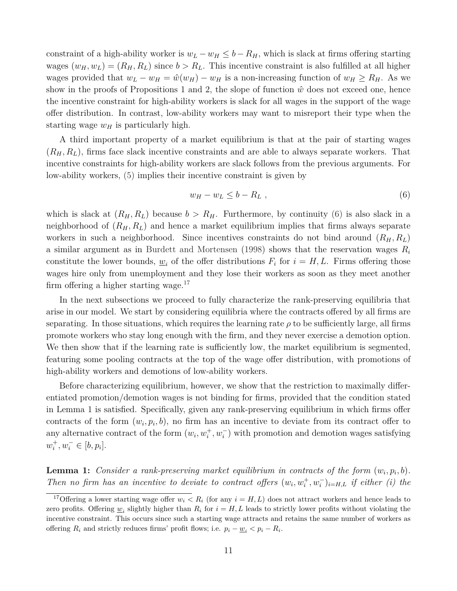constraint of a high-ability worker is  $w_L - w_H \leq b - R_H$ , which is slack at firms offering starting wages  $(w_H, w_L) = (R_H, R_L)$  since  $b > R_L$ . This incentive constraint is also fulfilled at all higher wages provided that  $w_L - w_H = \hat{w}(w_H) - w_H$  is a non-increasing function of  $w_H \ge R_H$ . As we show in the proofs of Propositions 1 and 2, the slope of function  $\hat{w}$  does not exceed one, hence the incentive constraint for high-ability workers is slack for all wages in the support of the wage offer distribution. In contrast, low-ability workers may want to misreport their type when the starting wage  $w_H$  is particularly high.

A third important property of a market equilibrium is that at the pair of starting wages  $(R_H, R_L)$ , firms face slack incentive constraints and are able to always separate workers. That incentive constraints for high-ability workers are slack follows from the previous arguments. For low-ability workers, [\(5\)](#page-10-2) implies their incentive constraint is given by

<span id="page-12-0"></span>
$$
w_H - w_L \le b - R_L \t\t(6)
$$

which is slack at  $(R_H, R_L)$  because  $b > R_H$ . Furthermore, by continuity [\(6\)](#page-12-0) is also slack in a neighborhood of (*RH, RL*) and hence a market equilibrium implies that firms always separate workers in such a neighborhood. Since incentives constraints do not bind around  $(R_H, R_L)$ a similar argument as in [Burdett and Mortensen](#page-32-0) [\(1998\)](#page-32-0) shows that the reservation wages *R<sup>i</sup>* constitute the lower bounds,  $\underline{w}_i$  of the offer distributions  $F_i$  for  $i = H, L$ . Firms offering those wages hire only from unemployment and they lose their workers as soon as they meet another firm offering a higher starting wage.<sup>[17](#page-12-1)</sup>

In the next subsections we proceed to fully characterize the rank-preserving equilibria that arise in our model. We start by considering equilibria where the contracts offered by all firms are separating. In those situations, which requires the learning rate  $\rho$  to be sufficiently large, all firms promote workers who stay long enough with the firm, and they never exercise a demotion option. We then show that if the learning rate is sufficiently low, the market equilibrium is segmented, featuring some pooling contracts at the top of the wage offer distribution, with promotions of high-ability workers and demotions of low-ability workers.

Before characterizing equilibrium, however, we show that the restriction to maximally differentiated promotion/demotion wages is not binding for firms, provided that the condition stated in Lemma 1 is satisfied. Specifically, given any rank-preserving equilibrium in which firms offer contracts of the form  $(w_i, p_i, b)$ , no firm has an incentive to deviate from its contract offer to any alternative contract of the form  $(w_i, w_i^+, w_i^-)$  with promotion and demotion wages satisfying  $w_i^+, w_i^- \in [b, p_i].$ 

**Lemma 1:** *Consider a rank-preserving market equilibrium in contracts of the form*  $(w_i, p_i, b)$ *. Then no firm has an incentive to deviate to contract offers*  $(w_i, w_i^+, w_i^-)_{i=H,L}$  *if either (i) the* 

<span id="page-12-1"></span><sup>&</sup>lt;sup>17</sup>Offering a lower starting wage offer  $w_i < R_i$  (for any  $i = H, L$ ) does not attract workers and hence leads to zero profits. Offering  $\underline{w}_i$  slightly higher than  $R_i$  for  $i = H, L$  leads to strictly lower profits without violating the incentive constraint. This occurs since such a starting wage attracts and retains the same number of workers as offering  $R_i$  and strictly reduces firms' profit flows; i.e.  $p_i - \underline{w}_i < p_i - R_i$ .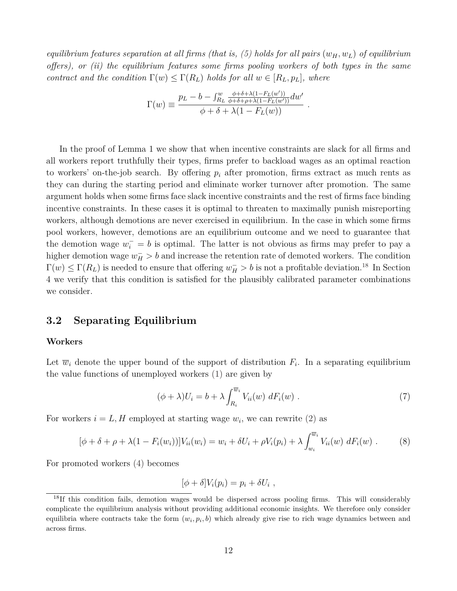*equilibrium features separation at all firms (that is,*  $(5)$  *holds for all pairs*  $(w_H, w_L)$  *of equilibrium offers), or (ii) the equilibrium features some firms pooling workers of both types in the same contract and the condition*  $\Gamma(w) \leq \Gamma(R_L)$  *holds for all*  $w \in [R_L, p_L]$ *, where* 

$$
\Gamma(w) \equiv \frac{p_L - b - \int_{R_L}^w \frac{\phi + \delta + \lambda (1 - F_L(w'))}{\phi + \delta + \rho + \lambda (1 - F_L(w'))} dw'}{\phi + \delta + \lambda (1 - F_L(w))}.
$$

In the proof of Lemma 1 we show that when incentive constraints are slack for all firms and all workers report truthfully their types, firms prefer to backload wages as an optimal reaction to workers' on-the-job search. By offering  $p_i$  after promotion, firms extract as much rents as they can during the starting period and eliminate worker turnover after promotion. The same argument holds when some firms face slack incentive constraints and the rest of firms face binding incentive constraints. In these cases it is optimal to threaten to maximally punish misreporting workers, although demotions are never exercised in equilibrium. In the case in which some firms pool workers, however, demotions are an equilibrium outcome and we need to guarantee that the demotion wage  $w_i^- = b$  is optimal. The latter is not obvious as firms may prefer to pay a higher demotion wage  $w_H^- > b$  and increase the retention rate of demoted workers. The condition  $\Gamma(w) \leq \Gamma(R_L)$  is needed to ensure that offering  $w_H^- > b$  is not a profitable deviation.<sup>[18](#page-13-0)</sup> In Section 4 we verify that this condition is satisfied for the plausibly calibrated parameter combinations we consider.

### <span id="page-13-3"></span>**3.2 Separating Equilibrium**

### **Workers**

Let  $\overline{w}_i$  denote the upper bound of the support of distribution  $F_i$ . In a separating equilibrium the value functions of unemployed workers [\(1\)](#page-9-1) are given by

<span id="page-13-2"></span>
$$
(\phi + \lambda)U_i = b + \lambda \int_{R_i}^{\overline{w}_i} V_{ii}(w) dF_i(w) . \qquad (7)
$$

For workers  $i = L, H$  employed at starting wage  $w_i$ , we can rewrite [\(2\)](#page-9-2) as

<span id="page-13-1"></span>
$$
[\phi + \delta + \rho + \lambda (1 - F_i(w_i))]V_{ii}(w_i) = w_i + \delta U_i + \rho V_i(p_i) + \lambda \int_{w_i}^{\overline{w}_i} V_{ii}(w) dF_i(w) .
$$
 (8)

For promoted workers [\(4\)](#page-10-3) becomes

$$
[\phi + \delta]V_i(p_i) = p_i + \delta U_i ,
$$

<span id="page-13-0"></span><sup>&</sup>lt;sup>18</sup>If this condition fails, demotion wages would be dispersed across pooling firms. This will considerably complicate the equilibrium analysis without providing additional economic insights. We therefore only consider equilibria where contracts take the form  $(w_i, p_i, b)$  which already give rise to rich wage dynamics between and across firms.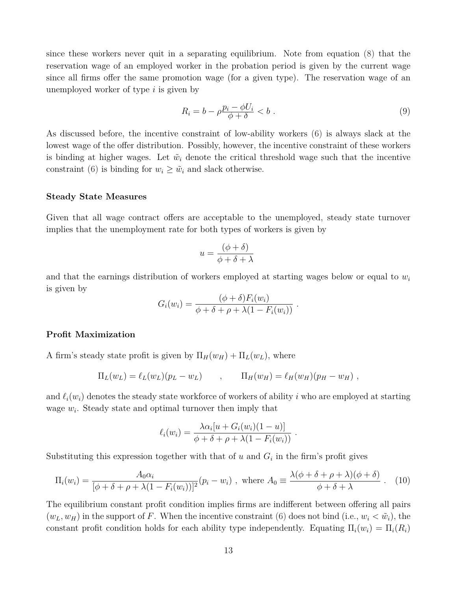since these workers never quit in a separating equilibrium. Note from equation [\(8\)](#page-13-1) that the reservation wage of an employed worker in the probation period is given by the current wage since all firms offer the same promotion wage (for a given type). The reservation wage of an unemployed worker of type *i* is given by

<span id="page-14-0"></span>
$$
R_i = b - \rho \frac{p_i - \phi U_i}{\phi + \delta} < b \tag{9}
$$

As discussed before, the incentive constraint of low-ability workers [\(6\)](#page-12-0) is always slack at the lowest wage of the offer distribution. Possibly, however, the incentive constraint of these workers is binding at higher wages. Let  $\tilde{w}_i$  denote the critical threshold wage such that the incentive constraint [\(6\)](#page-12-0) is binding for  $w_i \geq \tilde{w}_i$  and slack otherwise.

### **Steady State Measures**

Given that all wage contract offers are acceptable to the unemployed, steady state turnover implies that the unemployment rate for both types of workers is given by

$$
u = \frac{(\phi + \delta)}{\phi + \delta + \lambda}
$$

and that the earnings distribution of workers employed at starting wages below or equal to *w<sup>i</sup>* is given by

$$
G_i(w_i) = \frac{(\phi + \delta)F_i(w_i)}{\phi + \delta + \rho + \lambda(1 - F_i(w_i))}.
$$

### **Profit Maximization**

A firm's steady state profit is given by  $\Pi_H(w_H) + \Pi_L(w_L)$ , where

$$
\Pi_L(w_L) = \ell_L(w_L)(p_L - w_L) \qquad , \qquad \Pi_H(w_H) = \ell_H(w_H)(p_H - w_H) ,
$$

and  $\ell_i(w_i)$  denotes the steady state workforce of workers of ability *i* who are employed at starting wage *w<sup>i</sup>* . Steady state and optimal turnover then imply that

$$
\ell_i(w_i) = \frac{\lambda \alpha_i [u + G_i(w_i)(1-u)]}{\phi + \delta + \rho + \lambda (1 - F_i(w_i))}.
$$

Substituting this expression together with that of  $u$  and  $G_i$  in the firm's profit gives

<span id="page-14-1"></span>
$$
\Pi_i(w_i) = \frac{A_0 \alpha_i}{[\phi + \delta + \rho + \lambda (1 - F_i(w_i))]^2} (p_i - w_i), \text{ where } A_0 \equiv \frac{\lambda (\phi + \delta + \rho + \lambda)(\phi + \delta)}{\phi + \delta + \lambda}. \tag{10}
$$

The equilibrium constant profit condition implies firms are indifferent between offering all pairs  $(w_L, w_H)$  in the support of *F*. When the incentive constraint [\(6\)](#page-12-0) does not bind (i.e.,  $w_i < \tilde{w}_i$ ), the constant profit condition holds for each ability type independently. Equating  $\Pi_i(w_i) = \Pi_i(R_i)$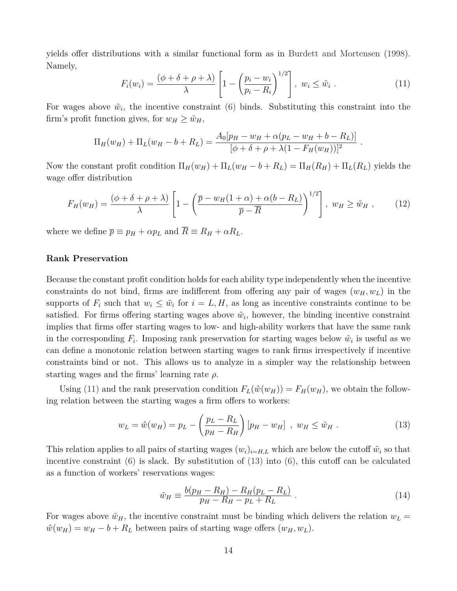yields offer distributions with a similar functional form as in [Burdett and Mortensen](#page-32-0) [\(1998\)](#page-32-0). Namely,

<span id="page-15-0"></span>
$$
F_i(w_i) = \frac{(\phi + \delta + \rho + \lambda)}{\lambda} \left[ 1 - \left( \frac{p_i - w_i}{p_i - R_i} \right)^{1/2} \right], \ w_i \le \tilde{w}_i . \tag{11}
$$

For wages above  $\tilde{w}_i$ , the incentive constraint [\(6\)](#page-12-0) binds. Substituting this constraint into the firm's profit function gives, for  $w_H \geq \tilde{w}_H$ ,

$$
\Pi_H(w_H) + \Pi_L(w_H - b + R_L) = \frac{A_0[p_H - w_H + \alpha(p_L - w_H + b - R_L)]}{[\phi + \delta + \rho + \lambda(1 - F_H(w_H))]^2}.
$$

Now the constant profit condition  $\Pi_H(w_H) + \Pi_L(w_H - b + R_L) = \Pi_H(R_H) + \Pi_L(R_L)$  yields the wage offer distribution

<span id="page-15-3"></span>
$$
F_H(w_H) = \frac{(\phi + \delta + \rho + \lambda)}{\lambda} \left[ 1 - \left( \frac{\overline{p} - w_H(1 + \alpha) + \alpha(b - R_L)}{\overline{p} - \overline{R}} \right)^{1/2} \right], \ w_H \ge \tilde{w}_H , \qquad (12)
$$

where we define  $\bar{p} \equiv p_H + \alpha p_L$  and  $\bar{R} \equiv R_H + \alpha R_L$ .

### **Rank Preservation**

Because the constant profit condition holds for each ability type independently when the incentive constraints do not bind, firms are indifferent from offering any pair of wages  $(w_H, w_L)$  in the supports of  $F_i$  such that  $w_i \leq \tilde{w}_i$  for  $i = L, H$ , as long as incentive constraints continue to be satisfied. For firms offering starting wages above  $\tilde{w}_i$ , however, the binding incentive constraint implies that firms offer starting wages to low- and high-ability workers that have the same rank in the corresponding  $F_i$ . Imposing rank preservation for starting wages below  $\tilde{w}_i$  is useful as we can define a monotonic relation between starting wages to rank firms irrespectively if incentive constraints bind or not. This allows us to analyze in a simpler way the relationship between starting wages and the firms' learning rate *ρ*.

Using [\(11\)](#page-15-0) and the rank preservation condition  $F_L(\hat{w}(w_H)) = F_H(w_H)$ , we obtain the following relation between the starting wages a firm offers to workers:

<span id="page-15-1"></span>
$$
w_L = \hat{w}(w_H) = p_L - \left(\frac{p_L - R_L}{p_H - R_H}\right) [p_H - w_H] \, , \, w_H \le \tilde{w}_H \, . \tag{13}
$$

This relation applies to all pairs of starting wages  $(w_i)_{i=H,L}$  which are below the cutoff  $\tilde{w}_i$  so that incentive constraint  $(6)$  is slack. By substitution of  $(13)$  into  $(6)$ , this cutoff can be calculated as a function of workers' reservations wages:

<span id="page-15-2"></span>
$$
\tilde{w}_H \equiv \frac{b(p_H - R_H) - R_H(p_L - R_L)}{p_H - R_H - p_L + R_L} \,. \tag{14}
$$

For wages above  $\tilde{w}_H$ , the incentive constraint must be binding which delivers the relation  $w_L =$  $\hat{w}(w_H) = w_H - b + R_L$  between pairs of starting wage offers  $(w_H, w_L)$ .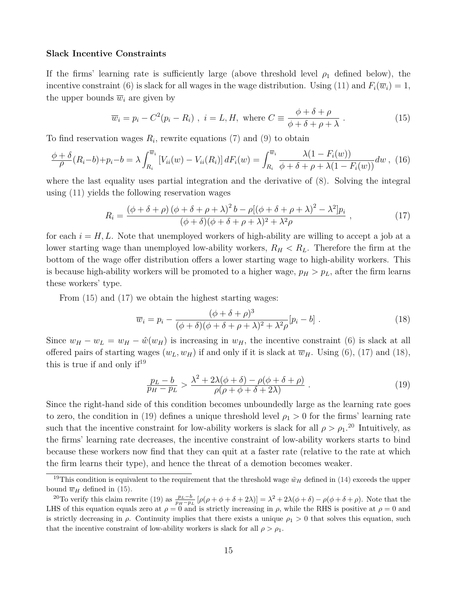### **Slack Incentive Constraints**

If the firms' learning rate is sufficiently large (above threshold level  $\rho_1$  defined below), the incentive constraint [\(6\)](#page-12-0) is slack for all wages in the wage distribution. Using [\(11\)](#page-15-0) and  $F_i(\overline{w}_i) = 1$ , the upper bounds  $\overline{w}_i$  are given by

<span id="page-16-0"></span>
$$
\overline{w}_i = p_i - C^2(p_i - R_i) , \ i = L, H, \text{ where } C \equiv \frac{\phi + \delta + \rho}{\phi + \delta + \rho + \lambda} . \tag{15}
$$

To find reservation wages  $R_i$ , rewrite equations  $(7)$  and  $(9)$  to obtain

<span id="page-16-6"></span>
$$
\frac{\phi + \delta}{\rho}(R_i - b) + p_i - b = \lambda \int_{R_i}^{\overline{w}_i} \left[ V_{ii}(w) - V_{ii}(R_i) \right] dF_i(w) = \int_{R_i}^{\overline{w}_i} \frac{\lambda(1 - F_i(w))}{\phi + \delta + \rho + \lambda(1 - F_i(w))} dw \,, \tag{16}
$$

where the last equality uses partial integration and the derivative of [\(8\).](#page-13-1) Solving the integral using [\(11\)](#page-15-0) yields the following reservation wages

<span id="page-16-1"></span>
$$
R_i = \frac{(\phi + \delta + \rho)(\phi + \delta + \rho + \lambda)^2 b - \rho[(\phi + \delta + \rho + \lambda)^2 - \lambda^2]p_i}{(\phi + \delta)(\phi + \delta + \rho + \lambda)^2 + \lambda^2 \rho}, \qquad (17)
$$

for each *i* = *H, L*. Note that unemployed workers of high-ability are willing to accept a job at a lower starting wage than unemployed low-ability workers,  $R_H < R_L$ . Therefore the firm at the bottom of the wage offer distribution offers a lower starting wage to high-ability workers. This is because high-ability workers will be promoted to a higher wage,  $p_H > p_L$ , after the firm learns these workers' type.

From  $(15)$  and  $(17)$  we obtain the highest starting wages:

<span id="page-16-2"></span>
$$
\overline{w}_i = p_i - \frac{(\phi + \delta + \rho)^3}{(\phi + \delta)(\phi + \delta + \rho + \lambda)^2 + \lambda^2 \rho} [p_i - b] \ . \tag{18}
$$

Since  $w_H - w_L = w_H - \hat{w}(w_H)$  is increasing in  $w_H$ , the incentive constraint [\(6\)](#page-12-0) is slack at all offered pairs of starting wages  $(w_L, w_H)$  if and only if it is slack at  $\overline{w}_H$ . Using [\(6\),](#page-12-0) [\(17\)](#page-16-1) and [\(18\),](#page-16-2) this is true if and only  $if<sup>19</sup>$  $if<sup>19</sup>$  $if<sup>19</sup>$ 

<span id="page-16-4"></span>
$$
\frac{p_L - b}{p_H - p_L} > \frac{\lambda^2 + 2\lambda(\phi + \delta) - \rho(\phi + \delta + \rho)}{\rho(\rho + \phi + \delta + 2\lambda)}.
$$
\n(19)

Since the right-hand side of this condition becomes unboundedly large as the learning rate goes to zero, the condition in [\(19\)](#page-16-4) defines a unique threshold level  $\rho_1 > 0$  for the firms' learning rate such that the incentive constraint for low-ability workers is slack for all  $\rho > \rho_1$ .<sup>[20](#page-16-5)</sup> Intuitively, as the firms' learning rate decreases, the incentive constraint of low-ability workers starts to bind because these workers now find that they can quit at a faster rate (relative to the rate at which the firm learns their type), and hence the threat of a demotion becomes weaker.

<span id="page-16-3"></span><sup>&</sup>lt;sup>19</sup>This condition is equivalent to the requirement that the threshold wage  $\tilde{w}_H$  defined in [\(14\)](#page-15-2) exceeds the upper bound  $\overline{w}_H$  defined in [\(15\).](#page-16-0)

<span id="page-16-5"></span><sup>&</sup>lt;sup>20</sup>To verify this claim rewrite [\(19\)](#page-16-4) as  $\frac{p_L-b}{p_H-p_L} [\rho(\rho+\phi+\delta+2\lambda)] = \lambda^2 + 2\lambda(\phi+\delta) - \rho(\phi+\delta+\rho)$ . Note that the LHS of this equation equals zero at  $\rho = 0$  and is strictly increasing in  $\rho$ , while the RHS is positive at  $\rho = 0$  and is strictly decreasing in  $\rho$ . Continuity implies that there exists a unique  $\rho_1 > 0$  that solves this equation, such that the incentive constraint of low-ability workers is slack for all  $\rho > \rho_1$ .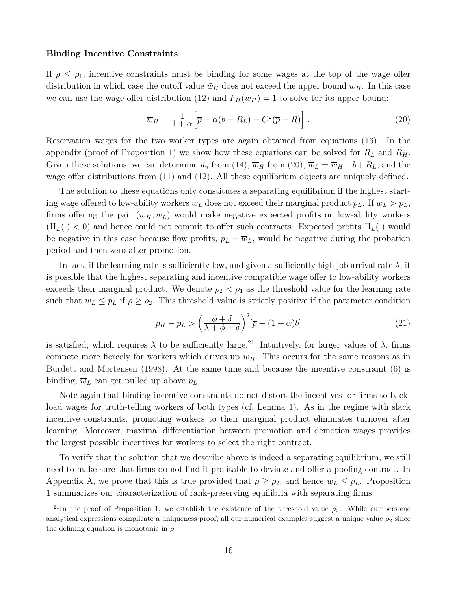### **Binding Incentive Constraints**

If  $\rho \leq \rho_1$ , incentive constraints must be binding for some wages at the top of the wage offer distribution in which case the cutoff value  $\tilde{w}_H$  does not exceed the upper bound  $\overline{w}_H$ . In this case we can use the wage offer distribution [\(12\)](#page-15-3) and  $F_H(\overline{w}_H) = 1$  to solve for its upper bound:

<span id="page-17-0"></span>
$$
\overline{w}_H = \frac{1}{1+\alpha} \Big[ \overline{p} + \alpha (b - R_L) - C^2 (\overline{p} - \overline{R}) \Big] . \tag{20}
$$

Reservation wages for the two worker types are again obtained from equations [\(16\).](#page-16-6) In the appendix (proof of Proposition 1) we show how these equations can be solved for *R<sup>L</sup>* and *RH*. Given these solutions, we can determine  $\tilde{w}_i$  from [\(14\),](#page-15-2)  $\overline{w}_H$  from [\(20\),](#page-17-0)  $\overline{w}_L = \overline{w}_H - b + R_L$ , and the wage offer distributions from [\(11\)](#page-15-0) and [\(12\).](#page-15-3) All these equilibrium objects are uniquely defined.

The solution to these equations only constitutes a separating equilibrium if the highest starting wage offered to low-ability workers  $\overline{w}_L$  does not exceed their marginal product  $p_L$ . If  $\overline{w}_L > p_L$ , firms offering the pair  $(\overline{w}_H, \overline{w}_L)$  would make negative expected profits on low-ability workers  $(\Pi_L(.) < 0)$  and hence could not commit to offer such contracts. Expected profits  $\Pi_L(.)$  would be negative in this case because flow profits,  $p_L - \overline{w}_L$ , would be negative during the probation period and then zero after promotion.

In fact, if the learning rate is sufficiently low, and given a sufficiently high job arrival rate  $\lambda$ , it is possible that the highest separating and incentive compatible wage offer to low-ability workers exceeds their marginal product. We denote  $\rho_2 < \rho_1$  as the threshold value for the learning rate such that  $\overline{w}_L \leq p_L$  if  $\rho \geq \rho_2$ . This threshold value is strictly positive if the parameter condition

<span id="page-17-2"></span>
$$
p_H - p_L > \left(\frac{\phi + \delta}{\lambda + \phi + \delta}\right)^2 [\overline{p} - (1 + \alpha)b] \tag{21}
$$

is satisfied, which requires  $\lambda$  to be sufficiently large.<sup>[21](#page-17-1)</sup> Intuitively, for larger values of  $\lambda$ , firms compete more fiercely for workers which drives up  $\overline{w}_H$ . This occurs for the same reasons as in [Burdett and Mortensen](#page-32-0) [\(1998\)](#page-32-0). At the same time and because the incentive constraint [\(6\)](#page-12-0) is binding,  $\overline{w}_L$  can get pulled up above  $p_L$ .

Note again that binding incentive constraints do not distort the incentives for firms to backload wages for truth-telling workers of both types (cf. Lemma 1). As in the regime with slack incentive constraints, promoting workers to their marginal product eliminates turnover after learning. Moreover, maximal differentiation between promotion and demotion wages provides the largest possible incentives for workers to select the right contract.

To verify that the solution that we describe above is indeed a separating equilibrium, we still need to make sure that firms do not find it profitable to deviate and offer a pooling contract. In Appendix A, we prove that this is true provided that  $\rho \ge \rho_2$ , and hence  $\overline{w}_L \le p_L$ . Proposition 1 summarizes our characterization of rank-preserving equilibria with separating firms.

<span id="page-17-1"></span><sup>&</sup>lt;sup>21</sup>In the proof of Proposition 1, we establish the existence of the threshold value  $\rho_2$ . While cumbersome analytical expressions complicate a uniqueness proof, all our numerical examples suggest a unique value  $\rho_2$  since the defining equation is monotonic in *ρ*.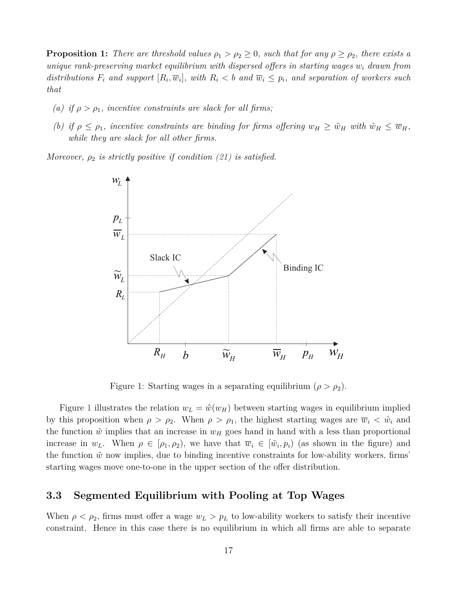**Proposition 1:** *There are threshold values*  $\rho_1 > \rho_2 \geq 0$ *, such that for any*  $\rho \geq \rho_2$ *, there exists a unique rank-preserving market equilibrium with dispersed offers in starting wages w<sup>i</sup> drawn from distributions*  $F_i$  and support  $[R_i, \overline{w}_i]$ , with  $R_i < b$  and  $\overline{w}_i \leq p_i$ , and separation of workers such *that*

- *(a) if*  $\rho > \rho_1$ *, incentive constraints are slack for all firms;*
- *(b) if*  $\rho \leq \rho_1$ , incentive constraints are binding for firms offering  $w_H \geq \tilde{w}_H$  with  $\tilde{w}_H \leq \overline{w}_H$ , *while they are slack for all other firms.*

<span id="page-18-0"></span>*Moreover, ρ*<sup>2</sup> *is strictly positive if condition [\(21\)](#page-17-2) is satisfied.*



Figure 1: Starting wages in a separating equilibrium  $(\rho > \rho_2)$ .

Figure [1](#page-18-0) illustrates the relation  $w_L = \hat{w}(w_H)$  between starting wages in equilibrium implied by this proposition when  $\rho > \rho_2$ . When  $\rho > \rho_1$ , the highest starting wages are  $\overline{w}_i < \tilde{w}_i$  and the function  $\hat{w}$  implies that an increase in  $w_H$  goes hand in hand with a less than proportional increase in  $w_L$ . When  $\rho \in [\rho_1, \rho_2)$ , we have that  $\overline{w}_i \in [\tilde{w}_i, p_i]$  (as shown in the figure) and the function  $\hat{w}$  now implies, due to binding incentive constraints for low-ability workers, firms' starting wages move one-to-one in the upper section of the offer distribution.

## **3.3 Segmented Equilibrium with Pooling at Top Wages**

When  $\rho < \rho_2$ , firms must offer a wage  $w_L > p_L$  to low-ability workers to satisfy their incentive constraint. Hence in this case there is no equilibrium in which all firms are able to separate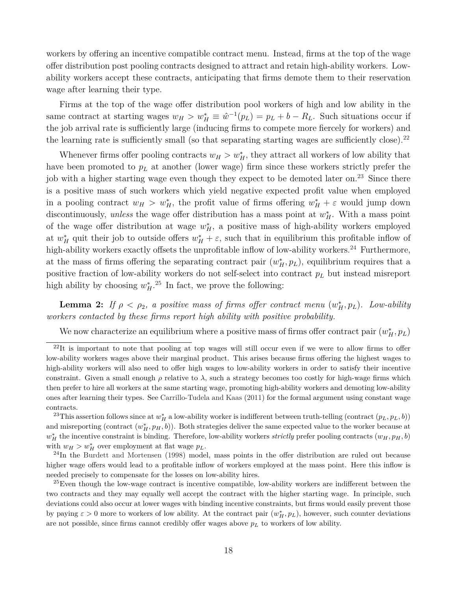workers by offering an incentive compatible contract menu. Instead, firms at the top of the wage offer distribution post pooling contracts designed to attract and retain high-ability workers. Lowability workers accept these contracts, anticipating that firms demote them to their reservation wage after learning their type.

Firms at the top of the wage offer distribution pool workers of high and low ability in the same contract at starting wages  $w_H > w_H^* \equiv \hat{w}^{-1}(p_L) = p_L + b - R_L$ . Such situations occur if the job arrival rate is sufficiently large (inducing firms to compete more fiercely for workers) and the learning rate is sufficiently small (so that separating starting wages are sufficiently close).<sup>[22](#page-19-0)</sup>

Whenever firms offer pooling contracts  $w_H > w_H^*$ , they attract all workers of low ability that have been promoted to  $p<sub>L</sub>$  at another (lower wage) firm since these workers strictly prefer the job with a higher starting wage even though they expect to be demoted later on.<sup>[23](#page-19-1)</sup> Since there is a positive mass of such workers which yield negative expected profit value when employed in a pooling contract  $w_H > w_H^*$ , the profit value of firms offering  $w_H^* + \varepsilon$  would jump down discontinuously, *unless* the wage offer distribution has a mass point at  $w_H^*$ . With a mass point of the wage offer distribution at wage  $w_H^*$ , a positive mass of high-ability workers employed at  $w_H^*$  quit their job to outside offers  $w_H^* + \varepsilon$ , such that in equilibrium this profitable inflow of high-ability workers exactly offsets the unprofitable inflow of low-ability workers.<sup>[24](#page-19-2)</sup> Furthermore, at the mass of firms offering the separating contract pair  $(w_H^*, p_L)$ , equilibrium requires that a positive fraction of low-ability workers do not self-select into contract *p<sup>L</sup>* but instead misreport high ability by choosing  $w_H^*$ <sup>[25](#page-19-3)</sup> In fact, we prove the following:

**Lemma 2:** If  $\rho < \rho_2$ , a positive mass of firms offer contract menu  $(w_H^*, p_L)$ . Low-ability *workers contacted by these firms report high ability with positive probability.*

<span id="page-19-0"></span>We now characterize an equilibrium where a positive mass of firms offer contract pair  $(w_H^*, p_L)$ 

<sup>22</sup>It is important to note that pooling at top wages will still occur even if we were to allow firms to offer low-ability workers wages above their marginal product. This arises because firms offering the highest wages to high-ability workers will also need to offer high wages to low-ability workers in order to satisfy their incentive constraint. Given a small enough  $\rho$  relative to  $\lambda$ , such a strategy becomes too costly for high-wage firms which then prefer to hire all workers at the same starting wage, promoting high-ability workers and demoting low-ability ones after learning their types. See [Carrillo-Tudela and Kaas](#page-32-4) [\(2011\)](#page-32-4) for the formal argument using constant wage contracts.

<span id="page-19-1"></span><sup>&</sup>lt;sup>23</sup>This assertion follows since at  $w_H^*$  a low-ability worker is indifferent between truth-telling (contract  $(p_L, p_L, b)$ ) and misreporting (contract  $(w_H^*, p_H, b)$ ). Both strategies deliver the same expected value to the worker because at  $w_H^*$  the incentive constraint is binding. Therefore, low-ability workers *strictly* prefer pooling contracts  $(w_H, p_H, b)$ with  $w_H > w_H^*$  over employment at flat wage  $p_L$ .

<span id="page-19-2"></span> $^{24}$ In the [Burdett and Mortensen](#page-32-0) [\(1998\)](#page-32-0) model, mass points in the offer distribution are ruled out because higher wage offers would lead to a profitable inflow of workers employed at the mass point. Here this inflow is needed precisely to compensate for the losses on low-ability hires.

<span id="page-19-3"></span> $^{25}$ Even though the low-wage contract is incentive compatible, low-ability workers are indifferent between the two contracts and they may equally well accept the contract with the higher starting wage. In principle, such deviations could also occur at lower wages with binding incentive constraints, but firms would easily prevent those by paying  $\varepsilon > 0$  more to workers of low ability. At the contract pair  $(w_H^*, p_L)$ , however, such counter deviations are not possible, since firms cannot credibly offer wages above  $p<sub>L</sub>$  to workers of low ability.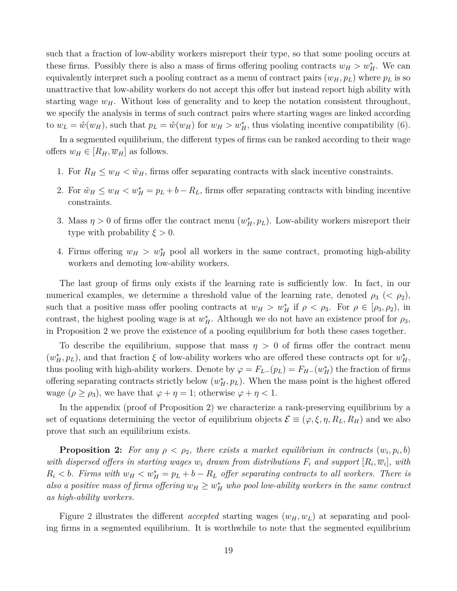such that a fraction of low-ability workers misreport their type, so that some pooling occurs at these firms. Possibly there is also a mass of firms offering pooling contracts  $w_H > w_H^*$ . We can equivalently interpret such a pooling contract as a menu of contract pairs  $(w_H, p_L)$  where  $p_L$  is so unattractive that low-ability workers do not accept this offer but instead report high ability with starting wage  $w_H$ . Without loss of generality and to keep the notation consistent throughout, we specify the analysis in terms of such contract pairs where starting wages are linked according to  $w_L = \hat{w}(w_H)$ , such that  $p_L = \hat{w}(w_H)$  for  $w_H > w_H^*$ , thus violating incentive compatibility [\(6\).](#page-12-0)

In a segmented equilibrium, the different types of firms can be ranked according to their wage offers  $w_H \in [R_H, \overline{w}_H]$  as follows.

- 1. For  $R_H \leq w_H < \tilde{w}_H$ , firms offer separating contracts with slack incentive constraints.
- 2. For  $\tilde{w}_H \leq w_H < w_H^* = p_L + b R_L$ , firms offer separating contracts with binding incentive constraints.
- 3. Mass  $\eta > 0$  of firms offer the contract menu  $(w_H^*, p_L)$ . Low-ability workers misreport their type with probability  $\xi > 0$ .
- 4. Firms offering  $w_H > w_H^*$  pool all workers in the same contract, promoting high-ability workers and demoting low-ability workers.

The last group of firms only exists if the learning rate is sufficiently low. In fact, in our numerical examples, we determine a threshold value of the learning rate, denoted  $\rho_3 \leq \rho_2$ ), such that a positive mass offer pooling contracts at  $w_H > w_H^*$  if  $\rho < \rho_3$ . For  $\rho \in [\rho_3, \rho_2)$ , in contrast, the highest pooling wage is at  $w_H^*$ . Although we do not have an existence proof for  $\rho_3$ , in Proposition 2 we prove the existence of a pooling equilibrium for both these cases together.

To describe the equilibrium, suppose that mass  $\eta > 0$  of firms offer the contract menu  $(w_H^*, p_L)$ , and that fraction  $\xi$  of low-ability workers who are offered these contracts opt for  $w_H^*$ , thus pooling with high-ability workers. Denote by  $\varphi = F_L-(p_L) = F_{H-}(w_H^*)$  the fraction of firms offering separating contracts strictly below  $(w_H^*, p_L)$ . When the mass point is the highest offered wage  $(\rho \ge \rho_3)$ , we have that  $\varphi + \eta = 1$ ; otherwise  $\varphi + \eta < 1$ .

In the appendix (proof of Proposition 2) we characterize a rank-preserving equilibrium by a set of equations determining the vector of equilibrium objects  $\mathcal{E} \equiv (\varphi, \xi, \eta, R_L, R_H)$  and we also prove that such an equilibrium exists.

**Proposition 2:** For any  $\rho < \rho_2$ , there exists a market equilibrium in contracts  $(w_i, p_i, b)$ *with dispersed offers in starting wages*  $w_i$  *drawn from distributions*  $F_i$  *and support*  $[R_i, \overline{w}_i]$ *, with*  $R_i < b$ . Firms with  $w_H < w_H^* = p_L + b - R_L$  offer separating contracts to all workers. There is *also a positive mass of firms offering*  $w_H \geq w_H^*$  *who pool low-ability workers in the same contract as high-ability workers.*

Figure [2](#page-21-0) illustrates the different *accepted* starting wages  $(w_H, w_L)$  at separating and pooling firms in a segmented equilibrium. It is worthwhile to note that the segmented equilibrium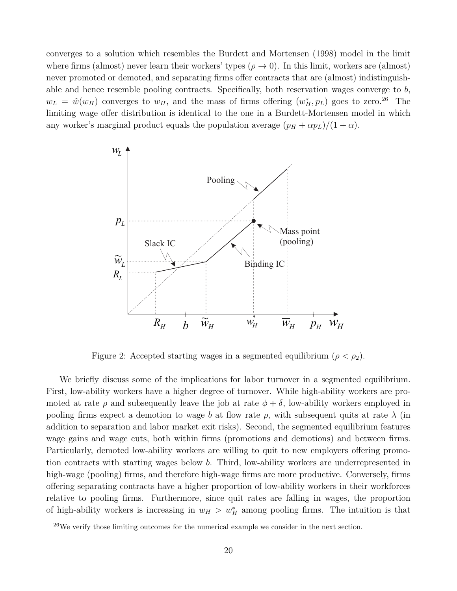converges to a solution which resembles the Burdett and Mortensen (1998) model in the limit where firms (almost) never learn their workers' types ( $\rho \to 0$ ). In this limit, workers are (almost) never promoted or demoted, and separating firms offer contracts that are (almost) indistinguishable and hence resemble pooling contracts. Specifically, both reservation wages converge to *b*,  $w_L = \hat{w}(w_H)$  converges to  $w_H$ , and the mass of firms offering  $(w_H^*, p_L)$  goes to zero.<sup>[26](#page-21-1)</sup> The limiting wage offer distribution is identical to the one in a Burdett-Mortensen model in which any worker's marginal product equals the population average  $(p_H + \alpha p_L)/(1 + \alpha)$ .

<span id="page-21-0"></span>

Figure 2: Accepted starting wages in a segmented equilibrium  $(\rho < \rho_2)$ .

We briefly discuss some of the implications for labor turnover in a segmented equilibrium. First, low-ability workers have a higher degree of turnover. While high-ability workers are promoted at rate  $\rho$  and subsequently leave the job at rate  $\phi + \delta$ , low-ability workers employed in pooling firms expect a demotion to wage *b* at flow rate  $\rho$ , with subsequent quits at rate  $\lambda$  (in addition to separation and labor market exit risks). Second, the segmented equilibrium features wage gains and wage cuts, both within firms (promotions and demotions) and between firms. Particularly, demoted low-ability workers are willing to quit to new employers offering promotion contracts with starting wages below *b*. Third, low-ability workers are underrepresented in high-wage (pooling) firms, and therefore high-wage firms are more productive. Conversely, firms offering separating contracts have a higher proportion of low-ability workers in their workforces relative to pooling firms. Furthermore, since quit rates are falling in wages, the proportion of high-ability workers is increasing in  $w_H > w_H^*$  among pooling firms. The intuition is that

<span id="page-21-1"></span> $26$ We verify those limiting outcomes for the numerical example we consider in the next section.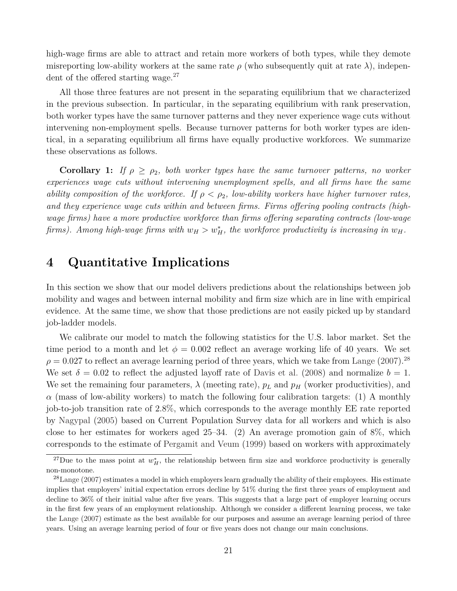high-wage firms are able to attract and retain more workers of both types, while they demote misreporting low-ability workers at the same rate  $\rho$  (who subsequently quit at rate  $\lambda$ ), indepen-dent of the offered starting wage.<sup>[27](#page-22-0)</sup>

All those three features are not present in the separating equilibrium that we characterized in the previous subsection. In particular, in the separating equilibrium with rank preservation, both worker types have the same turnover patterns and they never experience wage cuts without intervening non-employment spells. Because turnover patterns for both worker types are identical, in a separating equilibrium all firms have equally productive workforces. We summarize these observations as follows.

**Corollary 1:** *If*  $\rho \geq \rho_2$ , both worker types have the same turnover patterns, no worker *experiences wage cuts without intervening unemployment spells, and all firms have the same ability composition of the workforce. If*  $\rho < \rho_2$ , *low-ability workers have higher turnover rates, and they experience wage cuts within and between firms. Firms offering pooling contracts (highwage firms) have a more productive workforce than firms offering separating contracts (low-wage firms*). Among high-wage firms with  $w_H > w_H^*$ , the workforce productivity is increasing in  $w_H$ .

## **4 Quantitative Implications**

In this section we show that our model delivers predictions about the relationships between job mobility and wages and between internal mobility and firm size which are in line with empirical evidence. At the same time, we show that those predictions are not easily picked up by standard job-ladder models.

We calibrate our model to match the following statistics for the U.S. labor market. Set the time period to a month and let  $\phi = 0.002$  reflect an average working life of 40 years. We set  $\rho = 0.027$  to reflect an average learning period of three years, which we take from [Lange](#page-34-1) [\(2007\)](#page-34-1).<sup>[28](#page-22-1)</sup> We set  $\delta = 0.02$  to reflect the adjusted layoff rate of [Davis et al.](#page-32-5) [\(2008\)](#page-32-5) and normalize  $b = 1$ . We set the remaining four parameters,  $\lambda$  (meeting rate),  $p_L$  and  $p_H$  (worker productivities), and  $\alpha$  (mass of low-ability workers) to match the following four calibration targets: (1) A monthly job-to-job transition rate of 2*.*8%, which corresponds to the average monthly EE rate reported by [Nagypal](#page-34-14) [\(2005\)](#page-34-14) based on Current Population Survey data for all workers and which is also close to her estimates for workers aged 25–34. (2) An average promotion gain of 8%, which corresponds to the estimate of [Pergamit and Veum](#page-35-5) [\(1999\)](#page-35-5) based on workers with approximately

<span id="page-22-0"></span><sup>&</sup>lt;sup>27</sup>Due to the mass point at  $w_H^*$ , the relationship between firm size and workforce productivity is generally non-monotone.

<span id="page-22-1"></span> $28$ [Lange](#page-34-1) [\(2007\)](#page-34-1) estimates a model in which employers learn gradually the ability of their employees. His estimate implies that employers' initial expectation errors decline by 51% during the first three years of employment and decline to 36% of their initial value after five years. This suggests that a large part of employer learning occurs in the first few years of an employment relationship. Although we consider a different learning process, we take the [Lange](#page-34-1) [\(2007\)](#page-34-1) estimate as the best available for our purposes and assume an average learning period of three years. Using an average learning period of four or five years does not change our main conclusions.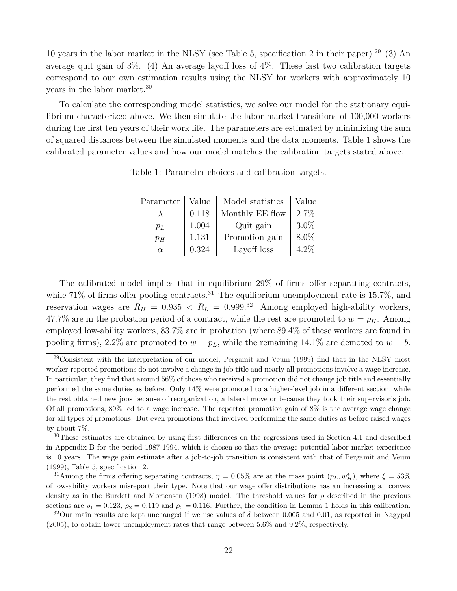10 years in the labor market in the NLSY (see Table 5, specification 2 in their paper).<sup>[29](#page-23-0)</sup> (3) An average quit gain of 3%. (4) An average layoff loss of 4%. These last two calibration targets correspond to our own estimation results using the NLSY for workers with approximately 10 years in the labor market.[30](#page-23-1)

<span id="page-23-2"></span>To calculate the corresponding model statistics, we solve our model for the stationary equilibrium characterized above. We then simulate the labor market transitions of 100,000 workers during the first ten years of their work life. The parameters are estimated by minimizing the sum of squared distances between the simulated moments and the data moments. Table [1](#page-23-2) shows the calibrated parameter values and how our model matches the calibration targets stated above.

| Parameter | Value | Model statistics | Value   |
|-----------|-------|------------------|---------|
|           | 0.118 | Monthly EE flow  | $2.7\%$ |
| $p_L$     | 1.004 | Quit gain        | $3.0\%$ |
| $p_H$     | 1.131 | Promotion gain   | $8.0\%$ |
| $\alpha$  | 0.324 | Layoff loss      | 4.2%    |

Table 1: Parameter choices and calibration targets.

The calibrated model implies that in equilibrium 29% of firms offer separating contracts, while 71% of firms offer pooling contracts.[31](#page-23-3) The equilibrium unemployment rate is 15*.*7%, and reservation wages are  $R_H = 0.935 \, \langle R_L = 0.999 \, \cdot^{32}$  $R_H = 0.935 \, \langle R_L = 0.999 \, \cdot^{32}$  $R_H = 0.935 \, \langle R_L = 0.999 \, \cdot^{32}$  Among employed high-ability workers, 47.7% are in the probation period of a contract, while the rest are promoted to  $w = p<sub>H</sub>$ . Among employed low-ability workers, 83*.*7% are in probation (where 89*.*4% of these workers are found in pooling firms), 2.2% are promoted to  $w = p<sub>L</sub>$ , while the remaining 14.1% are demoted to  $w = b$ .

<span id="page-23-0"></span><sup>&</sup>lt;sup>29</sup>Consistent with the interpretation of our model, [Pergamit and Veum](#page-35-5) [\(1999\)](#page-35-5) find that in the NLSY most worker-reported promotions do not involve a change in job title and nearly all promotions involve a wage increase. In particular, they find that around 56% of those who received a promotion did not change job title and essentially performed the same duties as before. Only 14% were promoted to a higher-level job in a different section, while the rest obtained new jobs because of reorganization, a lateral move or because they took their supervisor's job. Of all promotions, 89% led to a wage increase. The reported promotion gain of 8% is the average wage change for all types of promotions. But even promotions that involved performing the same duties as before raised wages by about 7%.

<span id="page-23-1"></span><sup>&</sup>lt;sup>30</sup>These estimates are obtained by using first differences on the regressions used in Section 4.1 and described in Appendix B for the period 1987-1994, which is chosen so that the average potential labor market experience is 10 years. The wage gain estimate after a job-to-job transition is consistent with that of [Pergamit and Veum](#page-35-5) [\(1999\)](#page-35-5), Table 5, specification 2.

<span id="page-23-3"></span><sup>&</sup>lt;sup>31</sup>Among the firms offering separating contracts,  $\eta = 0.05\%$  are at the mass point  $(p_L, w_H^*)$ , where  $\xi = 53\%$ of low-ability workers misreport their type. Note that our wage offer distributions has an increasing an convex density as in the [Burdett and Mortensen](#page-32-0) [\(1998\)](#page-32-0) model. The threshold values for *ρ* described in the previous sections are  $\rho_1 = 0.123$ ,  $\rho_2 = 0.119$  and  $\rho_3 = 0.116$ . Further, the condition in Lemma 1 holds in this calibration.

<span id="page-23-4"></span><sup>&</sup>lt;sup>32</sup>Our main results are kept unchanged if we use values of  $\delta$  between 0.005 and 0.01, as reported in [Nagypal](#page-34-14) [\(2005\)](#page-34-14), to obtain lower unemployment rates that range between 5*.*6% and 9*.*2%, respectively.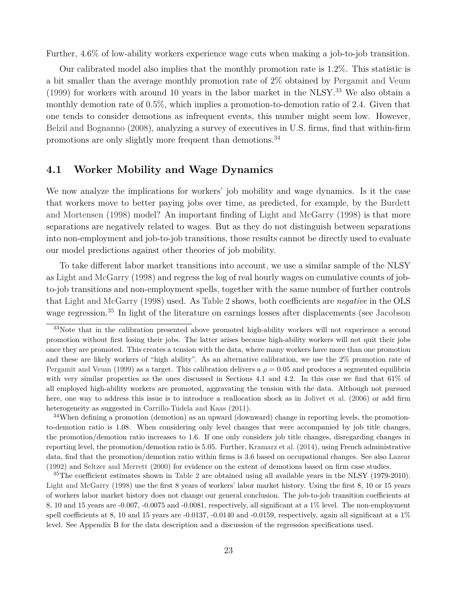Further, 4*.*6% of low-ability workers experience wage cuts when making a job-to-job transition.

Our calibrated model also implies that the monthly promotion rate is 1*.*2%. This statistic is a bit smaller than the average monthly promotion rate of 2% obtained by [Pergamit and Veum](#page-35-5) [\(1999\)](#page-35-5) for workers with around 10 years in the labor market in the NLSY.[33](#page-24-0) We also obtain a monthly demotion rate of 0*.*5%, which implies a promotion-to-demotion ratio of 2*.*4. Given that one tends to consider demotions as infrequent events, this number might seem low. However, [Belzil and Bognanno](#page-32-6) [\(2008\)](#page-32-6), analyzing a survey of executives in U.S. firms, find that within-firm promotions are only slightly more frequent than demotions.[34](#page-24-1)

## **4.1 Worker Mobility and Wage Dynamics**

We now analyze the implications for workers' job mobility and wage dynamics. Is it the case that workers move to better paying jobs over time, as predicted, for example, by the [Burdett](#page-32-0) [and Mortensen](#page-32-0) [\(1998\)](#page-32-0) model? An important finding of [Light and McGarry](#page-34-6) [\(1998\)](#page-34-6) is that more separations are negatively related to wages. But as they do not distinguish between separations into non-employment and job-to-job transitions, those results cannot be directly used to evaluate our model predictions against other theories of job mobility.

To take different labor market transitions into account, we use a similar sample of the NLSY as [Light and McGarry](#page-34-6) [\(1998\)](#page-34-6) and regress the log of real hourly wages on cumulative counts of jobto-job transitions and non-employment spells, together with the same number of further controls that [Light and McGarry](#page-34-6) [\(1998\)](#page-34-6) used. As [Table 2](#page-25-0) shows, both coefficients are *negative* in the OLS wage regression.<sup>[35](#page-24-2)</sup> In light of the literature on earnings losses after displacements (see [Jacobson](#page-33-8)

<span id="page-24-1"></span> $34$ [When defining a promotion \(demotion\) as an upward \(downward\) change in reporting levels, the promotion](#page-33-8)to-demotion ratio is 1*.*[08. When considering only level changes that were accompanied by job title changes,](#page-33-8) [the promotion/demotion ratio increases to 1.6. If one only considers job title changes, disregarding changes in](#page-33-8) [reporting level, the promotion/demotion ratio is 5.05. Further,](#page-33-8) [Kramarz et al.](#page-33-10) [\(2014\)](#page-33-10), using French administrative [data, find that the promotion/demotion ratio within firms is 3.6 based on occupational changes. See also](#page-33-8) [Lazear](#page-34-15) [\(1992\)](#page-34-15) and [Seltzer and Merrett](#page-35-6) [\(2000\) for evidence on the extent of demotions based on firm case studies.](#page-33-8)

<span id="page-24-2"></span><sup>35</sup>The coefficient estimates shown in [Table 2](#page-25-0) [are obtained using all available years in the NLSY \(1979-2010\).](#page-33-8) [Light and McGarry](#page-34-6) [\(1998\) use the first 8 years of workers' labor market history. Using the first 8, 10 or 15 years](#page-33-8) [of workers labor market history does not change our general conclusion. The job-to-job transition coefficients at](#page-33-8) [8, 10 and 15 years are -0.007, -0.0075 and -0.0081, respectively, all significant at a 1% level. The non-employment](#page-33-8) spell coefficients at 8, 10 and 15 years are  $-0.0137$ ,  $-0.0140$  and  $-0.0159$ , respectively, again all significant at a  $1\%$ [level. See Appendix B for the data description and a discussion of the regression specifications used.](#page-33-8)

<span id="page-24-0"></span><sup>&</sup>lt;sup>33</sup>[Note that in the calibration presented above promoted high-ability workers will not experience a second](#page-33-8) [promotion without first losing their jobs. The latter arises because high-ability workers will not quit their jobs](#page-33-8) [once they are promoted. This creates a tension with the data, where many workers have more than one promotion](#page-33-8) [and these are likely workers of "high ability". As an alternative calibration, we use the 2% promotion rate of](#page-33-8) [Pergamit and Veum](#page-35-5) [\(1999\) as a target. This calibration delivers a](#page-33-8)  $\rho = 0.05$  and produces a segmented equilibria [with very similar properties as the ones discussed in Sections 4.1 and 4.2. In this case we find that](#page-33-8) 61% of [all employed high-ability workers are promoted, aggravating the tension with the data. Although not pursued](#page-33-8) [here, one way to address this issue is to introduce a reallocation shock as in](#page-33-8) [Jolivet et al.](#page-33-9) [\(2006\)](#page-33-9) or add firm [heterogeneity as suggested in](#page-33-8) [Carrillo-Tudela and Kaas](#page-32-4)  $(2011)$ .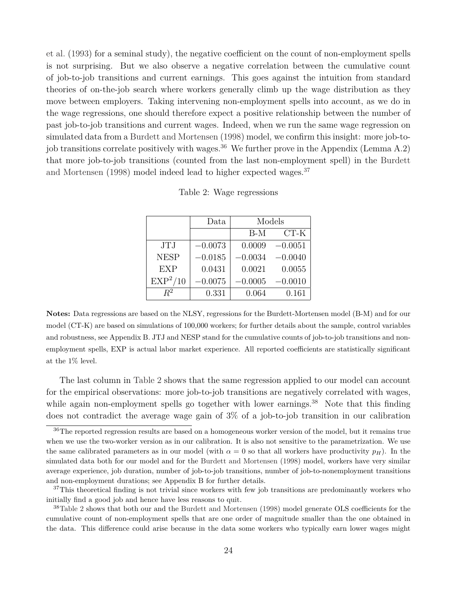[et al.](#page-33-8) [\(1993\)](#page-33-8) for a seminal study), the negative coefficient on the count of non-employment spells is not surprising. But we also observe a negative correlation between the cumulative count of job-to-job transitions and current earnings. This goes against the intuition from standard theories of on-the-job search where workers generally climb up the wage distribution as they move between employers. Taking intervening non-employment spells into account, as we do in the wage regressions, one should therefore expect a positive relationship between the number of past job-to-job transitions and current wages. Indeed, when we run the same wage regression on simulated data from a [Burdett and Mortensen](#page-32-0) [\(1998\)](#page-32-0) model, we confirm this insight: more job-to-job transitions correlate positively with wages.<sup>[36](#page-25-1)</sup> We further prove in the Appendix (Lemma A.2) that more job-to-job transitions (counted from the last non-employment spell) in the [Burdett](#page-32-0) [and Mortensen](#page-32-0) [\(1998\)](#page-32-0) model indeed lead to higher expected wages.<sup>[37](#page-25-2)</sup>

<span id="page-25-0"></span>

|                      | Data      | Models    |           |
|----------------------|-----------|-----------|-----------|
|                      |           | $B-M$     | $CT-K$    |
| <b>JTJ</b>           | $-0.0073$ | 0.0009    | $-0.0051$ |
| <b>NESP</b>          | $-0.0185$ | $-0.0034$ | $-0.0040$ |
| <b>EXP</b>           | 0.0431    | 0.0021    | 0.0055    |
| EXP <sup>2</sup> /10 | $-0.0075$ | $-0.0005$ | $-0.0010$ |
| $R^2$                | 0.331     | 0.064     | 0.161     |

Table 2: Wage regressions

**Notes:** Data regressions are based on the NLSY, regressions for the Burdett-Mortensen model (B-M) and for our model (CT-K) are based on simulations of 100,000 workers; for further details about the sample, control variables and robustness, see Appendix B. JTJ and NESP stand for the cumulative counts of job-to-job transitions and nonemployment spells, EXP is actual labor market experience. All reported coefficients are statistically significant at the 1% level.

The last column in [Table 2](#page-25-0) shows that the same regression applied to our model can account for the empirical observations: more job-to-job transitions are negatively correlated with wages, while again non-employment spells go together with lower earnings.<sup>[38](#page-25-3)</sup> Note that this finding does not contradict the average wage gain of 3% of a job-to-job transition in our calibration

<span id="page-25-1"></span><sup>36</sup>The reported regression results are based on a homogeneous worker version of the model, but it remains true when we use the two-worker version as in our calibration. It is also not sensitive to the parametrization. We use the same calibrated parameters as in our model (with  $\alpha = 0$  so that all workers have productivity  $p_H$ ). In the simulated data both for our model and for the [Burdett and Mortensen](#page-32-0) [\(1998\)](#page-32-0) model, workers have very similar average experience, job duration, number of job-to-job transitions, number of job-to-nonemployment transitions and non-employment durations; see Appendix B for further details.

<span id="page-25-2"></span><sup>&</sup>lt;sup>37</sup>This theoretical finding is not trivial since workers with few job transitions are predominantly workers who initially find a good job and hence have less reasons to quit.

<span id="page-25-3"></span><sup>&</sup>lt;sup>38</sup>[Table 2](#page-25-0) shows that both our and the [Burdett and Mortensen](#page-32-0) [\(1998\)](#page-32-0) model generate OLS coefficients for the cumulative count of non-employment spells that are one order of magnitude smaller than the one obtained in the data. This difference could arise because in the data some workers who typically earn lower wages might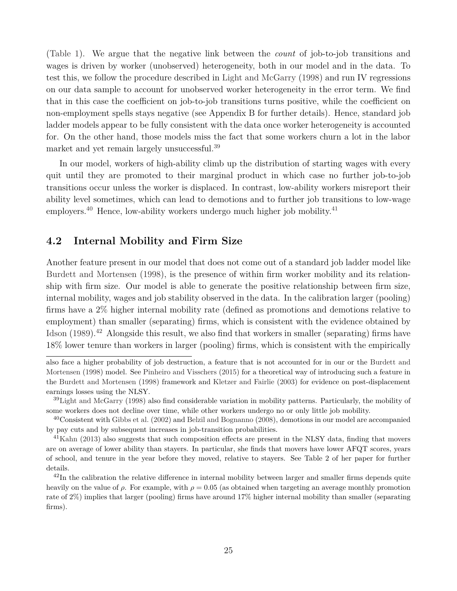[\(Table 1\)](#page-23-2). We argue that the negative link between the *count* of job-to-job transitions and wages is driven by worker (unobserved) heterogeneity, both in our model and in the data. To test this, we follow the procedure described in [Light and McGarry](#page-34-6) [\(1998\)](#page-34-6) and run IV regressions on our data sample to account for unobserved worker heterogeneity in the error term. We find that in this case the coefficient on job-to-job transitions turns positive, while the coefficient on non-employment spells stays negative (see Appendix B for further details). Hence, standard job ladder models appear to be fully consistent with the data once worker heterogeneity is accounted for. On the other hand, those models miss the fact that some workers churn a lot in the labor market and yet remain largely unsuccessful.<sup>[39](#page-26-0)</sup>

In our model, workers of high-ability climb up the distribution of starting wages with every quit until they are promoted to their marginal product in which case no further job-to-job transitions occur unless the worker is displaced. In contrast, low-ability workers misreport their ability level sometimes, which can lead to demotions and to further job transitions to low-wage employers.<sup>[40](#page-26-1)</sup> Hence, low-ability workers undergo much higher job mobility.<sup>[41](#page-26-2)</sup>

## **4.2 Internal Mobility and Firm Size**

Another feature present in our model that does not come out of a standard job ladder model like [Burdett and Mortensen](#page-32-0) [\(1998\)](#page-32-0), is the presence of within firm worker mobility and its relationship with firm size. Our model is able to generate the positive relationship between firm size, internal mobility, wages and job stability observed in the data. In the calibration larger (pooling) firms have a 2% higher internal mobility rate (defined as promotions and demotions relative to employment) than smaller (separating) firms, which is consistent with the evidence obtained by [Idson](#page-33-4) [\(1989\)](#page-33-4).<sup>[42](#page-26-3)</sup> Alongside this result, we also find that workers in smaller (separating) firms have 18% lower tenure than workers in larger (pooling) firms, which is consistent with the empirically

also face a higher probability of job destruction, a feature that is not accounted for in our or the [Burdett and](#page-32-0) [Mortensen](#page-32-0) [\(1998\)](#page-32-0) model. See [Pinheiro and Visschers](#page-35-7) [\(2015\)](#page-35-7) for a theoretical way of introducing such a feature in the [Burdett and Mortensen](#page-32-0) [\(1998\)](#page-32-0) framework and [Kletzer and Fairlie](#page-33-11) [\(2003\)](#page-33-11) for evidence on post-displacement earnings losses using the NLSY.

<span id="page-26-0"></span><sup>&</sup>lt;sup>39</sup>[Light and McGarry](#page-34-6) [\(1998\)](#page-34-6) also find considerable variation in mobility patterns. Particularly, the mobility of some workers does not decline over time, while other workers undergo no or only little job mobility.

<span id="page-26-1"></span><sup>40</sup>Consistent with [Gibbs et al.](#page-33-12) [\(2002\)](#page-33-12) and [Belzil and Bognanno](#page-32-6) [\(2008\)](#page-32-6), demotions in our model are accompanied by pay cuts and by subsequent increases in job-transition probabilities.

<span id="page-26-2"></span> $^{41}$ [Kahn](#page-33-2) [\(2013\)](#page-33-2) also suggests that such composition effects are present in the NLSY data, finding that movers are on average of lower ability than stayers. In particular, she finds that movers have lower AFQT scores, years of school, and tenure in the year before they moved, relative to stayers. See Table 2 of her paper for further details.

<span id="page-26-3"></span> $42$ In the calibration the relative difference in internal mobility between larger and smaller firms depends quite heavily on the value of  $\rho$ . For example, with  $\rho = 0.05$  (as obtained when targeting an average monthly promotion rate of 2%) implies that larger (pooling) firms have around 17% higher internal mobility than smaller (separating firms).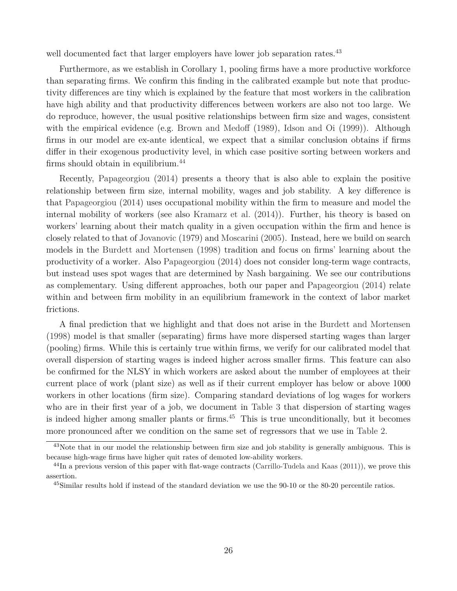well documented fact that larger employers have lower job separation rates.<sup>[43](#page-27-0)</sup>

Furthermore, as we establish in Corollary 1, pooling firms have a more productive workforce than separating firms. We confirm this finding in the calibrated example but note that productivity differences are tiny which is explained by the feature that most workers in the calibration have high ability and that productivity differences between workers are also not too large. We do reproduce, however, the usual positive relationships between firm size and wages, consistent with the empirical evidence (e.g. [Brown and Medoff](#page-32-7) [\(1989\)](#page-32-7), [Idson and Oi](#page-33-3) [\(1999\)](#page-33-3)). Although firms in our model are ex-ante identical, we expect that a similar conclusion obtains if firms differ in their exogenous productivity level, in which case positive sorting between workers and firms should obtain in equilibrium.[44](#page-27-1)

Recently, [Papageorgiou](#page-34-3) [\(2014\)](#page-34-3) presents a theory that is also able to explain the positive relationship between firm size, internal mobility, wages and job stability. A key difference is that [Papageorgiou](#page-34-3) [\(2014\)](#page-34-3) uses occupational mobility within the firm to measure and model the internal mobility of workers (see also [Kramarz et al.](#page-33-10) [\(2014\)](#page-33-10)). Further, his theory is based on workers' learning about their match quality in a given occupation within the firm and hence is closely related to that of [Jovanovic](#page-33-6) [\(1979\)](#page-33-6) and [Moscarini](#page-34-12) [\(2005\)](#page-34-12). Instead, here we build on search models in the [Burdett and Mortensen](#page-32-0) [\(1998\)](#page-32-0) tradition and focus on firms' learning about the productivity of a worker. Also [Papageorgiou](#page-34-3) [\(2014\)](#page-34-3) does not consider long-term wage contracts, but instead uses spot wages that are determined by Nash bargaining. We see our contributions as complementary. Using different approaches, both our paper and [Papageorgiou](#page-34-3) [\(2014\)](#page-34-3) relate within and between firm mobility in an equilibrium framework in the context of labor market frictions.

A final prediction that we highlight and that does not arise in the [Burdett and Mortensen](#page-32-0) [\(1998\)](#page-32-0) model is that smaller (separating) firms have more dispersed starting wages than larger (pooling) firms. While this is certainly true within firms, we verify for our calibrated model that overall dispersion of starting wages is indeed higher across smaller firms. This feature can also be confirmed for the NLSY in which workers are asked about the number of employees at their current place of work (plant size) as well as if their current employer has below or above 1000 workers in other locations (firm size). Comparing standard deviations of log wages for workers who are in their first year of a job, we document in [Table 3](#page-28-1) that dispersion of starting wages is indeed higher among smaller plants or firms.<sup>[45](#page-27-2)</sup> This is true unconditionally, but it becomes more pronounced after we condition on the same set of regressors that we use in [Table 2.](#page-25-0)

<span id="page-27-0"></span><sup>&</sup>lt;sup>43</sup>Note that in our model the relationship between firm size and job stability is generally ambiguous. This is because high-wage firms have higher quit rates of demoted low-ability workers.

<span id="page-27-1"></span> $^{44}$ In a previous version of this paper with flat-wage contracts [\(Carrillo-Tudela and Kaas](#page-32-4)  $(2011)$ ), we prove this assertion.

<span id="page-27-2"></span><sup>45</sup>Similar results hold if instead of the standard deviation we use the 90-10 or the 80-20 percentile ratios.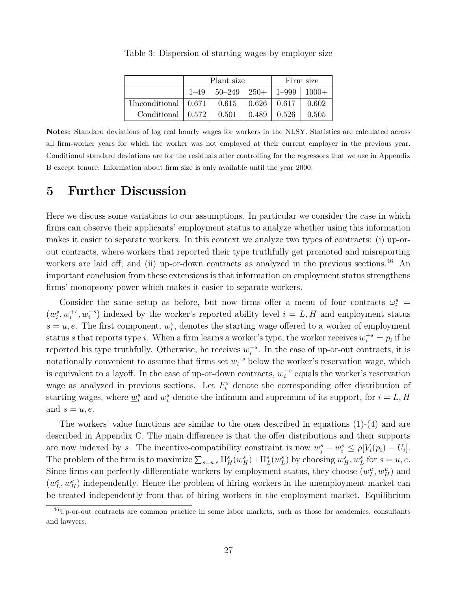|                                                                 | Plant size |                            |                           | Firm size |               |  |
|-----------------------------------------------------------------|------------|----------------------------|---------------------------|-----------|---------------|--|
|                                                                 | $1 - 49$   | $ 50-249 250+ 1-999 1000+$ |                           |           |               |  |
| Unconditional $\vert 0.671 \vert 0.615 \vert 0.626 \vert 0.617$ |            |                            |                           |           | $\vert$ 0.602 |  |
| Conditional $\vert 0.572 \vert 0.501$                           |            |                            | $\mid$ 0.489 $\mid$ 0.526 |           | 10.505        |  |

<span id="page-28-1"></span>Table 3: Dispersion of starting wages by employer size

**Notes:** Standard deviations of log real hourly wages for workers in the NLSY. Statistics are calculated across all firm-worker years for which the worker was not employed at their current employer in the previous year. Conditional standard deviations are for the residuals after controlling for the regressors that we use in Appendix B except tenure. Information about firm size is only available until the year 2000.

## <span id="page-28-0"></span>**5 Further Discussion**

Here we discuss some variations to our assumptions. In particular we consider the case in which firms can observe their applicants' employment status to analyze whether using this information makes it easier to separate workers. In this context we analyze two types of contracts: (i) up-orout contracts, where workers that reported their type truthfully get promoted and misreporting workers are laid off; and (ii) up-or-down contracts as analyzed in the previous sections.<sup>[46](#page-28-2)</sup> An important conclusion from these extensions is that information on employment status strengthens firms' monopsony power which makes it easier to separate workers.

Consider the same setup as before, but now firms offer a menu of four contracts  $\omega_i^s$  =  $(w_i^s, w_i^{+s}, w_i^{-s})$  indexed by the worker's reported ability level  $i = L, H$  and employment status  $s = u, e$ . The first component,  $w_i^s$ , denotes the starting wage offered to a worker of employment status *s* that reports type *i*. When a firm learns a worker's type, the worker receives  $w_i^{+s} = p_i$  if he reported his type truthfully. Otherwise, he receives  $w_i^{-s}$ . In the case of up-or-out contracts, it is notationally convenient to assume that firms set  $w_i^{-s}$  below the worker's reservation wage, which is equivalent to a layoff. In the case of up-or-down contracts,  $w_i^{-s}$  equals the worker's reservation wage as analyzed in previous sections. Let  $F_i^s$  denote the corresponding offer distribution of starting wages, where  $\underline{w}_i^s$  and  $\overline{w}_i^s$  denote the infimum and supremum of its support, for  $i = L, H$ and  $s = u, e$ .

The workers' value functions are similar to the ones described in equations  $(1)-(4)$  $(1)-(4)$  and are described in Appendix C. The main difference is that the offer distributions and their supports are now indexed by *s*. The incentive-compatibility constraint is now  $w_j^s - w_i^s \le \rho[V_i(p_i) - U_i].$ The problem of the firm is to maximize  $\sum_{s=u,e} \prod_H^s(w_H^s) + \prod_L^s(w_L^s)$  by choosing  $w_H^s$ ,  $w_L^s$  for  $s=u,e$ . Since firms can perfectly differentiate workers by employment status, they choose  $(w_L^u, w_H^u)$  and  $(w_L^e, w_H^e)$  independently. Hence the problem of hiring workers in the unemployment market can be treated independently from that of hiring workers in the employment market. Equilibrium

<span id="page-28-2"></span> $^{46}$ Up-or-out contracts are common practice in some labor markets, such as those for academics, consultants and lawyers.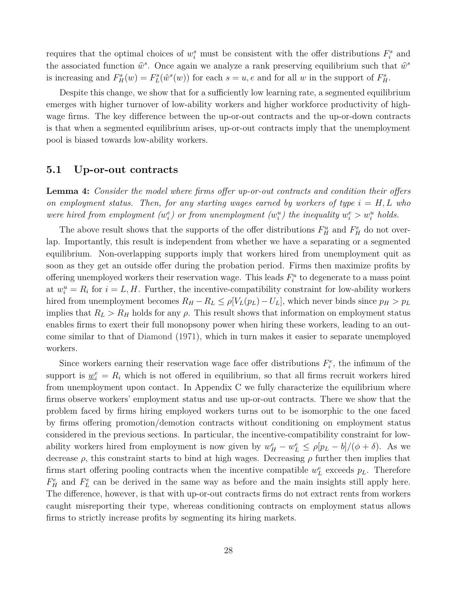requires that the optimal choices of  $w_i^s$  must be consistent with the offer distributions  $F_i^s$  and the associated function  $\hat{w}^s$ . Once again we analyze a rank preserving equilibrium such that  $\hat{w}^s$ is increasing and  $F_H^s(w) = F_L^s(\hat{w}^s(w))$  for each  $s = u, e$  and for all *w* in the support of  $F_H^s$ .

Despite this change, we show that for a sufficiently low learning rate, a segmented equilibrium emerges with higher turnover of low-ability workers and higher workforce productivity of highwage firms. The key difference between the up-or-out contracts and the up-or-down contracts is that when a segmented equilibrium arises, up-or-out contracts imply that the unemployment pool is biased towards low-ability workers.

### **5.1 Up-or-out contracts**

**Lemma 4:** *Consider the model where firms offer up-or-out contracts and condition their offers on employment status. Then, for any starting wages earned by workers of type*  $i = H, L$  who *were hired from employment*  $(w_i^e)$  *or from unemployment*  $(w_i^u)$  *the inequality*  $w_i^e > w_i^u$  *holds.* 

The above result shows that the supports of the offer distributions  $F^u_H$  and  $F^e_H$  do not overlap. Importantly, this result is independent from whether we have a separating or a segmented equilibrium. Non-overlapping supports imply that workers hired from unemployment quit as soon as they get an outside offer during the probation period. Firms then maximize profits by offering unemployed workers their reservation wage. This leads  $F_i^u$  to degenerate to a mass point at  $w_i^u = R_i$  for  $i = L, H$ . Further, the incentive-compatibility constraint for low-ability workers hired from unemployment becomes  $R_H - R_L \leq \rho[V_L(p_L) - U_L]$ , which never binds since  $p_H > p_L$ implies that  $R_L > R_H$  holds for any  $\rho$ . This result shows that information on employment status enables firms to exert their full monopsony power when hiring these workers, leading to an outcome similar to that of [Diamond](#page-33-13) [\(1971\)](#page-33-13), which in turn makes it easier to separate unemployed workers.

Since workers earning their reservation wage face offer distributions  $F_i^e$ , the infimum of the support is  $\underline{w}_i^e = R_i$  which is not offered in equilibrium, so that all firms recruit workers hired from unemployment upon contact. In Appendix C we fully characterize the equilibrium where firms observe workers' employment status and use up-or-out contracts. There we show that the problem faced by firms hiring employed workers turns out to be isomorphic to the one faced by firms offering promotion/demotion contracts without conditioning on employment status considered in the previous sections. In particular, the incentive-compatibility constraint for lowability workers hired from employment is now given by  $w_H^e - w_L^e \le \rho[p_L - b]/(\phi + \delta)$ . As we decrease  $\rho$ , this constraint starts to bind at high wages. Decreasing  $\rho$  further then implies that firms start offering pooling contracts when the incentive compatible  $w<sub>L</sub><sup>e</sup>$  exceeds  $p<sub>L</sub>$ . Therefore  $F_H^e$  and  $F_L^e$  can be derived in the same way as before and the main insights still apply here. The difference, however, is that with up-or-out contracts firms do not extract rents from workers caught misreporting their type, whereas conditioning contracts on employment status allows firms to strictly increase profits by segmenting its hiring markets.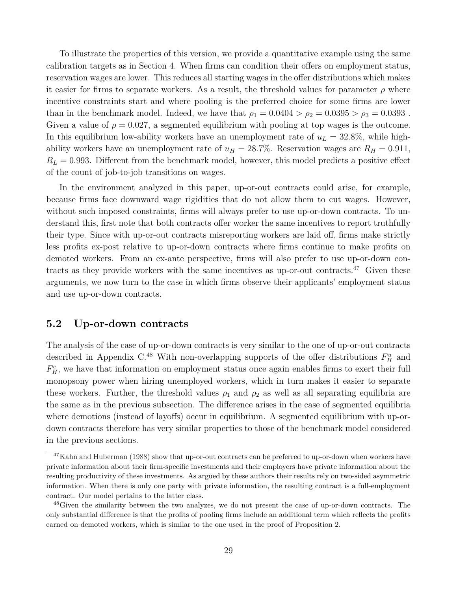To illustrate the properties of this version, we provide a quantitative example using the same calibration targets as in Section 4. When firms can condition their offers on employment status, reservation wages are lower. This reduces all starting wages in the offer distributions which makes it easier for firms to separate workers. As a result, the threshold values for parameter  $\rho$  where incentive constraints start and where pooling is the preferred choice for some firms are lower than in the benchmark model. Indeed, we have that  $\rho_1 = 0.0404 > \rho_2 = 0.0395 > \rho_3 = 0.0393$ . Given a value of  $\rho = 0.027$ , a segmented equilibrium with pooling at top wages is the outcome. In this equilibrium low-ability workers have an unemployment rate of  $u<sub>L</sub> = 32.8\%$ , while highability workers have an unemployment rate of  $u_H = 28.7\%$ . Reservation wages are  $R_H = 0.911$ ,  $R_L = 0.993$ . Different from the benchmark model, however, this model predicts a positive effect of the count of job-to-job transitions on wages.

In the environment analyzed in this paper, up-or-out contracts could arise, for example, because firms face downward wage rigidities that do not allow them to cut wages. However, without such imposed constraints, firms will always prefer to use up-or-down contracts. To understand this, first note that both contracts offer worker the same incentives to report truthfully their type. Since with up-or-out contracts misreporting workers are laid off, firms make strictly less profits ex-post relative to up-or-down contracts where firms continue to make profits on demoted workers. From an ex-ante perspective, firms will also prefer to use up-or-down contracts as they provide workers with the same incentives as up-or-out contracts. $47$  Given these arguments, we now turn to the case in which firms observe their applicants' employment status and use up-or-down contracts.

### **5.2 Up-or-down contracts**

The analysis of the case of up-or-down contracts is very similar to the one of up-or-out contracts described in Appendix C.<sup>[48](#page-30-1)</sup> With non-overlapping supports of the offer distributions  $F_H^u$  and  $F_H^e$ , we have that information on employment status once again enables firms to exert their full monopsony power when hiring unemployed workers, which in turn makes it easier to separate these workers. Further, the threshold values  $\rho_1$  and  $\rho_2$  as well as all separating equilibria are the same as in the previous subsection. The difference arises in the case of segmented equilibria where demotions (instead of layoffs) occur in equilibrium. A segmented equilibrium with up-ordown contracts therefore has very similar properties to those of the benchmark model considered in the previous sections.

<span id="page-30-0"></span><sup>&</sup>lt;sup>47</sup>[Kahn and Huberman](#page-33-14) [\(1988\)](#page-33-14) show that up-or-out contracts can be preferred to up-or-down when workers have private information about their firm-specific investments and their employers have private information about the resulting productivity of these investments. As argued by these authors their results rely on two-sided asymmetric information. When there is only one party with private information, the resulting contract is a full-employment contract. Our model pertains to the latter class.

<span id="page-30-1"></span><sup>48</sup>Given the similarity between the two analyzes, we do not present the case of up-or-down contracts. The only substantial difference is that the profits of pooling firms include an additional term which reflects the profits earned on demoted workers, which is similar to the one used in the proof of Proposition 2.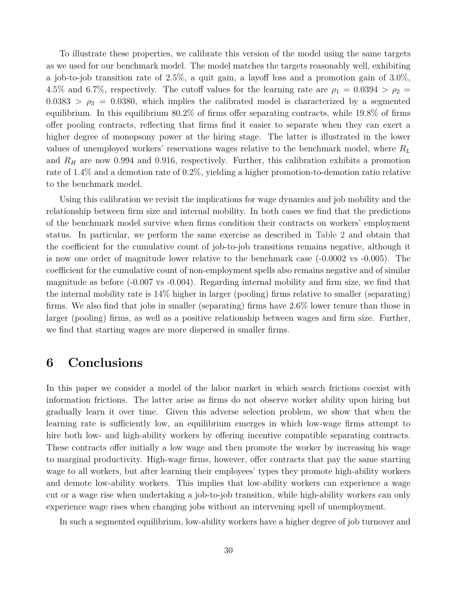To illustrate these properties, we calibrate this version of the model using the same targets as we used for our benchmark model. The model matches the targets reasonably well, exhibiting a job-to-job transition rate of 2*.*5%, a quit gain, a layoff loss and a promotion gain of 3*.*0%, 4.5% and 6.7%, respectively. The cutoff values for the learning rate are  $\rho_1 = 0.0394 > \rho_2 =$  $0.0383$  >  $\rho_3$  = 0.0380, which implies the calibrated model is characterized by a segmented equilibrium. In this equilibrium 80*.*2% of firms offer separating contracts, while 19*.*8% of firms offer pooling contracts, reflecting that firms find it easier to separate when they can exert a higher degree of monopsony power at the hiring stage. The latter is illustrated in the lower values of unemployed workers' reservations wages relative to the benchmark model, where *R<sup>L</sup>* and *R<sup>H</sup>* are now 0*.*994 and 0*.*916, respectively. Further, this calibration exhibits a promotion rate of 1*.*4% and a demotion rate of 0*.*2%, yielding a higher promotion-to-demotion ratio relative to the benchmark model.

Using this calibration we revisit the implications for wage dynamics and job mobility and the relationship between firm size and internal mobility. In both cases we find that the predictions of the benchmark model survive when firms condition their contracts on workers' employment status. In particular, we perform the same exercise as described in [Table 2](#page-25-0) and obtain that the coefficient for the cumulative count of job-to-job transitions remains negative, although it is now one order of magnitude lower relative to the benchmark case (-0*.*0002 vs -0*.*005). The coefficient for the cumulative count of non-employment spells also remains negative and of similar magnitude as before (-0*.*007 vs -0*.*004). Regarding internal mobility and firm size, we find that the internal mobility rate is 14% higher in larger (pooling) firms relative to smaller (separating) firms. We also find that jobs in smaller (separating) firms have 2*.*6% lower tenure than those in larger (pooling) firms, as well as a positive relationship between wages and firm size. Further, we find that starting wages are more dispersed in smaller firms.

## **6 Conclusions**

In this paper we consider a model of the labor market in which search frictions coexist with information frictions. The latter arise as firms do not observe worker ability upon hiring but gradually learn it over time. Given this adverse selection problem, we show that when the learning rate is sufficiently low, an equilibrium emerges in which low-wage firms attempt to hire both low- and high-ability workers by offering incentive compatible separating contracts. These contracts offer initially a low wage and then promote the worker by increasing his wage to marginal productivity. High-wage firms, however, offer contracts that pay the same starting wage to all workers, but after learning their employees' types they promote high-ability workers and demote low-ability workers. This implies that low-ability workers can experience a wage cut or a wage rise when undertaking a job-to-job transition, while high-ability workers can only experience wage rises when changing jobs without an intervening spell of unemployment.

In such a segmented equilibrium, low-ability workers have a higher degree of job turnover and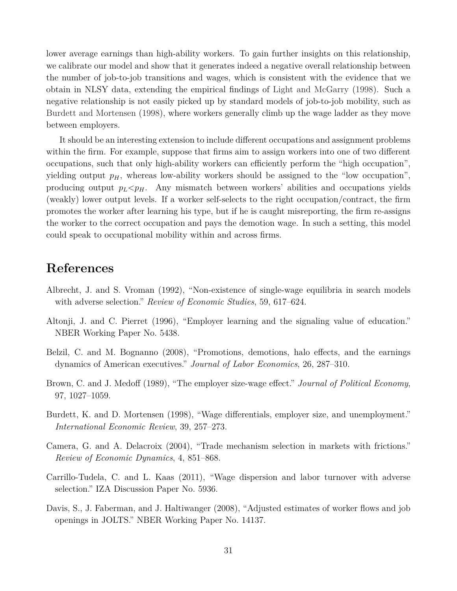lower average earnings than high-ability workers. To gain further insights on this relationship, we calibrate our model and show that it generates indeed a negative overall relationship between the number of job-to-job transitions and wages, which is consistent with the evidence that we obtain in NLSY data, extending the empirical findings of [Light and McGarry](#page-34-6) [\(1998\)](#page-34-6). Such a negative relationship is not easily picked up by standard models of job-to-job mobility, such as [Burdett and Mortensen](#page-32-0) [\(1998\)](#page-32-0), where workers generally climb up the wage ladder as they move between employers.

It should be an interesting extension to include different occupations and assignment problems within the firm. For example, suppose that firms aim to assign workers into one of two different occupations, such that only high-ability workers can efficiently perform the "high occupation", yielding output  $p<sub>H</sub>$ , whereas low-ability workers should be assigned to the "low occupation", producing output  $p_L < p_H$ . Any mismatch between workers' abilities and occupations yields (weakly) lower output levels. If a worker self-selects to the right occupation/contract, the firm promotes the worker after learning his type, but if he is caught misreporting, the firm re-assigns the worker to the correct occupation and pays the demotion wage. In such a setting, this model could speak to occupational mobility within and across firms.

## **References**

- <span id="page-32-1"></span>Albrecht, J. and S. Vroman (1992), "Non-existence of single-wage equilibria in search models with adverse selection." *Review of Economic Studies*, 59, 617–624.
- <span id="page-32-2"></span>Altonji, J. and C. Pierret (1996), "Employer learning and the signaling value of education." NBER Working Paper No. 5438.
- <span id="page-32-6"></span>Belzil, C. and M. Bognanno (2008), "Promotions, demotions, halo effects, and the earnings dynamics of American executives." *Journal of Labor Economics*, 26, 287–310.
- <span id="page-32-7"></span>Brown, C. and J. Medoff (1989), "The employer size-wage effect." *Journal of Political Economy*, 97, 1027–1059.
- <span id="page-32-0"></span>Burdett, K. and D. Mortensen (1998), "Wage differentials, employer size, and unemployment." *International Economic Review*, 39, 257–273.
- <span id="page-32-3"></span>Camera, G. and A. Delacroix (2004), "Trade mechanism selection in markets with frictions." *Review of Economic Dynamics*, 4, 851–868.
- <span id="page-32-4"></span>Carrillo-Tudela, C. and L. Kaas (2011), "Wage dispersion and labor turnover with adverse selection." IZA Discussion Paper No. 5936.
- <span id="page-32-5"></span>Davis, S., J. Faberman, and J. Haltiwanger (2008), "Adjusted estimates of worker flows and job openings in JOLTS." NBER Working Paper No. 14137.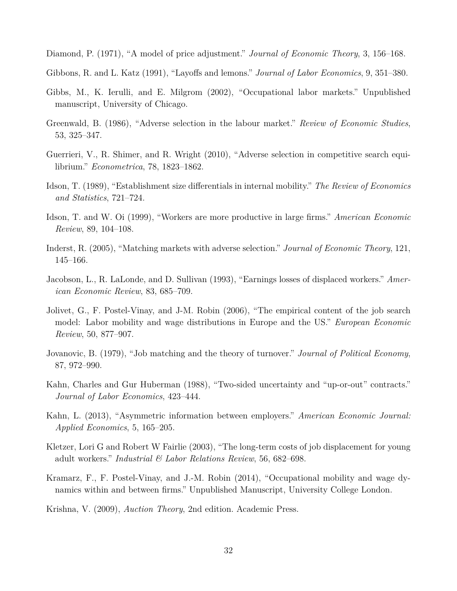<span id="page-33-13"></span>Diamond, P. (1971), "A model of price adjustment." *Journal of Economic Theory*, 3, 156–168.

<span id="page-33-1"></span>Gibbons, R. and L. Katz (1991), "Layoffs and lemons." *Journal of Labor Economics*, 9, 351–380.

- <span id="page-33-12"></span>Gibbs, M., K. Ierulli, and E. Milgrom (2002), "Occupational labor markets." Unpublished manuscript, University of Chicago.
- <span id="page-33-0"></span>Greenwald, B. (1986), "Adverse selection in the labour market." *Review of Economic Studies*, 53, 325–347.
- <span id="page-33-5"></span>Guerrieri, V., R. Shimer, and R. Wright (2010), "Adverse selection in competitive search equilibrium." *Econometrica*, 78, 1823–1862.
- <span id="page-33-4"></span>Idson, T. (1989), "Establishment size differentials in internal mobility." *The Review of Economics and Statistics*, 721–724.
- <span id="page-33-3"></span>Idson, T. and W. Oi (1999), "Workers are more productive in large firms." *American Economic Review*, 89, 104–108.
- <span id="page-33-7"></span>Inderst, R. (2005), "Matching markets with adverse selection." *Journal of Economic Theory*, 121, 145–166.
- <span id="page-33-8"></span>Jacobson, L., R. LaLonde, and D. Sullivan (1993), "Earnings losses of displaced workers." *American Economic Review*, 83, 685–709.
- <span id="page-33-9"></span>Jolivet, G., F. Postel-Vinay, and J-M. Robin (2006), "The empirical content of the job search model: Labor mobility and wage distributions in Europe and the US." *European Economic Review*, 50, 877–907.
- <span id="page-33-6"></span>Jovanovic, B. (1979), "Job matching and the theory of turnover." *Journal of Political Economy*, 87, 972–990.
- <span id="page-33-14"></span>Kahn, Charles and Gur Huberman (1988), "Two-sided uncertainty and "up-or-out" contracts." *Journal of Labor Economics*, 423–444.
- <span id="page-33-2"></span>Kahn, L. (2013), "Asymmetric information between employers." *American Economic Journal: Applied Economics*, 5, 165–205.
- <span id="page-33-11"></span>Kletzer, Lori G and Robert W Fairlie (2003), "The long-term costs of job displacement for young adult workers." *Industrial & Labor Relations Review*, 56, 682–698.
- <span id="page-33-10"></span>Kramarz, F., F. Postel-Vinay, and J.-M. Robin (2014), "Occupational mobility and wage dynamics within and between firms." Unpublished Manuscript, University College London.
- <span id="page-33-15"></span>Krishna, V. (2009), *Auction Theory*, 2nd edition. Academic Press.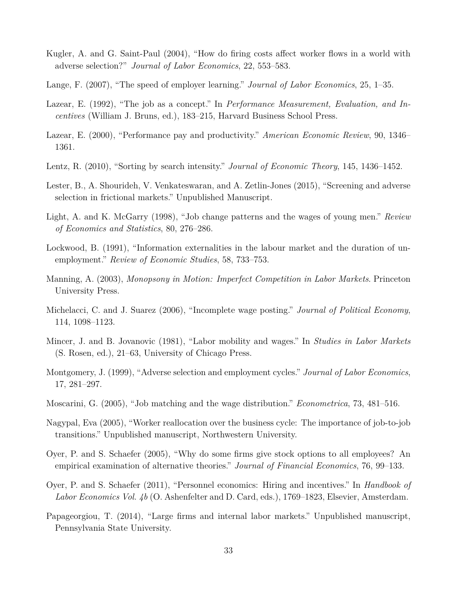- <span id="page-34-11"></span>Kugler, A. and G. Saint-Paul (2004), "How do firing costs affect worker flows in a world with adverse selection?" *Journal of Labor Economics*, 22, 553–583.
- <span id="page-34-1"></span>Lange, F. (2007), "The speed of employer learning." *Journal of Labor Economics*, 25, 1–35.
- <span id="page-34-15"></span>Lazear, E. (1992), "The job as a concept." In *Performance Measurement, Evaluation, and Incentives* (William J. Bruns, ed.), 183–215, Harvard Business School Press.
- <span id="page-34-7"></span>Lazear, E. (2000), "Performance pay and productivity." *American Economic Review*, 90, 1346– 1361.
- <span id="page-34-2"></span>Lentz, R. (2010), "Sorting by search intensity." *Journal of Economic Theory*, 145, 1436–1452.
- <span id="page-34-10"></span>Lester, B., A. Shourideh, V. Venkateswaran, and A. Zetlin-Jones (2015), "Screening and adverse selection in frictional markets." Unpublished Manuscript.
- <span id="page-34-6"></span>Light, A. and K. McGarry (1998), "Job change patterns and the wages of young men." *Review of Economics and Statistics*, 80, 276–286.
- <span id="page-34-0"></span>Lockwood, B. (1991), "Information externalities in the labour market and the duration of unemployment." *Review of Economic Studies*, 58, 733–753.
- <span id="page-34-16"></span>Manning, A. (2003), *Monopsony in Motion: Imperfect Competition in Labor Markets*. Princeton University Press.
- <span id="page-34-13"></span>Michelacci, C. and J. Suarez (2006), "Incomplete wage posting." *Journal of Political Economy*, 114, 1098–1123.
- <span id="page-34-5"></span>Mincer, J. and B. Jovanovic (1981), "Labor mobility and wages." In *Studies in Labor Markets* (S. Rosen, ed.), 21–63, University of Chicago Press.
- <span id="page-34-9"></span>Montgomery, J. (1999), "Adverse selection and employment cycles." *Journal of Labor Economics*, 17, 281–297.
- <span id="page-34-12"></span>Moscarini, G. (2005), "Job matching and the wage distribution." *Econometrica*, 73, 481–516.
- <span id="page-34-14"></span>Nagypal, Eva (2005), "Worker reallocation over the business cycle: The importance of job-to-job transitions." Unpublished manuscript, Northwestern University.
- <span id="page-34-8"></span>Oyer, P. and S. Schaefer (2005), "Why do some firms give stock options to all employees? An empirical examination of alternative theories." *Journal of Financial Economics*, 76, 99–133.
- <span id="page-34-4"></span>Oyer, P. and S. Schaefer (2011), "Personnel economics: Hiring and incentives." In *Handbook of Labor Economics Vol. 4b* (O. Ashenfelter and D. Card, eds.), 1769–1823, Elsevier, Amsterdam.
- <span id="page-34-3"></span>Papageorgiou, T. (2014), "Large firms and internal labor markets." Unpublished manuscript, Pennsylvania State University.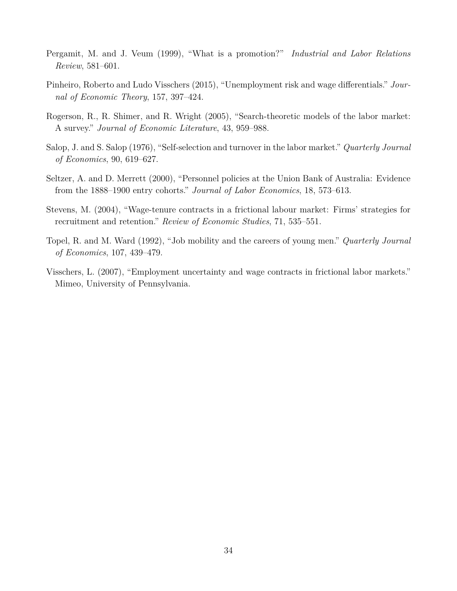- <span id="page-35-5"></span>Pergamit, M. and J. Veum (1999), "What is a promotion?" *Industrial and Labor Relations Review*, 581–601.
- <span id="page-35-7"></span>Pinheiro, Roberto and Ludo Visschers (2015), "Unemployment risk and wage differentials." *Journal of Economic Theory*, 157, 397–424.
- <span id="page-35-1"></span>Rogerson, R., R. Shimer, and R. Wright (2005), "Search-theoretic models of the labor market: A survey." *Journal of Economic Literature*, 43, 959–988.
- <span id="page-35-2"></span>Salop, J. and S. Salop (1976), "Self-selection and turnover in the labor market." *Quarterly Journal of Economics*, 90, 619–627.
- <span id="page-35-6"></span>Seltzer, A. and D. Merrett (2000), "Personnel policies at the Union Bank of Australia: Evidence from the 1888–1900 entry cohorts." *Journal of Labor Economics*, 18, 573–613.
- <span id="page-35-4"></span>Stevens, M. (2004), "Wage-tenure contracts in a frictional labour market: Firms' strategies for recruitment and retention." *Review of Economic Studies*, 71, 535–551.
- <span id="page-35-0"></span>Topel, R. and M. Ward (1992), "Job mobility and the careers of young men." *Quarterly Journal of Economics*, 107, 439–479.
- <span id="page-35-3"></span>Visschers, L. (2007), "Employment uncertainty and wage contracts in frictional labor markets." Mimeo, University of Pennsylvania.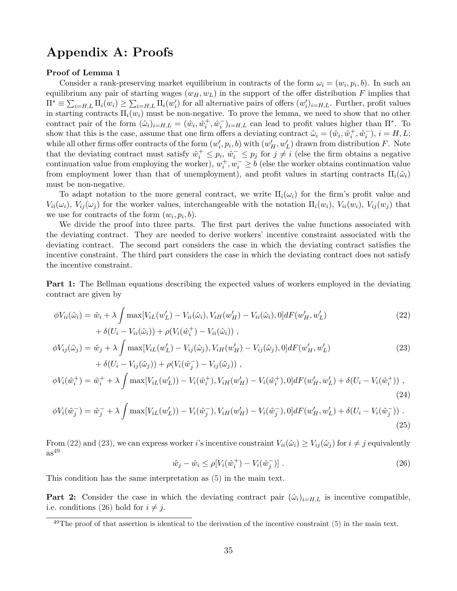## **Appendix A: Proofs**

### **Proof of Lemma 1**

Consider a rank-preserving market equilibrium in contracts of the form  $\omega_i = (w_i, p_i, b)$ . In such an equilibrium any pair of starting wages  $(w_H, w_L)$  in the support of the offer distribution  $F$  implies that  $\Pi^* \equiv \sum_{i=H,L} \Pi_i(w_i) \geq \sum_{i=H,L} \Pi_i(w'_i)$  for all alternative pairs of offers  $(w'_i)_{i=H,L}$ . Further, profit values in starting contracts  $\Pi_i(w_i)$  must be non-negative. To prove the lemma, we need to show that no other contract pair of the form  $(\hat{\omega}_i)_{i=H,L} = (\hat{w}_i, \hat{w}_i^+, \hat{w}_i^-)_{i=H,L}$  can lead to profit values higher than  $\Pi^*$ . To show that this is the case, assume that one firm offers a deviating contract  $\hat{\omega}_i = (\hat{w}_i, \hat{w}_i^+, \hat{w}_i^-), i = H, L;$ while all other firms offer contracts of the form  $(w'_i, p_i, b)$  with  $(w'_H, w'_L)$  drawn from distribution *F*. Note that the deviating contract must satisfy  $\hat{w}_i^+ \leq p_i$ ,  $\hat{w}_i^- \leq p_j$  for  $j \neq i$  (else the firm obtains a negative continuation value from employing the worker),  $w_i^+, w_i^- \ge b$  (else the worker obtains continuation value from employment lower than that of unemployment), and profit values in starting contracts  $\Pi_i(\hat{\omega}_i)$ must be non-negative.

To adapt notation to the more general contract, we write  $\Pi_i(\omega_i)$  for the firm's profit value and  $V_{ii}(\omega_i)$ ,  $V_{ij}(\omega_j)$  for the worker values, interchangeable with the notation  $\Pi_i(w_i)$ ,  $V_{ii}(w_i)$ ,  $V_{ij}(w_j)$  that we use for contracts of the form  $(w_i, p_i, b)$ .

We divide the proof into three parts. The first part derives the value functions associated with the deviating contract. They are needed to derive workers' incentive constraint associated with the deviating contract. The second part considers the case in which the deviating contract satisfies the incentive constraint. The third part considers the case in which the deviating contract does not satisfy the incentive constraint.

**Part 1:** The Bellman equations describing the expected values of workers employed in the deviating contract are given by

$$
\phi V_{ii}(\hat{\omega}_i) = \hat{w}_i + \lambda \int \max[V_{iL}(w'_L) - V_{ii}(\hat{\omega}_i), V_{iH}(w'_H) - V_{ii}(\hat{\omega}_i), 0] dF(w'_H, w'_L)
$$
\n(22)

$$
+ \delta(U_i - V_{ii}(\hat{\omega}_i)) + \rho(V_i(\hat{w}_i^+) - V_{ii}(\hat{\omega}_i)),
$$
  
\n
$$
\phi V_{ij}(\hat{\omega}_j) = \hat{w}_j + \lambda \int \max[V_{iL}(w'_L) - V_{ij}(\hat{\omega}_j), V_{iH}(w'_H) - V_{ij}(\hat{\omega}_j), 0]dF(w'_H, w'_L)
$$
\n
$$
+ \delta(U_i - V_{ij}(\hat{\omega}_j)) + \rho(V_i(\hat{w}_j^-) - V_{ij}(\hat{\omega}_j)),
$$
  
\n
$$
\phi V_i(\hat{w}_i^+) = \hat{w}_i^+ + \lambda \int \max[V_{iL}(w'_L)) - V_i(\hat{w}_i^+), V_{iH}(w'_H) - V_i(\hat{w}_i^+), 0]dF(w'_H, w'_L) + \delta(U_i - V_i(\hat{w}_i^+)),
$$
\n(23)

$$
\phi V_i(\hat{w}_j^-) = \hat{w}_j^- + \lambda \int \max[V_{iL}(w'_L)) - V_i(\hat{w}_j^-), V_{iH}(w'_H) - V_i(\hat{w}_j^-), 0] dF(w'_H, w'_L) + \delta(U_i - V_i(\hat{w}_j^-)).
$$
\n(25)

From [\(22\)](#page-36-0) and [\(23\),](#page-36-1) we can express worker *i*'s incentive constraint  $V_{ii}(\hat{\omega}_i) \ge V_{ij}(\hat{\omega}_j)$  for  $i \ne j$  equivalently  $as^{49}$  $as^{49}$  $as^{49}$ 

<span id="page-36-3"></span>
$$
\hat{w}_j - \hat{w}_i \le \rho [V_i(\hat{w}_i^+) - V_i(\hat{w}_j^-)] \tag{26}
$$

<span id="page-36-4"></span><span id="page-36-1"></span><span id="page-36-0"></span>(24)

This condition has the same interpretation as [\(5\)](#page-10-2) in the main text.

**Part 2:** Consider the case in which the deviating contract pair  $(\hat{\omega}_i)_{i=H,L}$  is incentive compatible, i.e. conditions [\(26\)](#page-36-3) hold for  $i \neq j$ .

<span id="page-36-2"></span> $^{49}$ The proof of that assertion is identical to the derivation of the incentive constraint [\(5\)](#page-10-2) in the main text.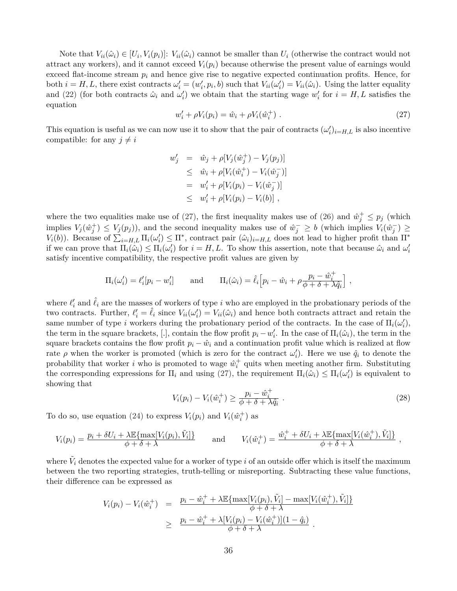Note that  $V_{ii}(\hat{\omega}_i) \in [U_i, V_i(p_i)]$ :  $V_{ii}(\hat{\omega}_i)$  cannot be smaller than  $U_i$  (otherwise the contract would not attract any workers), and it cannot exceed  $V_i(p_i)$  because otherwise the present value of earnings would exceed flat-income stream *p<sup>i</sup>* and hence give rise to negative expected continuation profits. Hence, for both  $i = H, L$ , there exist contracts  $\omega'_i = (w'_i, p_i, b)$  such that  $V_{ii}(\omega'_i) = V_{ii}(\hat{\omega}_i)$ . Using the latter equality and [\(22\)](#page-36-0) (for both contracts  $\hat{\omega}_i$  and  $\omega'_i$ ) we obtain that the starting wage  $w'_i$  for  $i = H, L$  satisfies the equation

<span id="page-37-0"></span>
$$
w'_{i} + \rho V_{i}(p_{i}) = \hat{w}_{i} + \rho V_{i}(\hat{w}_{i}^{+})
$$
 (27)

This equation is useful as we can now use it to show that the pair of contracts  $(\omega'_i)_{i=H,L}$  is also incentive compatible: for any  $j \neq i$ 

$$
w'_{j} = \hat{w}_{j} + \rho[V_{j}(\hat{w}_{j}^{+}) - V_{j}(p_{j})]
$$
  
\n
$$
\leq \hat{w}_{i} + \rho[V_{i}(\hat{w}_{i}^{+}) - V_{i}(\hat{w}_{j}^{-})]
$$
  
\n
$$
= w'_{i} + \rho[V_{i}(p_{i}) - V_{i}(\hat{w}_{j}^{-})]
$$
  
\n
$$
\leq w'_{i} + \rho[V_{i}(p_{i}) - V_{i}(b)]
$$
,

where the two equalities make use of [\(27\),](#page-37-0) the first inequality makes use of [\(26\)](#page-36-3) and  $\hat{w}_j^+ \leq p_j$  (which implies  $V_j(\hat{w}_j^+) \leq V_j(p_j)$ , and the second inequality makes use of  $\hat{w}_j^- \geq b$  (which implies  $V_i(\hat{w}_j^-) \geq$  $V_i(b)$ ). Because of  $\sum_{i=H,L} \Pi_i(\omega_i') \leq \Pi^*$ , contract pair  $(\hat{\omega}_i)_{i=H,L}$  does not lead to higher profit than  $\Pi^*$ if we can prove that  $\Pi_i(\hat{\omega}_i) \leq \Pi_i(\omega'_i)$  for  $i = H, L$ . To show this assertion, note that because  $\hat{\omega}_i$  and  $\omega'_i$ satisfy incentive compatibility, the respective profit values are given by

$$
\Pi_i(\omega'_i) = \ell'_i[p_i - w'_i] \quad \text{and} \quad \Pi_i(\hat{\omega}_i) = \hat{\ell}_i \Big[ p_i - \hat{w}_i + \rho \frac{p_i - \hat{w}_i^+}{\phi + \delta + \lambda \hat{q}_i} \Big],
$$

where  $\ell'_i$  and  $\hat{\ell}_i$  are the masses of workers of type *i* who are employed in the probationary periods of the two contracts. Further,  $\ell'_i = \hat{\ell}_i$  since  $V_{ii}(\omega'_i) = V_{ii}(\hat{\omega}_i)$  and hence both contracts attract and retain the same number of type *i* workers during the probationary period of the contracts. In the case of  $\Pi_i(\omega'_i)$ , the term in the square brackets, [*.*], contain the flow profit  $p_i - w'_i$ . In the case of  $\Pi_i(\hat{\omega}_i)$ , the term in the square brackets contains the flow profit  $p_i - \hat{w}_i$  and a continuation profit value which is realized at flow rate  $\rho$  when the worker is promoted (which is zero for the contract  $\omega'_i$ ). Here we use  $\hat{q}_i$  to denote the probability that worker *i* who is promoted to wage  $\hat{w}_i^+$  quits when meeting another firm. Substituting the corresponding expressions for  $\Pi_i$  and using [\(27\),](#page-37-0) the requirement  $\Pi_i(\hat{\omega}_i) \leq \Pi_i(\omega'_i)$  is equivalent to showing that

<span id="page-37-1"></span>
$$
V_i(p_i) - V_i(\hat{w}_i^+) \ge \frac{p_i - \hat{w}_i^+}{\phi + \delta + \lambda \hat{q}_i} \ . \tag{28}
$$

To do so, use equation [\(24\)](#page-36-4) to express  $V_i(p_i)$  and  $V_i(\hat{w}_i^+)$  as

$$
V_i(p_i) = \frac{p_i + \delta U_i + \lambda \mathbb{E}\{\max[V_i(p_i), \tilde{V}_i]\}}{\phi + \delta + \lambda} \quad \text{and} \quad V_i(\hat{w}_i^+) = \frac{\hat{w}_i^+ + \delta U_i + \lambda \mathbb{E}\{\max[V_i(\hat{w}_i^+), \tilde{V}_i]\}}{\phi + \delta + \lambda},
$$

where  $\tilde{V}_i$  denotes the expected value for a worker of type  $i$  of an outside offer which is itself the maximum between the two reporting strategies, truth-telling or misreporting. Subtracting these value functions, their difference can be expressed as

$$
V_i(p_i) - V_i(\hat{w}_i^+) = \frac{p_i - \hat{w}_i^+ + \lambda \mathbb{E}\{\max[V_i(p_i), \tilde{V}_i] - \max[V_i(\hat{w}_i^+), \tilde{V}_i]\}}{\phi + \delta + \lambda} \geq \frac{p_i - \hat{w}_i^+ + \lambda[V_i(p_i) - V_i(\hat{w}_i^+)](1 - \hat{q}_i)}{\phi + \delta + \lambda}.
$$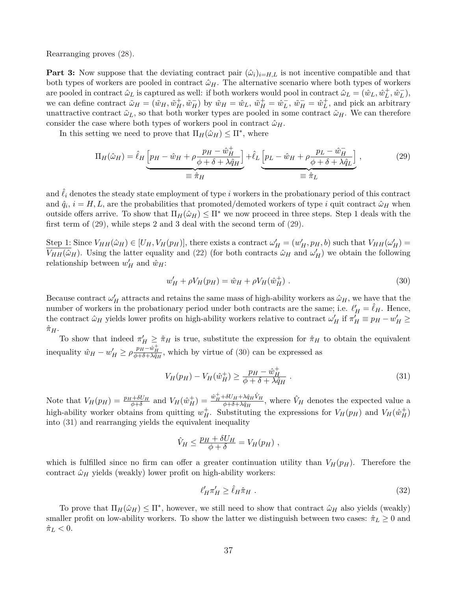Rearranging proves [\(28\).](#page-37-1)

**Part 3:** Now suppose that the deviating contract pair  $(\hat{\omega}_i)_{i=H,L}$  is not incentive compatible and that both types of workers are pooled in contract  $\hat{\omega}_H$ . The alternative scenario where both types of workers are pooled in contract  $\hat{\omega}_L$  is captured as well: if both workers would pool in contract  $\hat{\omega}_L = (\hat{w}_L, \hat{w}_L^+, \hat{w}_L^-)$ , we can define contract  $\tilde{\omega}_H = (\tilde{w}_H, \tilde{w}_H^+, \tilde{w}_H^-)$  by  $\tilde{w}_H = \hat{w}_L$ ,  $\tilde{w}_H^+ = \hat{w}_L^-$ ,  $\tilde{w}_H^- = \hat{w}_L^+$ , and pick an arbitrary unattractive contract  $\tilde{\omega}_L$ , so that both worker types are pooled in some contract  $\tilde{\omega}_H$ . We can therefore consider the case where both types of workers pool in contract  $\hat{\omega}_H$ .

In this setting we need to prove that  $\Pi_H(\hat{\omega}_H) \leq \Pi^*$ , where

<span id="page-38-0"></span>
$$
\Pi_H(\hat{\omega}_H) = \hat{\ell}_H \underbrace{\left[ p_H - \hat{w}_H + \rho \frac{p_H - \hat{w}_H^+}{\phi + \delta + \lambda \hat{q}_H} \right]}_{\equiv \hat{\pi}_H} + \hat{\ell}_L \underbrace{\left[ p_L - \hat{w}_H + \rho \frac{p_L - \hat{w}_H^-}{\phi + \delta + \lambda \hat{q}_L} \right]}_{\equiv \hat{\pi}_L},
$$
\n(29)

and  $\hat{\ell}_i$  denotes the steady state employment of type *i* workers in the probationary period of this contract and  $\hat{q}_i$ ,  $i = H, L$ , are the probabilities that promoted/demoted workers of type *i* quit contract  $\hat{\omega}_H$  when outside offers arrive. To show that  $\Pi_H(\hat{\omega}_H) \leq \Pi^*$  we now proceed in three steps. Step 1 deals with the first term of  $(29)$ , while steps 2 and 3 deal with the second term of  $(29)$ .

Step 1: Since  $V_{HH}(\hat{\omega}_H) \in [U_H, V_H(p_H)],$  there exists a contract  $\omega'_H = (w'_H, p_H, b)$  such that  $V_{HH}(\omega'_H) =$  $\overline{V_{HH}(\hat{\omega}_H)}$ . Using the latter equality and [\(22\)](#page-36-0) (for both contracts  $\hat{\omega}_H$  and  $\omega'_H$ ) we obtain the following relationship between  $w'_H$  and  $\hat{w}_H$ :

<span id="page-38-1"></span>
$$
w'_{H} + \rho V_{H}(p_{H}) = \hat{w}_{H} + \rho V_{H}(\hat{w}_{H}^{+}) . \qquad (30)
$$

Because contract  $\omega'_H$  attracts and retains the same mass of high-ability workers as  $\hat{\omega}_H$ , we have that the number of workers in the probationary period under both contracts are the same; i.e.  $\ell'_H = \ell_H$ . Hence, the contract  $\hat{\omega}_H$  yields lower profits on high-ability workers relative to contract  $\omega'_H$  if  $\pi'_H \equiv p_H - w'_H \ge$  $\hat{\pi}_H$ .

To show that indeed  $\pi'_H \geq \hat{\pi}_H$  is true, substitute the expression for  $\hat{\pi}_H$  to obtain the equivalent inequality  $\hat{w}_H - w'_H \ge \rho \frac{p_H - \hat{w}_H^+}{\phi + \delta + \lambda \hat{q}_H}$ , which by virtue of [\(30\)](#page-38-1) can be expressed as

<span id="page-38-2"></span>
$$
V_H(p_H) - V_H(\hat{w}_H^+) \ge \frac{p_H - \hat{w}_H^+}{\phi + \delta + \lambda \hat{q}_H} \,. \tag{31}
$$

Note that  $V_H(p_H) = \frac{p_H + \delta U_H}{\phi + \delta}$  and  $V_H(\hat{w}_H^+) = \frac{\hat{w}_H^+ + \delta U_H + \lambda \hat{q}_H \hat{V}_H}{\phi + \delta + \lambda \hat{q}_H}$  $\frac{\partial^2 U_H + \lambda \hat{q}_H V_H}{\partial^2 + \delta + \lambda \hat{q}_H}$ , where  $\hat{V}_H$  denotes the expected value a high-ability worker obtains from quitting  $w_H^+$ . Substituting the expressions for  $V_H(p_H)$  and  $V_H(\hat{w}_H^+)$ into [\(31\)](#page-38-2) and rearranging yields the equivalent inequality

$$
\hat{V}_H \le \frac{p_H + \delta U_H}{\phi + \delta} = V_H(p_H) ,
$$

which is fulfilled since no firm can offer a greater continuation utility than  $V_H(p_H)$ . Therefore the contract  $\hat{\omega}_H$  yields (weakly) lower profit on high-ability workers:

<span id="page-38-3"></span>
$$
\ell'_H \pi'_H \ge \hat{\ell}_H \hat{\pi}_H \tag{32}
$$

To prove that  $\Pi_H(\hat{\omega}_H) \leq \Pi^*$ , however, we still need to show that contract  $\hat{\omega}_H$  also yields (weakly) smaller profit on low-ability workers. To show the latter we distinguish between two cases:  $\hat{\pi}_L \geq 0$  and  $\hat{\pi}_L < 0$ .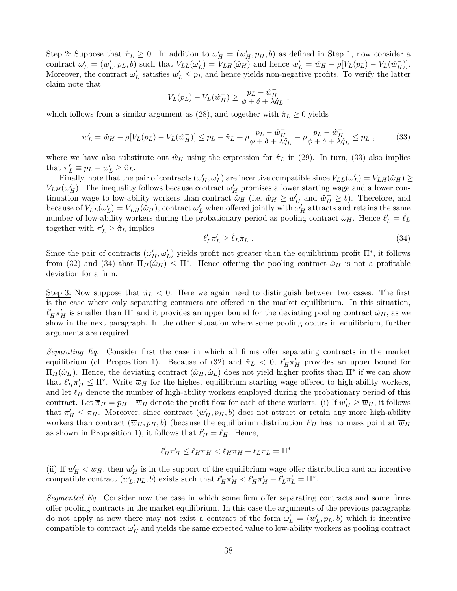Step 2: Suppose that  $\hat{\pi}_L \geq 0$ . In addition to  $\omega'_H = (w'_H, p_H, b)$  as defined in Step 1, now consider a contract  $\omega'_{L} = (w'_{L}, p_{L}, b)$  such that  $V_{LL}(\omega'_{L}) = V_{LH}(\hat{\omega}_{H})$  and hence  $w'_{L} = \hat{w}_{H} - \rho[V_{L}(p_{L}) - V_{L}(\hat{w}_{H})]$ . Moreover, the contract  $\omega'_{L}$  satisfies  $w'_{L} \leq p_{L}$  and hence yields non-negative profits. To verify the latter claim note that

$$
V_L(p_L) - V_L(\hat{w}_H^-) \ge \frac{p_L - \hat{w}_H^-}{\phi + \delta + \lambda \hat{q}_L} ,
$$

which follows from a similar argument as [\(28\),](#page-37-1) and together with  $\hat{\pi}_L \geq 0$  yields

<span id="page-39-0"></span>
$$
w'_{L} = \hat{w}_{H} - \rho [V_{L}(p_{L}) - V_{L}(\hat{w}_{H})] \leq p_{L} - \hat{\pi}_{L} + \rho \frac{p_{L} - \hat{w}_{H}^{-}}{\phi + \delta + \lambda \hat{q}_{L}} - \rho \frac{p_{L} - \hat{w}_{H}^{-}}{\phi + \delta + \lambda \hat{q}_{L}} \leq p_{L}, \qquad (33)
$$

where we have also substitute out  $\hat{w}_H$  using the expression for  $\hat{\pi}_L$  in [\(29\).](#page-38-0) In turn, [\(33\)](#page-39-0) also implies that  $\pi'_L \equiv p_L - w'_L \geq \hat{\pi}_L$ .

Finally, note that the pair of contracts  $(\omega'_H, \omega'_L)$  are incentive compatible since  $V_{LL}(\omega'_L) = V_{LH}(\hat{\omega}_H) \ge$  $V_{LH}(\omega'_H)$ . The inequality follows because contract  $\omega'_H$  promises a lower starting wage and a lower continuation wage to low-ability workers than contract  $\hat{\omega}_H$  (i.e.  $\hat{w}_H \geq w'_H$  and  $\hat{w}_H^- \geq b$ ). Therefore, and because of  $V_{LL}(\omega'_L) = V_{LH}(\hat{\omega}_H)$ , contract  $\omega'_L$  when offered jointly with  $\omega'_H$  attracts and retains the same number of low-ability workers during the probationary period as pooling contract  $\hat{\omega}_H$ . Hence  $\ell'_L = \hat{\ell}_L$ together with  $\pi'_L \geq \hat{\pi}_L$  implies

<span id="page-39-1"></span>
$$
\ell'_L \pi'_L \ge \hat{\ell}_L \hat{\pi}_L \tag{34}
$$

Since the pair of contracts  $(\omega'_H, \omega'_L)$  yields profit not greater than the equilibrium profit  $\Pi^*$ , it follows from [\(32\)](#page-38-3) and [\(34\)](#page-39-1) that  $\Pi_H(\hat{\omega}_H) \leq \Pi^*$ . Hence offering the pooling contract  $\hat{\omega}_H$  is not a profitable deviation for a firm.

Step 3: Now suppose that  $\hat{\pi}_L < 0$ . Here we again need to distinguish between two cases. The first is the case where only separating contracts are offered in the market equilibrium. In this situation,  $\ell'_H \pi'_H$  is smaller than  $\Pi^*$  and it provides an upper bound for the deviating pooling contract  $\hat{\omega}_H$ , as we show in the next paragraph. In the other situation where some pooling occurs in equilibrium, further arguments are required.

*Separating Eq.* Consider first the case in which all firms offer separating contracts in the market equilibrium (cf. Proposition 1). Because of [\(32\)](#page-38-3) and  $\hat{\pi}_L < 0$ ,  $\ell'_H \pi'_H$  provides an upper bound for  $\Pi_H(\hat{\omega}_H)$ . Hence, the deviating contract  $(\hat{\omega}_H, \hat{\omega}_L)$  does not yield higher profits than  $\Pi^*$  if we can show that  $\ell'_H \underline{\pi}'_H \leq \Pi^*$ . Write  $\overline{w}_H$  for the highest equilibrium starting wage offered to high-ability workers, and let  $\ell_H$  denote the number of high-ability workers employed during the probationary period of this contract. Let  $\overline{\pi}_H = p_H - \overline{w}_H$  denote the profit flow for each of these workers. (i) If  $w'_H \geq \overline{w}_H$ , it follows that  $\pi'_H \leq \overline{\pi}_H$ . Moreover, since contract  $(w'_H, p_H, b)$  does not attract or retain any more high-ability workers than contract  $(\overline{w}_H, p_H, b)$  (because the equilibrium distribution  $F_H$  has no mass point at  $\overline{w}_H$ as shown in Proposition 1), it follows that  $\ell'_H = \overline{\ell}_H$ . Hence,

$$
\ell_H' \pi_H' \leq \bar{\ell}_H \overline{\pi}_H < \bar{\ell}_H \overline{\pi}_H + \bar{\ell}_L \overline{\pi}_L = \Pi^*.
$$

(ii) If  $w'_H < \overline{w}_H$ , then  $w'_H$  is in the support of the equilibrium wage offer distribution and an incentive compatible contract  $(w'_L, p_L, b)$  exists such that  $\ell'_H \pi'_H < \ell'_H \pi'_H + \ell'_L \pi'_L = \Pi^*$ .

*Segmented Eq.* Consider now the case in which some firm offer separating contracts and some firms offer pooling contracts in the market equilibrium. In this case the arguments of the previous paragraphs do not apply as now there may not exist a contract of the form  $\omega'_{L} = (w'_{L}, p_{L}, b)$  which is incentive compatible to contract  $\omega'_{H}$  and yields the same expected value to low-ability workers as pooling contract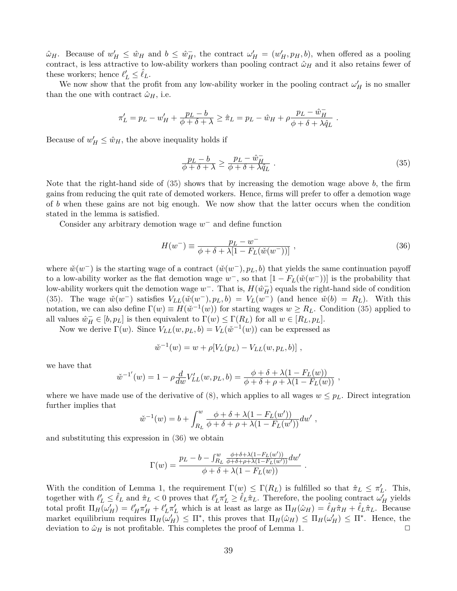$\hat{\omega}_H$ . Because of  $w'_H \leq \hat{w}_H$  and  $b \leq \hat{w}_H^-$ , the contract  $\omega'_H = (w'_H, p_H, b)$ , when offered as a pooling contract, is less attractive to low-ability workers than pooling contract  $\hat{\omega}_H$  and it also retains fewer of these workers; hence  $\ell'_L \leq \hat{\ell}_L$ .

We now show that the profit from any low-ability worker in the pooling contract  $\omega'_{H}$  is no smaller than the one with contract  $\hat{\omega}_H$ , i.e.

$$
\pi_L'=p_L-w_H'+\tfrac{p_L-b}{\phi+\delta+\lambda}\geq \hat{\pi}_L=p_L-\hat{w}_H+\rho\frac{p_L-\hat{w}_H^-}{\phi+\delta+\lambda\hat{q}_L}\;.
$$

Because of  $w'_H \leq \hat{w}_H$ , the above inequality holds if

<span id="page-40-0"></span>
$$
\frac{p_L - b}{\phi + \delta + \lambda} \ge \frac{p_L - \hat{w}_H^-}{\phi + \delta + \lambda \hat{q}_L} \tag{35}
$$

Note that the right-hand side of [\(35\)](#page-40-0) shows that by increasing the demotion wage above *b*, the firm gains from reducing the quit rate of demoted workers. Hence, firms will prefer to offer a demotion wage of *b* when these gains are not big enough. We now show that the latter occurs when the condition stated in the lemma is satisfied.

Consider any arbitrary demotion wage *w* <sup>−</sup> and define function

<span id="page-40-1"></span>
$$
H(w^{-}) \equiv \frac{p_L - w^{-}}{\phi + \delta + \lambda [1 - F_L(\check{w}(w^{-}))]},
$$
\n(36)

where  $\check{w}(w^-)$  is the starting wage of a contract  $(\check{w}(w^-), p_L, b)$  that yields the same continuation payoff to a low-ability worker as the flat demotion wage  $w^-$ , so that  $[1 - F_L(\check{w}(w^-))]$  is the probability that low-ability workers quit the demotion wage  $w^-$ . That is,  $H(\hat{w}_H^-)$  equals the right-hand side of condition [\(35\).](#page-40-0) The wage  $\check{w}(w^-)$  satisfies  $V_{LL}(\check{w}(w^-), p_L, b) = V_L(w^-)$  (and hence  $\check{w}(b) = R_L$ ). With this notation, we can also define  $\Gamma(w) \equiv H(\check{w}^{-1}(w))$  for starting wages  $w \ge R_L$ . Condition [\(35\)](#page-40-0) applied to all values  $\hat{w}_H^- \in [b, p_L]$  is then equivalent to  $\Gamma(w) \leq \Gamma(R_L)$  for all  $w \in [R_L, p_L]$ .

Now we derive  $\Gamma(w)$ . Since  $V_{LL}(w, p_L, b) = V_L(\check{w}^{-1}(w))$  can be expressed as

$$
\check{w}^{-1}(w) = w + \rho[V_L(p_L) - V_{LL}(w, p_L, b)],
$$

we have that

$$
\check{w}^{-1'}(w) = 1 - \rho \frac{d}{dw} V'_{LL}(w, p_L, b) = \frac{\phi + \delta + \lambda(1 - F_L(w))}{\phi + \delta + \rho + \lambda(1 - F_L(w))},
$$

where we have made use of the derivative of [\(8\),](#page-13-1) which applies to all wages  $w \leq p_L$ . Direct integration further implies that

$$
\tilde{w}^{-1}(w) = b + \int_{R_L}^w \frac{\phi + \delta + \lambda(1 - F_L(w'))}{\phi + \delta + \rho + \lambda(1 - F_L(w'))} dw',
$$

and substituting this expression in [\(36\)](#page-40-1) we obtain

$$
\Gamma(w) = \frac{p_L - b - \int_{R_L}^w \frac{\phi + \delta + \lambda (1 - F_L(w'))}{\phi + \delta + \rho + \lambda (1 - F_L(w'))} dw'}{\phi + \delta + \lambda (1 - F_L(w))}.
$$

With the condition of Lemma 1, the requirement  $\Gamma(w) \leq \Gamma(R_L)$  is fulfilled so that  $\hat{\pi}_L \leq \pi'_L$ . This, together with  $\ell'_L \leq \hat{\ell}_L$  and  $\hat{\pi}_L < 0$  proves that  $\ell'_L \pi'_L \geq \hat{\ell}_L \hat{\pi}_L$ . Therefore, the pooling contract  $\omega'_H$  yields total profit  $\Pi_H(\omega'_H) = \ell'_H \pi'_H + \ell'_L \pi'_L$  which is at least as large as  $\Pi_H(\hat{\omega}_H) = \hat{\ell}_H \hat{\pi}_H + \hat{\ell}_L \hat{\pi}_L$ . Because market equilibrium requires  $\Pi_H(\omega'_H) \leq \Pi^*$ , this proves that  $\Pi_H(\hat{\omega}_H) \leq \Pi_H(\omega'_H) \leq \Pi^*$ . Hence, the deviation to  $\hat{\omega}_H$  is not profitable. This completes the proof of Lemma 1.  $\Box$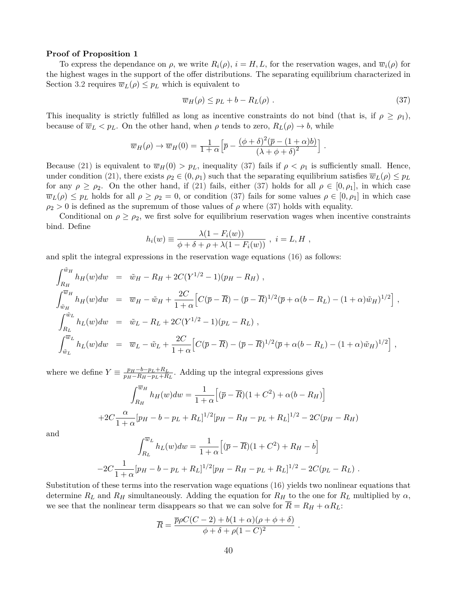#### **Proof of Proposition 1**

To express the dependance on  $\rho$ , we write  $R_i(\rho)$ ,  $i = H, L$ , for the reservation wages, and  $\overline{w}_i(\rho)$  for the highest wages in the support of the offer distributions. The separating equilibrium characterized in Section [3.2](#page-13-3) requires  $\overline{w}_L(\rho) \leq p_L$  which is equivalent to

<span id="page-41-0"></span>
$$
\overline{w}_H(\rho) \le p_L + b - R_L(\rho) \tag{37}
$$

This inequality is strictly fulfilled as long as incentive constraints do not bind (that is, if  $\rho \ge \rho_1$ ), because of  $\overline{w}_L$   $\lt p_L$ . On the other hand, when  $\rho$  tends to zero,  $R_L(\rho) \to b$ , while

$$
\overline{w}_H(\rho) \to \overline{w}_H(0) = \frac{1}{1+\alpha} \Big[ \overline{p} - \frac{(\phi+\delta)^2(\overline{p} - (1+\alpha)b)}{(\lambda+\phi+\delta)^2} \Big] .
$$

Because [\(21\)](#page-17-2) is equivalent to  $\overline{w}_H(0) > p_L$ , inequality [\(37\)](#page-41-0) fails if  $\rho < \rho_1$  is sufficiently small. Hence, under condition [\(21\),](#page-17-2) there exists  $\rho_2 \in (0, \rho_1)$  such that the separating equilibrium satisfies  $\overline{w}_L(\rho) \leq p_L$ for any  $\rho \ge \rho_2$ . On the other hand, if [\(21\)](#page-17-2) fails, either [\(37\)](#page-41-0) holds for all  $\rho \in [0, \rho_1]$ , in which case  $\overline{w}_L(\rho) \leq p_L$  holds for all  $\rho \geq \rho_2 = 0$ , or condition [\(37\)](#page-41-0) fails for some values  $\rho \in [0, \rho_1]$  in which case  $\rho_2 > 0$  is defined as the supremum of those values of  $\rho$  where [\(37\)](#page-41-0) holds with equality.

Conditional on  $\rho \geq \rho_2$ , we first solve for equilibrium reservation wages when incentive constraints bind. Define

$$
h_i(w) \equiv \frac{\lambda(1 - F_i(w))}{\phi + \delta + \rho + \lambda(1 - F_i(w))} , i = L, H ,
$$

and split the integral expressions in the reservation wage equations [\(16\)](#page-16-6) as follows:

$$
\int_{R_H}^{\tilde{w}_H} h_H(w) dw = \tilde{w}_H - R_H + 2C(Y^{1/2} - 1)(p_H - R_H),
$$
\n
$$
\int_{\tilde{w}_H}^{\overline{w}_H} h_H(w) dw = \overline{w}_H - \tilde{w}_H + \frac{2C}{1+\alpha} \Big[ C(\overline{p} - \overline{R}) - (\overline{p} - \overline{R})^{1/2} (\overline{p} + \alpha(b - R_L) - (1 + \alpha)\tilde{w}_H)^{1/2} \Big],
$$
\n
$$
\int_{R_L}^{\tilde{w}_L} h_L(w) dw = \tilde{w}_L - R_L + 2C(Y^{1/2} - 1)(p_L - R_L),
$$
\n
$$
\int_{\tilde{w}_L}^{\overline{w}_L} h_L(w) dw = \overline{w}_L - \tilde{w}_L + \frac{2C}{1+\alpha} \Big[ C(\overline{p} - \overline{R}) - (\overline{p} - \overline{R})^{1/2} (\overline{p} + \alpha(b - R_L) - (1 + \alpha)\tilde{w}_H)^{1/2} \Big],
$$

where we define  $Y \equiv \frac{p_H - b - p_L + R_L}{p_H - R_H - p_L + R}$  $\frac{p_H - p - p_L + R_L}{p_H - R_H - p_L + R_L}$ . Adding up the integral expressions gives

$$
\int_{R_H}^{\overline{w}_H} h_H(w) dw = \frac{1}{1+\alpha} \Big[ (\overline{p} - \overline{R})(1+C^2) + \alpha (b - R_H) \Big] + 2C \frac{\alpha}{1+\alpha} [p_H - b - p_L + R_L]^{1/2} [p_H - R_H - p_L + R_L]^{1/2} - 2C(p_H - R_H)
$$

and

$$
\int_{R_L}^{\overline{w}_L} h_L(w) dw = \frac{1}{1+\alpha} \Big[ (\overline{p} - \overline{R})(1+C^2) + R_H - b \Big] -2C \frac{1}{1+\alpha} [p_H - b - p_L + R_L]^{1/2} [p_H - R_H - p_L + R_L]^{1/2} - 2C(p_L - R_L) .
$$

Substitution of these terms into the reservation wage equations [\(16\)](#page-16-6) yields two nonlinear equations that determine  $R_L$  and  $R_H$  simultaneously. Adding the equation for  $R_H$  to the one for  $R_L$  multiplied by  $\alpha$ , we see that the nonlinear term disappears so that we can solve for  $\overline{R} = R_H + \alpha R_L$ :

$$
\overline{R} = \frac{\overline{p}\rho C(C-2) + b(1+\alpha)(\rho + \phi + \delta)}{\phi + \delta + \rho(1-C)^2}.
$$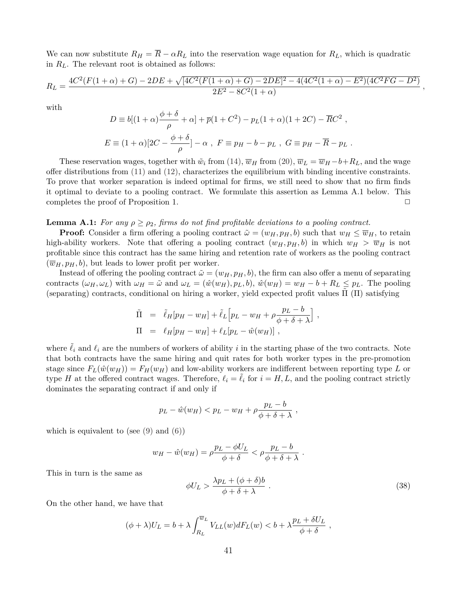We can now substitute  $R_H = \overline{R} - \alpha R_L$  into the reservation wage equation for  $R_L$ , which is quadratic in *RL*. The relevant root is obtained as follows:

$$
R_L = \frac{4C^2(F(1+\alpha) + G) - 2DE + \sqrt{[4C^2(F(1+\alpha) + G) - 2DE]^2 - 4(4C^2(1+\alpha) - E^2)(4C^2FG - D^2)}}{2E^2 - 8C^2(1+\alpha)}
$$

*,*

with

$$
D \equiv b[(1+\alpha)\frac{\phi+\delta}{\rho}+\alpha] + \overline{p}(1+C^2) - p_L(1+\alpha)(1+2C) - \overline{R}C^2,
$$
  

$$
E \equiv (1+\alpha)[2C - \frac{\phi+\delta}{\rho}] - \alpha, \ F \equiv p_H - b - p_L, \ G \equiv p_H - \overline{R} - p_L.
$$

These reservation wages, together with  $\tilde{w}_i$  from [\(14\),](#page-15-2)  $\overline{w}_H$  from [\(20\),](#page-17-0)  $\overline{w}_L = \overline{w}_H - b + R_L$ , and the wage offer distributions from [\(11\)](#page-15-0) and [\(12\),](#page-15-3) characterizes the equilibrium with binding incentive constraints. To prove that worker separation is indeed optimal for firms, we still need to show that no firm finds it optimal to deviate to a pooling contract. We formulate this assertion as Lemma A.1 below. This completes the proof of Proposition 1.  $\Box$ 

### **Lemma A.1:** *For any*  $\rho \geq \rho_2$ , *firms do not find profitable deviations to a pooling contract.*

**Proof:** Consider a firm offering a pooling contract  $\tilde{\omega} = (w_H, p_H, b)$  such that  $w_H \leq \overline{w}_H$ , to retain high-ability workers. Note that offering a pooling contract  $(w_H, p_H, b)$  in which  $w_H > \overline{w}_H$  is not profitable since this contract has the same hiring and retention rate of workers as the pooling contract  $(\overline{w}_H, p_H, b)$ , but leads to lower profit per worker.

Instead of offering the pooling contract  $\tilde{\omega} = (w_H, p_H, b)$ , the firm can also offer a menu of separating contracts  $(\omega_H, \omega_L)$  with  $\omega_H = \tilde{\omega}$  and  $\omega_L = (\hat{w}(w_H), p_L, b), \hat{w}(w_H) = w_H - b + R_L \leq p_L$ . The pooling (separating) contracts, conditional on hiring a worker, yield expected profit values  $\Pi$  ( $\Pi$ ) satisfying

$$
\tilde{\Pi} = \tilde{\ell}_H[p_H - w_H] + \tilde{\ell}_L[p_L - w_H + \rho \frac{p_L - b}{\phi + \delta + \lambda}],
$$
  

$$
\Pi = \ell_H[p_H - w_H] + \ell_L[p_L - \hat{w}(w_H)],
$$

where  $\ell_i$  and  $\ell_i$  are the numbers of workers of ability *i* in the starting phase of the two contracts. Note that both contracts have the same hiring and quit rates for both worker types in the pre-promotion stage since  $F_L(\hat{w}(w_H)) = F_H(w_H)$  and low-ability workers are indifferent between reporting type *L* or type *H* at the offered contract wages. Therefore,  $\ell_i = \ell_i$  for  $i = H, L$ , and the pooling contract strictly dominates the separating contract if and only if

$$
p_L - \hat{w}(w_H) < p_L - w_H + \rho \frac{p_L - b}{\phi + \delta + \lambda} \;,
$$

which is equivalent to (see  $(9)$  and  $(6)$ )

$$
w_H - \hat{w}(w_H) = \rho \frac{p_L - \phi U_L}{\phi + \delta} < \rho \frac{p_L - b}{\phi + \delta + \lambda} \; .
$$

This in turn is the same as

<span id="page-42-0"></span>
$$
\phi U_L > \frac{\lambda p_L + (\phi + \delta)b}{\phi + \delta + \lambda} \ . \tag{38}
$$

On the other hand, we have that

$$
(\phi + \lambda)U_L = b + \lambda \int_{R_L}^{\overline{w}_L} V_{LL}(w) dF_L(w) < b + \lambda \frac{p_L + \delta U_L}{\phi + \delta} ,
$$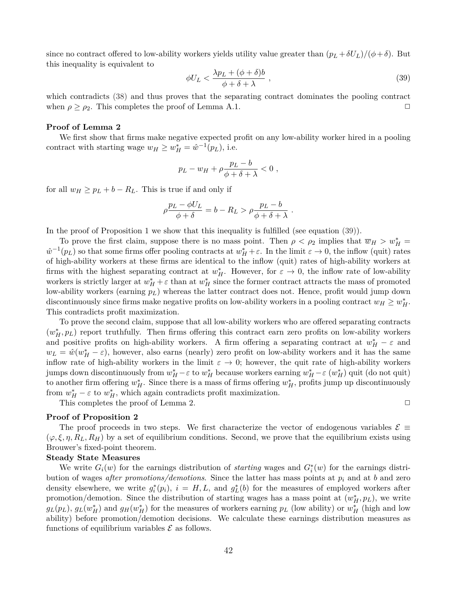since no contract offered to low-ability workers yields utility value greater than  $(p_L + \delta U_L)/(\phi + \delta)$ . But this inequality is equivalent to

<span id="page-43-0"></span>
$$
\phi U_L < \frac{\lambda p_L + (\phi + \delta)b}{\phi + \delta + \lambda} \tag{39}
$$

which contradicts [\(38\)](#page-42-0) and thus proves that the separating contract dominates the pooling contract when  $\rho \ge \rho_2$ . This completes the proof of Lemma A.1.  $\square$ 

#### **Proof of Lemma 2**

We first show that firms make negative expected profit on any low-ability worker hired in a pooling contract with starting wage  $w_H \geq w_H^* = \hat{w}^{-1}(p_L)$ , i.e.

$$
p_L - w_H + \rho \frac{p_L - b}{\phi + \delta + \lambda} < 0 \;,
$$

for all  $w_H \geq p_L + b - R_L$ . This is true if and only if

$$
\rho \frac{p_L - \phi U_L}{\phi + \delta} = b - R_L > \rho \frac{p_L - b}{\phi + \delta + \lambda} .
$$

In the proof of Proposition 1 we show that this inequality is fulfilled (see equation [\(39\)\)](#page-43-0).

To prove the first claim, suppose there is no mass point. Then  $\rho < \rho_2$  implies that  $\overline{w}_H > w_H^*$  $\hat{w}^{-1}(p_L)$  so that some firms offer pooling contracts at  $w_H^* + \varepsilon$ . In the limit  $\varepsilon \to 0$ , the inflow (quit) rates of high-ability workers at these firms are identical to the inflow (quit) rates of high-ability workers at firms with the highest separating contract at  $w_H^*$ . However, for  $\varepsilon \to 0$ , the inflow rate of low-ability workers is strictly larger at  $w_H^* + \varepsilon$  than at  $w_H^*$  since the former contract attracts the mass of promoted low-ability workers (earning *pL*) whereas the latter contract does not. Hence, profit would jump down discontinuously since firms make negative profits on low-ability workers in a pooling contract  $w_H \geq w_H^*$ . This contradicts profit maximization.

To prove the second claim, suppose that all low-ability workers who are offered separating contracts  $(w_H^*, p_L)$  report truthfully. Then firms offering this contract earn zero profits on low-ability workers and positive profits on high-ability workers. A firm offering a separating contract at  $w_H^* - \varepsilon$  and  $w_L = \hat{w}(w_H^* - \varepsilon)$ , however, also earns (nearly) zero profit on low-ability workers and it has the same inflow rate of high-ability workers in the limit  $\varepsilon \to 0$ ; however, the quit rate of high-ability workers  $\lim_{H \to \infty} \frac{1}{2}$  from  $w_H^* - \varepsilon$  to  $w_H^*$  because workers earning  $w_H^* - \varepsilon$  ( $w_H^*$ ) quit (do not quit) to another firm offering  $w_H^*$ . Since there is a mass of firms offering  $w_H^*$ , profits jump up discontinuously from  $w_H^* - \varepsilon$  to  $w_H^*$ , which again contradicts profit maximization.

This completes the proof of Lemma 2.  $\Box$ 

#### **Proof of Proposition 2**

The proof proceeds in two steps. We first characterize the vector of endogenous variables  $\mathcal{E} \equiv$  $(\varphi, \xi, \eta, R_L, R_H)$  by a set of equilibrium conditions. Second, we prove that the equilibrium exists using Brouwer's fixed-point theorem.

#### **Steady State Measures**

We write  $G_i(w)$  for the earnings distribution of *starting* wages and  $G_i^*(w)$  for the earnings distribution of wages *after promotions/demotions*. Since the latter has mass points at *p<sup>i</sup>* and at *b* and zero density elsewhere, we write  $g_i^*(p_i)$ ,  $i = H, L$ , and  $g_L^*(b)$  for the measures of employed workers after promotion/demotion. Since the distribution of starting wages has a mass point at  $(w_H^*, p_L)$ , we write  $g_L(p_L)$ ,  $g_L(w_H^*)$  and  $g_H(w_H^*)$  for the measures of workers earning  $p_L$  (low ability) or  $w_H^*$  (high and low ability) before promotion/demotion decisions. We calculate these earnings distribution measures as functions of equilibrium variables  $\mathcal E$  as follows.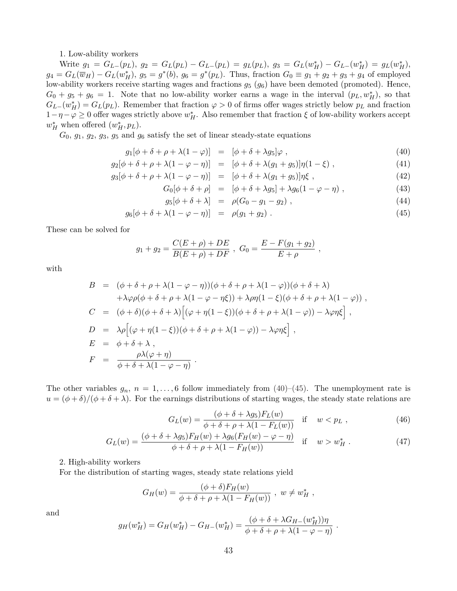### 1. Low-ability workers

Write  $g_1 = G_{L-}(p_L)$ ,  $g_2 = G_L(p_L) - G_{L-}(p_L) = g_L(p_L)$ ,  $g_3 = G_L(w_H^*) - G_{L-}(w_H^*) = g_L(w_H^*)$ ,  $g_4 = G_L(\overline{w}_H) - G_L(w_H^*), g_5 = g^*(b), g_6 = g^*(p_L)$ . Thus, fraction  $G_0 \equiv g_1 + g_2 + g_3 + g_4$  of employed low-ability workers receive starting wages and fractions *g*<sup>5</sup> (*g*6) have been demoted (promoted). Hence,  $G_0 + g_5 + g_6 = 1$ . Note that no low-ability worker earns a wage in the interval  $(p_L, w_H^*)$ , so that  $G_{L-}(w_H^*) = G_L(p_L)$ . Remember that fraction  $\varphi > 0$  of firms offer wages strictly below  $p_L$  and fraction  $1 - \eta - \varphi \ge 0$  offer wages strictly above  $w_H^*$ . Also remember that fraction *ξ* of low-ability workers accept  $w_H^*$  when offered  $(w_H^*, p_L)$ .

 $G_0$ ,  $g_1$ ,  $g_2$ ,  $g_3$ ,  $g_5$  and  $g_6$  satisfy the set of linear steady-state equations

<span id="page-44-0"></span>
$$
g_1[\phi + \delta + \rho + \lambda(1 - \varphi)] = [\phi + \delta + \lambda g_5]\varphi , \qquad (40)
$$

$$
g_2[\phi + \delta + \rho + \lambda(1 - \varphi - \eta)] = [\phi + \delta + \lambda(g_1 + g_5)]\eta(1 - \xi) , \qquad (41)
$$

$$
g_3[\phi + \delta + \rho + \lambda(1 - \varphi - \eta)] = [\phi + \delta + \lambda(g_1 + g_5)]\eta\xi , \qquad (42)
$$

$$
G_0[\phi + \delta + \rho] = [\phi + \delta + \lambda g_5] + \lambda g_6(1 - \varphi - \eta) , \qquad (43)
$$

$$
g_5[\phi + \delta + \lambda] = \rho(G_0 - g_1 - g_2), \qquad (44)
$$

$$
g_6[\phi + \delta + \lambda(1 - \varphi - \eta)] = \rho(g_1 + g_2).
$$
 (45)

These can be solved for

$$
g_1 + g_2 = \frac{C(E + \rho) + DE}{B(E + \rho) + DF} , G_0 = \frac{E - F(g_1 + g_2)}{E + \rho} ,
$$

with

$$
B = (\phi + \delta + \rho + \lambda(1 - \varphi - \eta))(\phi + \delta + \rho + \lambda(1 - \varphi))(\phi + \delta + \lambda)
$$
  
\n
$$
+ \lambda \varphi \rho(\phi + \delta + \rho + \lambda(1 - \varphi - \eta \xi)) + \lambda \rho \eta (1 - \xi)(\phi + \delta + \rho + \lambda(1 - \varphi)),
$$
  
\n
$$
C = (\phi + \delta)(\phi + \delta + \lambda) [(\varphi + \eta(1 - \xi))(\phi + \delta + \rho + \lambda(1 - \varphi)) - \lambda \varphi \eta \xi],
$$
  
\n
$$
D = \lambda \rho [(\varphi + \eta(1 - \xi))(\phi + \delta + \rho + \lambda(1 - \varphi)) - \lambda \varphi \eta \xi],
$$
  
\n
$$
E = \phi + \delta + \lambda,
$$
  
\n
$$
F = \frac{\rho \lambda(\varphi + \eta)}{\phi + \delta + \lambda(1 - \varphi - \eta)}.
$$

The other variables  $g_n$ ,  $n = 1, \ldots, 6$  follow immediately from [\(40\)–\(45\).](#page-44-0) The unemployment rate is  $u = (\phi + \delta)/(\phi + \delta + \lambda)$ . For the earnings distributions of starting wages, the steady state relations are

<span id="page-44-1"></span>
$$
G_L(w) = \frac{(\phi + \delta + \lambda g_5) F_L(w)}{\phi + \delta + \rho + \lambda (1 - F_L(w))} \quad \text{if} \quad w < p_L \,, \tag{46}
$$

$$
G_L(w) = \frac{(\phi + \delta + \lambda g_5) F_H(w) + \lambda g_6(F_H(w) - \varphi - \eta)}{\phi + \delta + \rho + \lambda (1 - F_H(w))} \quad \text{if} \quad w > w_H^* \; . \tag{47}
$$

2. High-ability workers

For the distribution of starting wages, steady state relations yield

$$
G_H(w) = \frac{(\phi + \delta)F_H(w)}{\phi + \delta + \rho + \lambda(1 - F_H(w))}, \ w \neq w_H^*,
$$

and

$$
g_H(w_H^*) = G_H(w_H^*) - G_{H-}(w_H^*) = \frac{(\phi + \delta + \lambda G_{H-}(w_H^*))\eta}{\phi + \delta + \rho + \lambda(1 - \varphi - \eta)}.
$$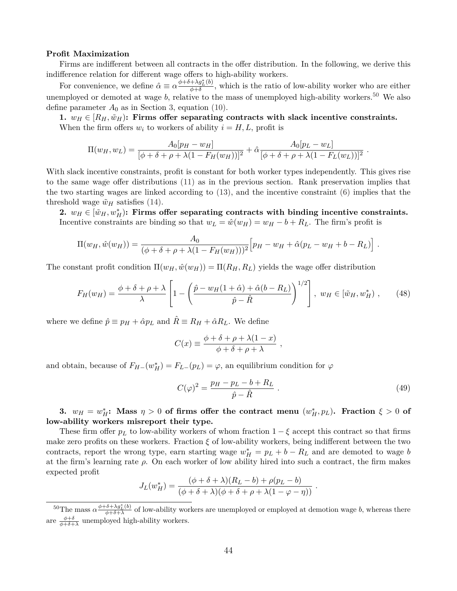#### **Profit Maximization**

Firms are indifferent between all contracts in the offer distribution. In the following, we derive this indifference relation for different wage offers to high-ability workers.

For convenience, we define  $\hat{\alpha} \equiv \alpha \frac{\phi + \delta + \lambda g_L^*(b)}{\phi + \delta}$  $\frac{f \wedge g_L(v)}{\phi + \delta}$ , which is the ratio of low-ability worker who are either unemployed or demoted at wage  $b$ , relative to the mass of unemployed high-ability workers.<sup>[50](#page-45-0)</sup> We also define parameter  $A_0$  as in Section [3,](#page-11-3) equation [\(10\).](#page-14-1)

1.  $w_H \in [R_H, \tilde{w}_H)$ : Firms offer separating contracts with slack incentive constraints.

When the firm offers  $w_i$  to workers of ability  $i = H, L$ , profit is

$$
\Pi(w_H, w_L) = \frac{A_0[p_H - w_H]}{[\phi + \delta + \rho + \lambda(1 - F_H(w_H))]^2} + \hat{\alpha} \frac{A_0[p_L - w_L]}{[\phi + \delta + \rho + \lambda(1 - F_L(w_L))]^2}.
$$

With slack incentive constraints, profit is constant for both worker types independently. This gives rise to the same wage offer distributions [\(11\)](#page-15-0) as in the previous section. Rank preservation implies that the two starting wages are linked according to [\(13\),](#page-15-1) and the incentive constraint [\(6\)](#page-12-0) implies that the threshold wage  $\tilde{w}_H$  satisfies [\(14\).](#page-15-2)

2.  $w_H \in [\tilde{w}_H, w_H^*]$ : Firms offer separating contracts with binding incentive constraints. Incentive constraints are binding so that  $w_L = \hat{w}(w_H) = w_H - b + R_L$ . The firm's profit is

$$
\Pi(w_H, \hat{w}(w_H)) = \frac{A_0}{(\phi + \delta + \rho + \lambda(1 - F_H(w_H)))^2} \Big[ p_H - w_H + \hat{\alpha}(p_L - w_H + b - R_L) \Big] .
$$

The constant profit condition  $\Pi(w_H, \hat{w}(w_H)) = \Pi(R_H, R_L)$  yields the wage offer distribution

<span id="page-45-1"></span>
$$
F_H(w_H) = \frac{\phi + \delta + \rho + \lambda}{\lambda} \left[ 1 - \left( \frac{\hat{p} - w_H(1 + \hat{\alpha}) + \hat{\alpha}(b - R_L)}{\hat{p} - \hat{R}} \right)^{1/2} \right], \ w_H \in [\tilde{w}_H, w_H^*), \qquad (48)
$$

where we define  $\hat{p} \equiv p_H + \hat{\alpha} p_L$  and  $\hat{R} \equiv R_H + \hat{\alpha} R_L$ . We define

$$
C(x) \equiv \frac{\phi + \delta + \rho + \lambda(1 - x)}{\phi + \delta + \rho + \lambda} ,
$$

and obtain, because of  $F_{H-}(w_H^*) = F_{L-}(p_L) = \varphi$ , an equilibrium condition for  $\varphi$ 

<span id="page-45-2"></span>
$$
C(\varphi)^2 = \frac{p_H - p_L - b + R_L}{\hat{p} - \hat{R}} \,. \tag{49}
$$

**3.**  $w_H = w_H^*$ : Mass  $\eta > 0$  of firms offer the contract menu  $(w_H^*, p_L)$ . Fraction  $\xi > 0$  of **low-ability workers misreport their type.**

These firm offer  $p_L$  to low-ability workers of whom fraction  $1 - \xi$  accept this contract so that firms make zero profits on these workers. Fraction *ξ* of low-ability workers, being indifferent between the two contracts, report the wrong type, earn starting wage  $w_H^* = p_L + b - R_L$  and are demoted to wage *b* at the firm's learning rate  $\rho$ . On each worker of low ability hired into such a contract, the firm makes expected profit

$$
J_L(w_H^*) = \frac{(\phi + \delta + \lambda)(R_L - b) + \rho(p_L - b)}{(\phi + \delta + \lambda)(\phi + \delta + \rho + \lambda(1 - \varphi - \eta))}.
$$

<span id="page-45-0"></span><sup>&</sup>lt;sup>50</sup>The mass  $\alpha \frac{\phi + \delta + \lambda g^*_{L}(b)}{\phi + \delta + \lambda}$  of low-ability workers are unemployed or employed at demotion wage *b*, whereas there are  $\frac{\phi + \delta}{\phi + \delta + \lambda}$  unemployed high-ability workers.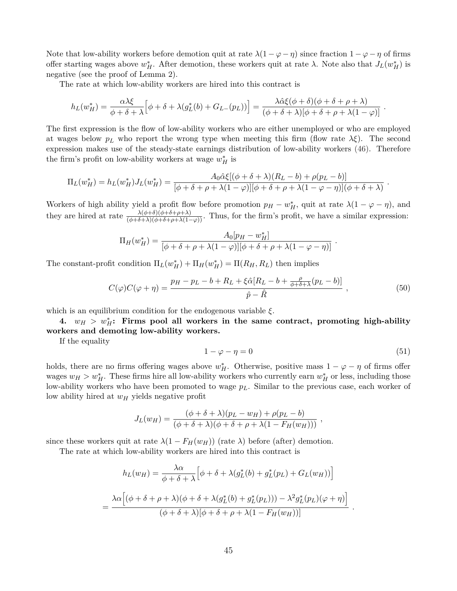Note that low-ability workers before demotion quit at rate  $\lambda(1 - \varphi - \eta)$  since fraction  $1 - \varphi - \eta$  of firms offer starting wages above  $w_H^*$ . After demotion, these workers quit at rate  $\lambda$ . Note also that  $J_L(w_H^*)$  is negative (see the proof of Lemma 2).

The rate at which low-ability workers are hired into this contract is

$$
h_L(w_H^*) = \frac{\alpha \lambda \xi}{\phi + \delta + \lambda} \Big[ \phi + \delta + \lambda (g_L^*(b) + G_{L-}(p_L)) \Big] = \frac{\lambda \hat{\alpha} \xi(\phi + \delta)(\phi + \delta + \rho + \lambda)}{(\phi + \delta + \lambda)[\phi + \delta + \rho + \lambda(1 - \varphi)]}.
$$

The first expression is the flow of low-ability workers who are either unemployed or who are employed at wages below  $p_L$  who report the wrong type when meeting this firm (flow rate  $\lambda \xi$ ). The second expression makes use of the steady-state earnings distribution of low-ability workers [\(46\).](#page-44-1) Therefore the firm's profit on low-ability workers at wage  $w_H^*$  is

$$
\Pi_L(w_H^*) = h_L(w_H^*) J_L(w_H^*) = \frac{A_0 \hat{\alpha} \xi [(\phi + \delta + \lambda)(R_L - b) + \rho(p_L - b)]}{[\phi + \delta + \rho + \lambda(1 - \varphi)][\phi + \delta + \rho + \lambda(1 - \varphi - \eta)](\phi + \delta + \lambda)}
$$

Workers of high ability yield a profit flow before promotion  $p_H - w_H^*$ , quit at rate  $\lambda(1 - \varphi - \eta)$ , and they are hired at rate  $\frac{\lambda(\phi+\delta)(\phi+\delta+\rho+\lambda)}{(\phi+\delta+\lambda)(\phi+\delta+\rho+\lambda(1-\varphi))}$ . Thus, for the firm's profit, we have a similar expression:

$$
\Pi_H(w_H^*) = \frac{A_0[p_H - w_H^*]}{[\phi + \delta + \rho + \lambda(1 - \varphi)][\phi + \delta + \rho + \lambda(1 - \varphi - \eta)]}.
$$

The constant-profit condition  $\Pi_L(w_H^*) + \Pi_H(w_H^*) = \Pi(R_H, R_L)$  then implies

<span id="page-46-0"></span>
$$
C(\varphi)C(\varphi + \eta) = \frac{p_H - p_L - b + R_L + \xi \hat{\alpha}[R_L - b + \frac{\rho}{\phi + \delta + \lambda}(p_L - b)]}{\hat{p} - \hat{R}},
$$
\n(50)

which is an equilibrium condition for the endogenous variable *ξ*.

**4.**  $w_H > w_H^*$ : Firms pool all workers in the same contract, promoting high-ability **workers and demoting low-ability workers.**

If the equality

<span id="page-46-1"></span>
$$
1 - \varphi - \eta = 0 \tag{51}
$$

*.*

holds, there are no firms offering wages above  $w_H^*$ . Otherwise, positive mass  $1 - \varphi - \eta$  of firms offer wages  $w_H > w_H^*$ . These firms hire all low-ability workers who currently earn  $w_H^*$  or less, including those low-ability workers who have been promoted to wage *pL*. Similar to the previous case, each worker of low ability hired at *w<sup>H</sup>* yields negative profit

$$
J_L(w_H) = \frac{(\phi + \delta + \lambda)(p_L - w_H) + \rho(p_L - b)}{(\phi + \delta + \lambda)(\phi + \delta + \rho + \lambda(1 - F_H(w_H)))},
$$

since these workers quit at rate  $\lambda(1 - F_H(w_H))$  (rate  $\lambda$ ) before (after) demotion.

The rate at which low-ability workers are hired into this contract is

$$
h_L(w_H) = \frac{\lambda \alpha}{\phi + \delta + \lambda} \Big[ \phi + \delta + \lambda (g_L^*(b) + g_L^*(p_L) + G_L(w_H)) \Big]
$$
  
= 
$$
\frac{\lambda \alpha \Big[ (\phi + \delta + \rho + \lambda)(\phi + \delta + \lambda (g_L^*(b) + g_L^*(p_L))) - \lambda^2 g_L^*(p_L)(\varphi + \eta) \Big]}{(\phi + \delta + \lambda)[\phi + \delta + \rho + \lambda(1 - F_H(w_H))]}.
$$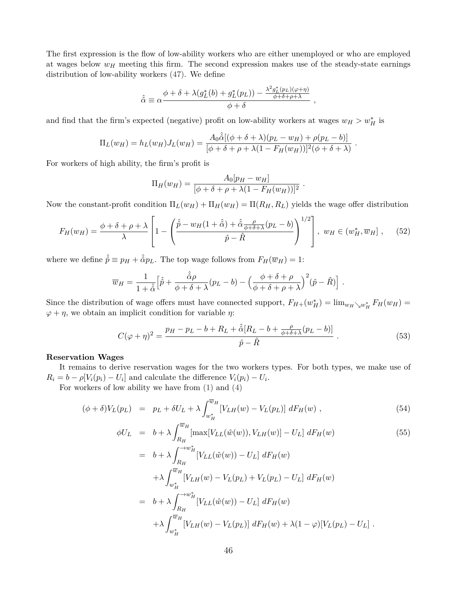The first expression is the flow of low-ability workers who are either unemployed or who are employed at wages below *w<sup>H</sup>* meeting this firm. The second expression makes use of the steady-state earnings distribution of low-ability workers [\(47\).](#page-44-1) We define

$$
\hat{\hat{\alpha}} \equiv \alpha \frac{\phi + \delta + \lambda(g_L^*(b) + g_L^*(p_L)) - \frac{\lambda^2 g_L^*(p_L)(\varphi + \eta)}{\phi + \delta + \rho + \lambda}}{\phi + \delta}
$$

*,*

*.*

and find that the firm's expected (negative) profit on low-ability workers at wages  $w_H > w_H^*$  is

$$
\Pi_L(w_H) = h_L(w_H) J_L(w_H) = \frac{A_0 \hat{\hat{\alpha}} [(\phi + \delta + \lambda)(p_L - w_H) + \rho(p_L - b)]}{[\phi + \delta + \rho + \lambda(1 - F_H(w_H))]^2 (\phi + \delta + \lambda)}.
$$

For workers of high ability, the firm's profit is

$$
\Pi_H(w_H) = \frac{A_0[p_H - w_H]}{[\phi + \delta + \rho + \lambda(1 - F_H(w_H))]^2}.
$$

Now the constant-profit condition  $\Pi_L(w_H) + \Pi_H(w_H) = \Pi(R_H, R_L)$  yields the wage offer distribution

<span id="page-47-1"></span>
$$
F_H(w_H) = \frac{\phi + \delta + \rho + \lambda}{\lambda} \left[ 1 - \left( \frac{\hat{p} - w_H(1 + \hat{\alpha}) + \hat{\alpha} \frac{\rho}{\phi + \delta + \lambda} (p_L - b)}{\hat{p} - \hat{R}} \right)^{1/2} \right], \ w_H \in (w_H^*, \overline{w}_H], \quad (52)
$$

where we define  $\hat{p} \equiv p_H + \hat{\alpha} p_L$ . The top wage follows from  $F_H(\overline{w}_H) = 1$ :

$$
\overline{w}_H = \frac{1}{1+\hat{\alpha}} \Big[ \hat{\hat{p}} + \frac{\hat{\hat{\alpha}}\rho}{\phi+\delta+\lambda}(p_L - b) - \Big(\frac{\phi+\delta+\rho}{\phi+\delta+\rho+\lambda}\Big)^2 (\hat{p}-\hat{R}) \Big]
$$

Since the distribution of wage offers must have connected support,  $F_{H+}(w_H^*) = \lim_{w_H \searrow w_H^*} F_H(w_H) =$  $\varphi + \eta$ , we obtain an implicit condition for variable  $\eta$ :

<span id="page-47-2"></span>
$$
C(\varphi + \eta)^2 = \frac{p_H - p_L - b + R_L + \hat{\alpha}[R_L - b + \frac{\rho}{\phi + \delta + \lambda}(p_L - b)]}{\hat{p} - \hat{R}}.
$$
\n(53)

#### **Reservation Wages**

It remains to derive reservation wages for the two workers types. For both types, we make use of  $R_i = b - \rho[V_i(p_i) - U_i]$  and calculate the difference  $V_i(p_i) - U_i$ .

For workers of low ability we have from [\(1\)](#page-9-1) and [\(4\)](#page-10-3)

<span id="page-47-0"></span>
$$
(\phi + \delta) V_L(p_L) = p_L + \delta U_L + \lambda \int_{w_H^*}^{\overline{w}_H} [V_{LH}(w) - V_L(p_L)] \, dF_H(w) , \qquad (54)
$$

$$
\phi U_L = b + \lambda \int_{R_H}^{\overline{w}_H} [\max[V_{LL}(\hat{w}(w)), V_{LH}(w)] - U_L] dF_H(w) \tag{55}
$$

$$
= b + \lambda \int_{R_H}^{R_H} [V_{LL}(\hat{w}(w)) - U_L] dF_H(w)
$$
  
+  $\lambda \int_{w_H^*}^{\overline{w}_H} [V_{LH}(w) - V_L(p_L) + V_L(p_L) - U_L] dF_H(w)$   
=  $b + \lambda \int_{R_H}^{R_H} [V_{LL}(\hat{w}(w)) - U_L] dF_H(w)$   
+  $\lambda \int_{w_H^*}^{\overline{w}_H} [V_{LH}(w) - V_L(p_L)] dF_H(w) + \lambda (1 - \varphi) [V_L(p_L) - U_L].$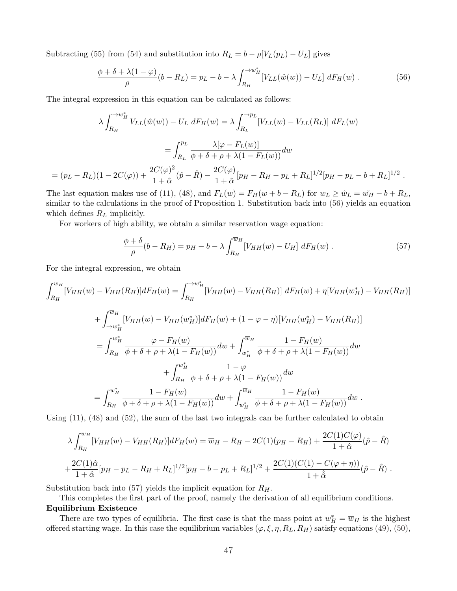Subtracting [\(55\)](#page-47-0) from [\(54\)](#page-47-0) and substitution into  $R_L = b - \rho[V_L(p_L) - U_L]$  gives

<span id="page-48-0"></span>
$$
\frac{\phi + \delta + \lambda(1 - \varphi)}{\rho}(b - R_L) = p_L - b - \lambda \int_{R_H}^{\to w_H^*} [V_{LL}(\hat{w}(w)) - U_L] dF_H(w) . \tag{56}
$$

The integral expression in this equation can be calculated as follows:

$$
\lambda \int_{R_H}^{\rightarrow w_H^*} V_{LL}(\hat{w}(w)) - U_L \, dF_H(w) = \lambda \int_{R_L}^{\rightarrow p_L} [V_{LL}(w) - V_{LL}(R_L)] \, dF_L(w)
$$

$$
= \int_{R_L}^{p_L} \frac{\lambda[\varphi - F_L(w)]}{\phi + \delta + \rho + \lambda(1 - F_L(w))} dw
$$

 $=(p_L - R_L)(1 - 2C(\varphi)) + \frac{2C(\varphi)^2}{1 - \hat{\zeta}}$  $\frac{2C(\varphi)^2}{1+\hat{\alpha}}(\hat{p}-\hat{R}) - \frac{2C(\varphi)}{1+\hat{\alpha}}$  $\frac{2C(\varphi)}{1 + \hat{\alpha}}[p_H - R_H - p_L + R_L]^{1/2}[p_H - p_L - b + R_L]^{1/2}.$ 

The last equation makes use of [\(11\),](#page-15-0) [\(48\),](#page-45-1) and  $F_L(w) = F_H(w + b - R_L)$  for  $w_L \ge \tilde{w}_L = \tilde{w}_H - b + R_L$ , similar to the calculations in the proof of Proposition 1. Substitution back into [\(56\)](#page-48-0) yields an equation which defines *R<sup>L</sup>* implicitly.

For workers of high ability, we obtain a similar reservation wage equation:

<span id="page-48-1"></span>
$$
\frac{\phi + \delta}{\rho} (b - R_H) = p_H - b - \lambda \int_{R_H}^{\overline{w}_H} [V_{HH}(w) - U_H] \, dF_H(w) \tag{57}
$$

For the integral expression, we obtain

$$
\int_{R_H}^{\overline{w}_H} [V_{HH}(w) - V_{HH}(R_H)] dF_H(w) = \int_{R_H}^{\rightarrow w_H^*} [V_{HH}(w) - V_{HH}(R_H)] dF_H(w) + \eta [V_{HH}(w_H^*) - V_{HH}(R_H)]
$$
  
+ 
$$
\int_{\rightarrow w_H^*}^{\overline{w}_H} [V_{HH}(w) - V_{HH}(w_H^*)] dF_H(w) + (1 - \varphi - \eta) [V_{HH}(w_H^*) - V_{HH}(R_H)]
$$
  
= 
$$
\int_{R_H}^{w_H^*} \frac{\varphi - F_H(w)}{\phi + \delta + \rho + \lambda (1 - F_H(w))} dw + \int_{w_H^*}^{\overline{w}_H} \frac{1 - F_H(w)}{\phi + \delta + \rho + \lambda (1 - F_H(w))} dw
$$
  
+ 
$$
\int_{R_H}^{w_H^*} \frac{1 - \varphi}{\phi + \delta + \rho + \lambda (1 - F_H(w))} dw
$$
  
= 
$$
\int_{R_H}^{w_H^*} \frac{1 - F_H(w)}{\phi + \delta + \rho + \lambda (1 - F_H(w))} dw + \int_{w_H^*}^{\overline{w}_H} \frac{1 - F_H(w)}{\phi + \delta + \rho + \lambda (1 - F_H(w))} dw.
$$

Using  $(11)$ ,  $(48)$  and  $(52)$ , the sum of the last two integrals can be further calculated to obtain

$$
\lambda \int_{R_H}^{\overline{w}_H} [V_{HH}(w) - V_{HH}(R_H)] dF_H(w) = \overline{w}_H - R_H - 2C(1)(p_H - R_H) + \frac{2C(1)C(\varphi)}{1 + \hat{\alpha}}(\hat{p} - \hat{R})
$$
  
+ 
$$
\frac{2C(1)\hat{\alpha}}{1 + \hat{\alpha}}[p_H - p_L - R_H + R_L]^{1/2}[p_H - b - p_L + R_L]^{1/2} + \frac{2C(1)(C(1) - C(\varphi + \eta))}{1 + \hat{\alpha}}(\hat{p} - \hat{R}).
$$

Substitution back into [\(57\)](#page-48-1) yields the implicit equation for *RH*.

This completes the first part of the proof, namely the derivation of all equilibrium conditions. **Equilibrium Existence**

There are two types of equilibria. The first case is that the mass point at  $w_H^* = \overline{w}_H$  is the highest offered starting wage. In this case the equilibrium variables  $(\varphi, \xi, \eta, R_L, R_H)$  satisfy equations [\(49\),](#page-45-2) [\(50\),](#page-46-0)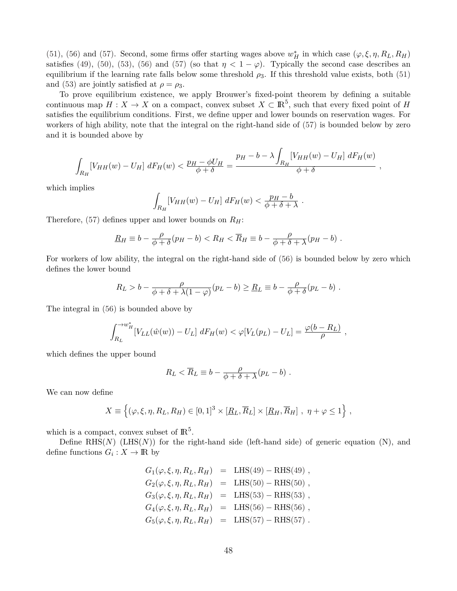[\(51\),](#page-46-1) [\(56\)](#page-48-0) and [\(57\).](#page-48-1) Second, some firms offer starting wages above  $w_H^*$  in which case  $(\varphi, \xi, \eta, R_L, R_H)$ satisfies [\(49\),](#page-45-2) [\(50\),](#page-46-0) [\(53\),](#page-47-2) [\(56\)](#page-48-0) and [\(57\)](#page-48-1) (so that  $\eta < 1 - \varphi$ ). Typically the second case describes an equilibrium if the learning rate falls below some threshold  $\rho_3$ . If this threshold value exists, both [\(51\)](#page-46-1) and [\(53\)](#page-47-2) are jointly satisfied at  $\rho = \rho_3$ .

To prove equilibrium existence, we apply Brouwer's fixed-point theorem by defining a suitable continuous map  $H: X \to X$  on a compact, convex subset  $X \subset \mathbb{R}^5$ , such that every fixed point of *H* satisfies the equilibrium conditions. First, we define upper and lower bounds on reservation wages. For workers of high ability, note that the integral on the right-hand side of [\(57\)](#page-48-1) is bounded below by zero and it is bounded above by

$$
\int_{R_H} [V_{HH}(w) - U_H] \, dF_H(w) < \frac{p_H - \phi U_H}{\phi + \delta} = \frac{p_H - b - \lambda \int_{R_H} [V_{HH}(w) - U_H] \, dF_H(w)}{\phi + \delta} \,,
$$

which implies

$$
\int_{R_H} [V_{HH}(w) - U_H] \, dF_H(w) < \frac{p_H - b}{\phi + \delta + \lambda} \, .
$$

Therefore, [\(57\)](#page-48-1) defines upper and lower bounds on *RH*:

$$
\underline{R}_H \equiv b - \frac{\rho}{\phi + \delta}(p_H - b) < R_H < \overline{R}_H \equiv b - \frac{\rho}{\phi + \delta + \lambda}(p_H - b) \; .
$$

For workers of low ability, the integral on the right-hand side of [\(56\)](#page-48-0) is bounded below by zero which defines the lower bound

$$
R_L > b - \frac{\rho}{\phi + \delta + \lambda(1 - \varphi)}(p_L - b) \ge R_L \equiv b - \frac{\rho}{\phi + \delta}(p_L - b) .
$$

The integral in [\(56\)](#page-48-0) is bounded above by

$$
\int_{R_L}^{\rightarrow w_H^*} [V_{LL}(\hat{w}(w)) - U_L] dF_H(w) < \varphi[V_L(p_L) - U_L] = \frac{\varphi(b - R_L)}{\rho} ,
$$

which defines the upper bound

$$
R_L < \overline{R}_L \equiv b - \frac{\rho}{\phi + \delta + \lambda} (p_L - b) \; .
$$

We can now define

$$
X \equiv \left\{ (\varphi, \xi, \eta, R_L, R_H) \in [0, 1]^3 \times [\underline{R}_L, \overline{R}_L] \times [\underline{R}_H, \overline{R}_H] , \eta + \varphi \le 1 \right\},\,
$$

which is a compact, convex subset of  $\mathbb{R}^5$ .

Define  $RHS(N)$  (LHS(N)) for the right-hand side (left-hand side) of generic equation (N), and define functions  $G_i: X \to \mathbb{R}$  by

$$
G_1(\varphi, \xi, \eta, R_L, R_H) = \text{LHS}(49) - \text{RHS}(49) ,
$$
  
\n
$$
G_2(\varphi, \xi, \eta, R_L, R_H) = \text{LHS}(50) - \text{RHS}(50) ,
$$
  
\n
$$
G_3(\varphi, \xi, \eta, R_L, R_H) = \text{LHS}(53) - \text{RHS}(53) ,
$$
  
\n
$$
G_4(\varphi, \xi, \eta, R_L, R_H) = \text{LHS}(56) - \text{RHS}(56) ,
$$
  
\n
$$
G_5(\varphi, \xi, \eta, R_L, R_H) = \text{LHS}(57) - \text{RHS}(57) .
$$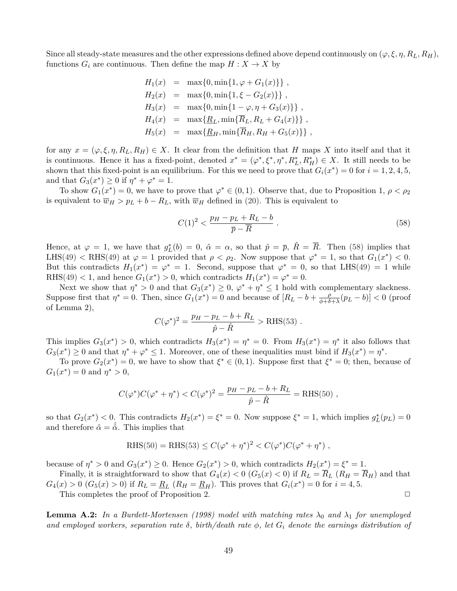Since all steady-state measures and the other expressions defined above depend continuously on  $(\varphi, \xi, \eta, R_L, R_H)$ , functions  $G_i$  are continuous. Then define the map  $H: X \to X$  by

$$
H_1(x) = \max\{0, \min\{1, \varphi + G_1(x)\}\},
$$
  
\n
$$
H_2(x) = \max\{0, \min\{1, \xi - G_2(x)\}\},
$$
  
\n
$$
H_3(x) = \max\{0, \min\{1 - \varphi, \eta + G_3(x)\}\},
$$
  
\n
$$
H_4(x) = \max\{\underline{R}_L, \min\{\overline{R}_L, R_L + G_4(x)\}\},
$$
  
\n
$$
H_5(x) = \max\{\underline{R}_H, \min\{\overline{R}_H, R_H + G_5(x)\}\},
$$

for any  $x = (\varphi, \xi, \eta, R_L, R_H) \in X$ . It clear from the definition that *H* maps *X* into itself and that it is continuous. Hence it has a fixed-point, denoted  $x^* = (\varphi^*, \xi^*, \eta^*, R_L^*, R_H^*) \in X$ . It still needs to be shown that this fixed-point is an equilibrium. For this we need to prove that  $G_i(x^*) = 0$  for  $i = 1, 2, 4, 5$ , and that  $G_3(x^*) \ge 0$  if  $\eta^* + \varphi^* = 1$ .

To show  $G_1(x^*) = 0$ , we have to prove that  $\varphi^* \in (0,1)$ . Observe that, due to Proposition 1,  $\rho < \rho_2$ is equivalent to  $\overline{w}_H > p_L + b - R_L$ , with  $\overline{w}_H$  defined in [\(20\).](#page-17-0) This is equivalent to

<span id="page-50-0"></span>
$$
C(1)^2 < \frac{p_H - p_L + R_L - b}{\overline{p} - \overline{R}} \tag{58}
$$

Hence, at  $\varphi = 1$ , we have that  $g_L^*(b) = 0$ ,  $\hat{\alpha} = \alpha$ , so that  $\hat{p} = \bar{p}$ ,  $\hat{R} = \bar{R}$ . Then [\(58\)](#page-50-0) implies that LH[S\(49\)](#page-45-2)  $\lt$  RHS(49) at  $\varphi = 1$  provided that  $\rho \lt \rho_2$ . Now suppose that  $\varphi^* = 1$ , so that  $G_1(x^*) \lt 0$ . But this contradicts  $H_1(x^*) = \varphi^* = 1$ . Second, suppose that  $\varphi^* = 0$ , so that LH[S\(49\)](#page-45-2) = 1 while RH[S\(49\)](#page-45-2) < 1, and hence  $G_1(x^*) > 0$ , which contradicts  $H_1(x^*) = \varphi^* = 0$ .

Next we show that  $\eta^* > 0$  and that  $G_3(x^*) \geq 0$ ,  $\varphi^* + \eta^* \leq 1$  hold with complementary slackness. Suppose first that  $\eta^* = 0$ . Then, since  $G_1(x^*) = 0$  and because of  $[R_L - b + \frac{\rho}{\phi + \delta}]$  $\frac{\rho}{\phi + \delta + \lambda}(p_L - b)$ ] < 0 (proof of Lemma 2),

$$
C(\varphi^*)^2 = \frac{p_H - p_L - b + R_L}{\hat{p} - \hat{R}} > \text{RHS}(53) .
$$

This implies  $G_3(x^*) > 0$ , which contradicts  $H_3(x^*) = \eta^* = 0$ . From  $H_3(x^*) = \eta^*$  it also follows that  $G_3(x^*) \geq 0$  and that  $\eta^* + \varphi^* \leq 1$ . Moreover, one of these inequalities must bind if  $H_3(x^*) = \eta^*$ .

To prove  $G_2(x^*) = 0$ , we have to show that  $\xi^* \in (0,1)$ . Suppose first that  $\xi^* = 0$ ; then, because of  $G_1(x^*) = 0$  and  $\eta^* > 0$ ,

$$
C(\varphi^*)C(\varphi^* + \eta^*) < C(\varphi^*)^2 = \frac{p_H - p_L - b + R_L}{\hat{p} - \hat{R}} = \text{RHS}(50) ,
$$

so that  $G_2(x^*) < 0$ . This contradicts  $H_2(x^*) = \xi^* = 0$ . Now suppose  $\xi^* = 1$ , which implies  $g_L^*(p_L) = 0$ and therefore  $\hat{\alpha} = \hat{\alpha}$ . This implies that

RHS(50) = RHS(53) 
$$
\leq C(\varphi^* + \eta^*)^2 < C(\varphi^*)C(\varphi^* + \eta^*)
$$
,

because of  $\eta^* > 0$  and  $G_3(x^*) \geq 0$ . Hence  $G_2(x^*) > 0$ , which contradicts  $H_2(x^*) = \xi^* = 1$ .

Finally, it is straightforward to show that  $G_4(x) < 0$  ( $G_5(x) < 0$ ) if  $R_L = \overline{R}_L$  ( $R_H = \overline{R}_H$ ) and that  $G_4(x) > 0$  ( $G_5(x) > 0$ ) if  $R_L = \underline{R}_L$  ( $R_H = \underline{R}_H$ ). This proves that  $G_i(x^*) = 0$  for  $i = 4, 5$ . This completes the proof of Proposition 2.  $\Box$ 

**Lemma A.2:** In a Burdett-Mortensen (1998) model with matching rates  $\lambda_0$  and  $\lambda_1$  for unemployed *and employed workers, separation rate δ, birth/death rate φ, let G<sup>i</sup> denote the earnings distribution of*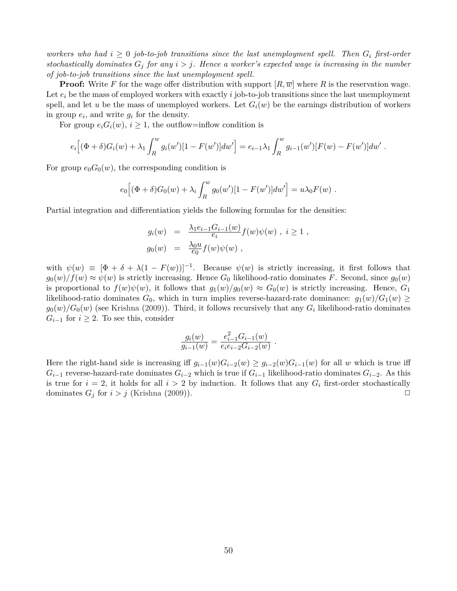*workers who had*  $i \geq 0$  *job-to-job transitions since the last unemployment spell. Then*  $G_i$  *first-order stochastically dominates G<sup>j</sup> for any i > j. Hence a worker's expected wage is increasing in the number of job-to-job transitions since the last unemployment spell.*

**Proof:** Write F for the wage offer distribution with support  $[R, \overline{w}]$  where R is the reservation wage. Let  $e_i$  be the mass of employed workers with exactly *i* job-to-job transitions since the last unemployment spell, and let *u* be the mass of unemployed workers. Let  $G_i(w)$  be the earnings distribution of workers in group  $e_i$ , and write  $g_i$  for the density.

For group  $e_i G_i(w)$ ,  $i \geq 1$ , the outflow=inflow condition is

$$
e_i[(\Phi+\delta)G_i(w) + \lambda_1 \int_R^w g_i(w')[1 - F(w')]dw'] = e_{i-1}\lambda_1 \int_R^w g_{i-1}(w')[F(w) - F(w')]dw'.
$$

For group  $e_0G_0(w)$ , the corresponding condition is

$$
e_0 [( \Phi + \delta) G_0 (w) + \lambda_i \int_R^w g_0 (w')[1 - F(w')] dw' ] = u \lambda_0 F(w) .
$$

Partial integration and differentiation yields the following formulas for the densities:

$$
g_i(w) = \frac{\lambda_1 e_{i-1} G_{i-1}(w)}{e_i} f(w) \psi(w) , i \ge 1 ,
$$
  

$$
g_0(w) = \frac{\lambda_0 u}{e_0} f(w) \psi(w) ,
$$

with  $\psi(w) \equiv [\Phi + \delta + \lambda(1 - F(w))]^{-1}$ . Because  $\psi(w)$  is strictly increasing, it first follows that  $g_0(w)/f(w) \approx \psi(w)$  is strictly increasing. Hence  $G_0$  likelihood-ratio dominates *F*. Second, since  $g_0(w)$ is proportional to  $f(w)\psi(w)$ , it follows that  $g_1(w)/g_0(w) \approx G_0(w)$  is strictly increasing. Hence,  $G_1$ likelihood-ratio dominates  $G_0$ , which in turn implies reverse-hazard-rate dominance:  $g_1(w)/G_1(w) \geq$  $g_0(w)/G_0(w)$  (see [Krishna](#page-33-15) [\(2009\)](#page-33-15)). Third, it follows recursively that any  $G_i$  likelihood-ratio dominates *G*<sub>*i*−1</sub> for *i*  $\geq$  2. To see this, consider

$$
\frac{g_i(w)}{g_{i-1}(w)} = \frac{e_{i-1}^2 G_{i-1}(w)}{e_i e_{i-2} G_{i-2}(w)}
$$

*.*

Here the right-hand side is increasing iff  $g_{i-1}(w)G_{i-2}(w) \geq g_{i-2}(w)G_{i-1}(w)$  for all *w* which is true iff *G*<sub>*i*−1</sub> reverse-hazard-rate dominates  $G$ <sup>*i*−2</sup> which is true if  $G$ <sup>*i*−1</sup> likelihood-ratio dominates  $G$ <sup>*i*−2</sup>. As this is true for  $i = 2$ , it holds for all  $i > 2$  by induction. It follows that any  $G_i$  first-order stochastically dominates  $G_j$  for  $i > j$  [\(Krishna](#page-33-15) [\(2009\)](#page-33-15)).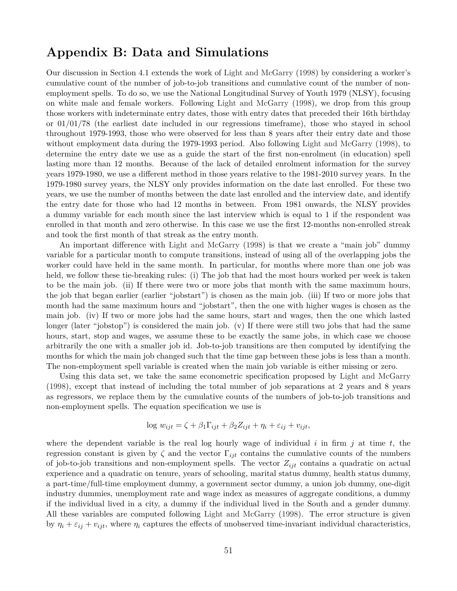## **Appendix B: Data and Simulations**

Our discussion in Section 4.1 extends the work of [Light and McGarry](#page-34-6) [\(1998\)](#page-34-6) by considering a worker's cumulative count of the number of job-to-job transitions and cumulative count of the number of nonemployment spells. To do so, we use the National Longitudinal Survey of Youth 1979 (NLSY), focusing on white male and female workers. Following [Light and McGarry](#page-34-6) [\(1998\)](#page-34-6), we drop from this group those workers with indeterminate entry dates, those with entry dates that preceded their 16th birthday or 01/01/78 (the earliest date included in our regressions timeframe), those who stayed in school throughout 1979-1993, those who were observed for less than 8 years after their entry date and those without employment data during the 1979-1993 period. Also following [Light and McGarry](#page-34-6) [\(1998\)](#page-34-6), to determine the entry date we use as a guide the start of the first non-enrolment (in education) spell lasting more than 12 months. Because of the lack of detailed enrolment information for the survey years 1979-1980, we use a different method in those years relative to the 1981-2010 survey years. In the 1979-1980 survey years, the NLSY only provides information on the date last enrolled. For these two years, we use the number of months between the date last enrolled and the interview date, and identify the entry date for those who had 12 months in between. From 1981 onwards, the NLSY provides a dummy variable for each month since the last interview which is equal to 1 if the respondent was enrolled in that month and zero otherwise. In this case we use the first 12-months non-enrolled streak and took the first month of that streak as the entry month.

An important difference with [Light and McGarry](#page-34-6) [\(1998\)](#page-34-6) is that we create a "main job" dummy variable for a particular month to compute transitions, instead of using all of the overlapping jobs the worker could have held in the same month. In particular, for months where more than one job was held, we follow these tie-breaking rules: (i) The job that had the most hours worked per week is taken to be the main job. (ii) If there were two or more jobs that month with the same maximum hours, the job that began earlier (earlier "jobstart") is chosen as the main job. (iii) If two or more jobs that month had the same maximum hours and "jobstart", then the one with higher wages is chosen as the main job. (iv) If two or more jobs had the same hours, start and wages, then the one which lasted longer (later "jobstop") is considered the main job. (v) If there were still two jobs that had the same hours, start, stop and wages, we assume these to be exactly the same jobs, in which case we choose arbitrarily the one with a smaller job id. Job-to-job transitions are then computed by identifying the months for which the main job changed such that the time gap between these jobs is less than a month. The non-employment spell variable is created when the main job variable is either missing or zero.

Using this data set, we take the same econometric specification proposed by [Light and McGarry](#page-34-6) [\(1998\)](#page-34-6), except that instead of including the total number of job separations at 2 years and 8 years as regressors, we replace them by the cumulative counts of the numbers of job-to-job transitions and non-employment spells. The equation specification we use is

$$
\log w_{ijt} = \zeta + \beta_1 \Gamma_{ijt} + \beta_2 Z_{ijt} + \eta_i + \varepsilon_{ij} + v_{ijt},
$$

where the dependent variable is the real log hourly wage of individual *i* in firm *j* at time *t*, the regression constant is given by  $\zeta$  and the vector  $\Gamma_{ijt}$  contains the cumulative counts of the numbers of job-to-job transitions and non-employment spells. The vector  $Z_{ijt}$  contains a quadratic on actual experience and a quadratic on tenure, years of schooling, marital status dummy, health status dummy, a part-time/full-time employment dummy, a government sector dummy, a union job dummy, one-digit industry dummies, unemployment rate and wage index as measures of aggregate conditions, a dummy if the individual lived in a city, a dummy if the individual lived in the South and a gender dummy. All these variables are computed following [Light and McGarry](#page-34-6) [\(1998\)](#page-34-6). The error structure is given by  $\eta_i + \varepsilon_{ij} + v_{ijt}$ , where  $\eta_i$  captures the effects of unobserved time-invariant individual characteristics,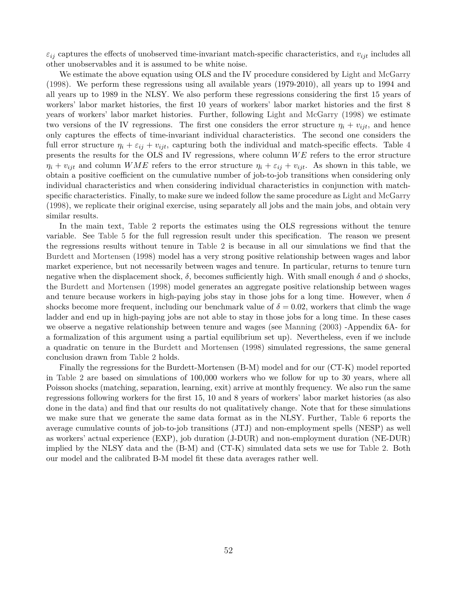$\varepsilon_{ij}$  captures the effects of unobserved time-invariant match-specific characteristics, and  $v_{ijt}$  includes all other unobservables and it is assumed to be white noise.

We estimate the above equation using OLS and the IV procedure considered by [Light and McGarry](#page-34-6) [\(1998\)](#page-34-6). We perform these regressions using all available years (1979-2010), all years up to 1994 and all years up to 1989 in the NLSY. We also perform these regressions considering the first 15 years of workers' labor market histories, the first 10 years of workers' labor market histories and the first 8 years of workers' labor market histories. Further, following [Light and McGarry](#page-34-6) [\(1998\)](#page-34-6) we estimate two versions of the IV regressions. The first one considers the error structure  $\eta_i + v_{ijt}$ , and hence only captures the effects of time-invariant individual characteristics. The second one considers the full error structure  $\eta_i + \varepsilon_{ij} + v_{ijt}$ , capturing both the individual and match-specific effects. Table [4](#page-54-0) presents the results for the OLS and IV regressions, where column *W E* refers to the error structure  $\eta_i + v_{ijt}$  and column *WME* refers to the error structure  $\eta_i + \varepsilon_{ij} + v_{ijt}$ . As shown in this table, we obtain a positive coefficient on the cumulative number of job-to-job transitions when considering only individual characteristics and when considering individual characteristics in conjunction with matchspecific characteristics. Finally, to make sure we indeed follow the same procedure as [Light and McGarry](#page-34-6) [\(1998\)](#page-34-6), we replicate their original exercise, using separately all jobs and the main jobs, and obtain very similar results.

In the main text, [Table 2](#page-25-0) reports the estimates using the OLS regressions without the tenure variable. See [Table 5](#page-55-0) for the full regression result under this specification. The reason we present the regressions results without tenure in [Table 2](#page-25-0) is because in all our simulations we find that the [Burdett and Mortensen](#page-32-0) [\(1998\)](#page-32-0) model has a very strong positive relationship between wages and labor market experience, but not necessarily between wages and tenure. In particular, returns to tenure turn negative when the displacement shock,  $\delta$ , becomes sufficiently high. With small enough  $\delta$  and  $\phi$  shocks, the [Burdett and Mortensen](#page-32-0) [\(1998\)](#page-32-0) model generates an aggregate positive relationship between wages and tenure because workers in high-paying jobs stay in those jobs for a long time. However, when  $\delta$ shocks become more frequent, including our benchmark value of  $\delta = 0.02$ , workers that climb the wage ladder and end up in high-paying jobs are not able to stay in those jobs for a long time. In these cases we observe a negative relationship between tenure and wages (see [Manning](#page-34-16) [\(2003\)](#page-34-16) -Appendix 6A- for a formalization of this argument using a partial equilibrium set up). Nevertheless, even if we include a quadratic on tenure in the [Burdett and Mortensen](#page-32-0) [\(1998\)](#page-32-0) simulated regressions, the same general conclusion drawn from [Table 2](#page-25-0) holds.

Finally the regressions for the Burdett-Mortensen (B-M) model and for our (CT-K) model reported in [Table 2](#page-25-0) are based on simulations of 100,000 workers who we follow for up to 30 years, where all Poisson shocks (matching, separation, learning, exit) arrive at monthly frequency. We also run the same regressions following workers for the first 15, 10 and 8 years of workers' labor market histories (as also done in the data) and find that our results do not qualitatively change. Note that for these simulations we make sure that we generate the same data format as in the NLSY. Further, [Table 6](#page-56-0) reports the average cumulative counts of job-to-job transitions (JTJ) and non-employment spells (NESP) as well as workers' actual experience (EXP), job duration (J-DUR) and non-employment duration (NE-DUR) implied by the NLSY data and the (B-M) and (CT-K) simulated data sets we use for [Table 2.](#page-25-0) Both our model and the calibrated B-M model fit these data averages rather well.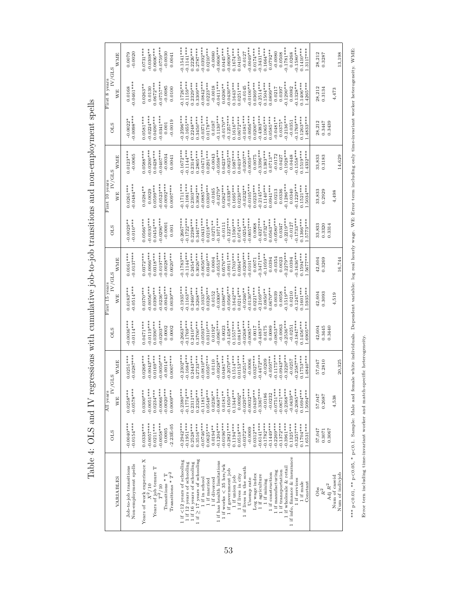Table 4: OLS and IV regressions with cumulative job-to-job transitions and non-employment spells Table 4: OLS and IV regressions with cumulative job-to-job transitions and non-employment spells

<span id="page-54-0"></span>

| <b>WME</b>                     | $-0.0020$<br>0.0079                             | $-0.0759***$<br>$0.0731***$<br>$0.0606***$<br>$-0.0308**$<br>$-0.0030$<br>0.0041                                      | $0.1541***$<br>$-0.1141***$<br>$-0.0606***$<br>$-0.0049***$<br>$-0.3431***$<br>$-0.1580***$<br>$-0.0392***$<br>$-0.0690***$<br>$-0.1781***$<br>$0.2226***$<br>$0.2787***$<br>$0.0210***$<br>$0.0445***$<br>$0.1674***$<br>$0.0419***$<br>$0.0174***$<br>$0.1410***$<br>$0.1664***$<br>$1.3117***$<br>$0.0792**$<br>$-0.0080$<br>$-0.0127$<br>$-0.0080$<br>0.0508<br>0.0268                                                                                                                                                                                                                     | 28,212<br>13,198<br>0.3287                                                                   |
|--------------------------------|-------------------------------------------------|-----------------------------------------------------------------------------------------------------------------------|------------------------------------------------------------------------------------------------------------------------------------------------------------------------------------------------------------------------------------------------------------------------------------------------------------------------------------------------------------------------------------------------------------------------------------------------------------------------------------------------------------------------------------------------------------------------------------------------|----------------------------------------------------------------------------------------------|
| IV/GLS<br>First 8 years<br>WE  | $0.0461***$<br>0.0168                           | $-0.0757***$<br>$0.0672***$<br>$0.0263**$<br>$-0.0085$<br>0.0130<br>0.0100                                            | $0.1726***$<br>$-0.1159***$<br>$-0.0842***$<br>$-0.0430***$<br>$-0.0100**$<br>$-0.2514***$<br>$-0.1290***$<br>$-0.1328***$<br>$0.0411***$<br>$0.1643***$<br>$0.2329***$<br>$0.0223***$<br>$0.0251***$<br>$0.0369***$<br>$0.1504***$<br>$0.1406***$<br>$1.4265***$<br>$0.3309***$<br>$0.0899***$<br>$0.0206**$<br>$-0.0018$<br>$-0.0145$<br>0.0217<br>0.0397<br>0.0082                                                                                                                                                                                                                          | 28,212<br>0.3134<br>4,473                                                                    |
| <b>OLS</b>                     | $-0.0098***$<br>$-0.0022*$                      | $-0.0224***$<br>$-0.0341***$<br>$0.0581***$<br>$0.0490***$<br>$-0.0019$<br>0.001                                      | $-0.2596***$<br>$-0.1655***$<br>$-0.1130***$<br>$-0.1257***$<br>$-0.0181***$<br>$-0.0056***$<br>$-0.4383***$<br>$-0.2136***$<br>$-0.1769***$<br>$-0.0371***$<br>$0.1616***$<br>$0.0672***$<br>$0.2248***$<br>$0.3450***$<br>$0.0178***$<br>$-0.0170**$<br>$0.0200***$<br>$0.1065***$<br>$0.0585***$<br>$0.1263***$<br>$1.4833***$<br>$-0.0481**$<br>$0.0375*$<br>0.0187<br>$-0.0351$                                                                                                                                                                                                           | 28,212<br>0.3447<br>0.3439                                                                   |
| WME                            | $0.0123***$<br>$-0.0065$                        | $-0.0200***$<br>$-0.0407***$<br>$0.0588***$<br>$0.0428***$<br>$-0.0034$<br>0.0041                                     | $0.1672***$<br>$0.0625***$<br>$0.0059***$<br>$0.3396***$<br>$0.1928***$<br>$0.1558***$<br>$-0.1144**$<br>$0.0471***$<br>$0.0598***$<br>$0.0423***$<br>$0.1687***$<br>$0.2314***$<br>$0.2805***$<br>$0.0291***$<br>$0.0419***$<br>$0.1383***$<br>$0.1519***$<br>$-0.0207**$<br>$1.4332***$<br>$0.0713**$<br>$-0.0043$<br>$-0.0172$<br>0.0448<br>0.0075<br>0.0427                                                                                                                                                                                                                                | 33,833<br>14,629<br>0.3183                                                                   |
| IV/GLS<br>First 10 years<br>WE | $-0.0484***$<br>$0.0261***$                     | $-0.0092***$<br>$-0.0523***$<br>$0.0097***$<br>$0.0599***$<br>$0.0284**$<br>0.0029                                    | $-0.1711***$<br>$-0.1081***$<br>$-0.0105***$<br>$-0.2145***$<br>$-0.0885***$<br>$-0.1286***$<br>$-0.1229***$<br>$0.0262***$<br>$0.1695***$<br>$0.0230***$<br>$0.0233***$<br>$0.0941***$<br>$1.5034***$<br>$0.2303***$<br>$0.3082***$<br>$0.0309***$<br>$-0.0339**$<br>$0.1140***$<br>$0.1521***$<br>$-0.0232**$<br>$-0.0279*$<br>$-0.0165$<br>0.0340<br>0.0213<br>0.0336                                                                                                                                                                                                                       | 33,833<br>0.2929<br>4,498                                                                    |
| <b>OLS</b>                     | $-0.0029**$<br>$-0.010***$                      | $-0.0193***$<br>$-0.0296***$<br>$0.0566***$<br>$0.0454***$<br>$-0.0001$<br>0.001                                      | $0.1227***$<br>$-0.0254***$<br>$-0.4327***$<br>$-0.2219***$<br>$-0.2667***$<br>$-0.1722***$<br>$-0.0431***$<br>$0.1071***$<br>$-0.0057***$<br>$0.0580***$<br>$-0.1733***$<br>$0.1590***$<br>$0.0745***$<br>$0.0218***$<br>$0.0563***$<br>$0.1366***$<br>$1.5773***$<br>$0.2298***$<br>$0.3467***$<br>$0.0732**$<br>$0.0271**$<br>$-0.0111$<br>$-0.0127$<br>0.0068<br>0.0347                                                                                                                                                                                                                    | 33,833<br>0.3320<br>0.3314                                                                   |
| <b>WME</b>                     | $0.0137***$<br>$0.0161***$                      | $-0.0028***$<br>$-0.0066***$<br>$-0.0197***$<br>$0.0372***$<br>$0.0318***$<br>$0.0020***$                             | $-0.3471***$<br>$0.1783***$<br>$-0.0553***$<br>$-0.0911***$<br>$-0.0101***$<br>$-0.2279***$<br>$-0.1636***$<br>$-0.1144***$<br>$-0.0656***$<br>$-0.0200$ ***<br>$0.1703***$<br>$0.2454***$<br>$0.3026***$<br>$0.0340***$<br>$0.0576***$<br>$0.0364***$<br>$0.1594***$<br>$-0.1059**$<br>$1.5677***$<br>0.0004<br>$-0.0354$<br>0.0023<br>0.0394<br>0.0071<br>0.0394                                                                                                                                                                                                                             | 42,604<br>0.3269<br>16,744                                                                   |
| IV/GLS<br>First 15 years<br>WE | $-0.0514***$<br>$0.0183***$                     | $-0.0056***$<br>$-0.0236***$<br>$-0.0043***$<br>$0.0370***$<br>$0.0390***$<br>$0.0030***$                             | $-0.1935***$<br>$-0.1163***$<br>$-0.0566***$<br>$-0.0130***$<br>$-0.2169***$<br>$-0.1247***$<br>$-0.1033***$<br>$-0.1519***$<br>$0.1642***$<br>$0.3268***$<br>$0.0326***$<br>$0.0386***$<br>$0.0214***$<br>$-0.0246**$<br>$0.0221***$<br>$0.1601***$<br>$0.2460***$<br>$-0.0300**$<br>$0.0670***$<br>1.5935****<br>$0.0850**$<br>0.0210<br>0.0152<br>0.0039<br>0.0058                                                                                                                                                                                                                          | 42,604<br>0.3093<br>4,519                                                                    |
| <b>OLS</b>                     | $-0.0114***$<br>$-0.0036***$                    | $-0.0119***$<br>$-0.0203***$<br>$0.0471***$<br>$0.0390***$<br>0.0002<br>0.0002                                        | $0.1458***$<br>$-0.4483***$<br>$0.1847***$<br>$-0.2663***$<br>$-0.1769***$<br>$0.0967***$<br>$-0.0268***$<br>$-0.0085***$<br>$0.0853***$<br>$-0.2536***$<br>$-0.0593***$<br>$0.1557***$<br>$0.0818***$<br>$0.2410***$<br>$0.3700***$<br>$0.0310***$<br>$0.1456***$<br>1.6905***<br>$0.0192*$<br>$-0.0063$<br>$-0.0251$<br>0.0023<br>0.0017<br>0.0175<br>0.0089                                                                                                                                                                                                                                 | 0.3445<br>0.3440<br>42,604                                                                   |
| <b>WME</b>                     | $-0.0287***$<br>$0.0251***$                     | $-0.0043***$<br>$-0.0050***$<br>$0.0268***$<br>$0.0169***$<br>$-0.0014**$<br>$0.0007***$                              | $-0.2302***$<br>$-0.1175***$<br>$-0.0943***$<br>$-0.3220***$<br>$-0.1684***$<br>$-0.0810***$<br>$-0.0928***$<br>$-0.2070***$<br>$-0.0251***$<br>$-0.4472***$<br>$-0.2587***$<br>$0.0481***$<br>$0.2443***$<br>$0.0597***$<br>$0.1514***$<br>$0.0153***$<br>$0.1753***$<br>$0.2733***$<br>$0.0327***$<br>$-0.0597**$<br>****0788<br>$-0.0006$<br>$-0.0209$<br>$-0.0257$<br>0.0110                                                                                                                                                                                                               | 57,047<br>0.2810<br>20,325                                                                   |
| IV/GLS<br>All years<br>WE      | $-0.0578***$<br>$0.0258***$                     | $-0.0051***$<br>$-0.0066***$<br>$-0.0020***$<br>$0.0300***$<br>$0.0234***$<br>$0.0009***$                             | $-0.2380***$<br>$-0.1774***$<br>$-0.0751***$<br>$-0.1181***$<br>$-0.0687***$<br>$-0.1650***$<br>$-0.0297***$<br>$-0.0032***$<br>$-0.3367***$<br>$-0.0671***$<br>$-0.2368***$<br>$-0.2085***$<br>$0.2311***$<br>$0.2326***$<br>$0.0548***$<br>$0.1344***$<br>$0.0439***$<br>$0.1694***$<br>$1.5094***$<br>$-0.0439**$<br>$0.0236**$<br>$0.0181**$<br>$0.0092*$<br>$-0.0186$<br>$-0.0232$                                                                                                                                                                                                        | 57,047<br>0.2687<br>4,538                                                                    |
| <b>OLS</b>                     | $-0.0154***$<br>$-0.0040***$                    | $-0.0057***$<br>$-0.0058***$<br>$0.0338***$<br>$0.0211***$<br>$-2.23E - 05$<br>0.0005                                 | $-0.2942***$<br>$-0.1951***$<br>$-0.1204***$<br>$-0.0196***$<br>$-0.2821***$<br>$-0.6141***$<br>$-0.1782***$<br>$-0.1449***$<br>$-0.2269***$<br>$-0.1372***$<br>$-0.3961***$<br>$-0.0746***$<br>$-0.0372***$<br>$-0.3257***$<br>$0.2528***$<br>$0.1325***$<br>$0.1704***$<br>$0.3516***$<br>$0.0625***$<br>$0.1194***$<br>$0.0518***$<br>$0.0312***$<br>$1.6531***$<br>$0.0194***$<br>$-0.0009$                                                                                                                                                                                                | 57,047<br>0.3067<br>0.3071                                                                   |
| VARIABLES                      | Non-employment spells<br>Job-to-job transitions | Years of work experience X<br>Years of job tenure T<br>Transitions * $T^2$<br>Transitions * T<br>$X^2/10$<br>$T^2/10$ | 1 if info, finance & insurance<br>1 if $\geq$ 17 years of schooling<br>$1$ if $\lt 12$ years of schooling<br>1 if has health limitations<br>1 if 12 years of schooling<br>1 if 16 years of schooling<br>1 if works $<$ 35 hrs/wk<br>1 if wholesale & retail<br>1 if lives in the south<br>1 if government job<br>$1$ if manufacturing $\,$<br>1 if transportation<br>1 if construction<br>1 if lives in city<br>Log wage index<br>1 if agriculture<br>1 if union job<br>1 if in school<br>1 if divorced<br>Unemp rate<br>1 if married<br>1 if services<br>1 if mining<br>1 if male<br>Constant | Num of indivjob<br>Num of caseid<br>Adj $\mathbb{R}^2$<br>Obs<br>$\ensuremath{R^{2}}\xspace$ |

\*\*\* p<0.01, \*\* p<0.15, \* p<0.1. Sample: Male and female white individuals. Dependent variable: log real hourly wage. WE: Error term including only time-invariant worker heterogeneity. WME: \*\*\* p<0.01, \*\* p<0.05, \* p<0.1. Sample: Male and female white individuals. Dependent variable: log real hourly wage. WE: Error term including only time-invariant worker heterogeneity. WME:

Error tern including time-invariant worker and match-specific heterogeneity. Error tern including time-invariant worker and match-specific heterogeneity.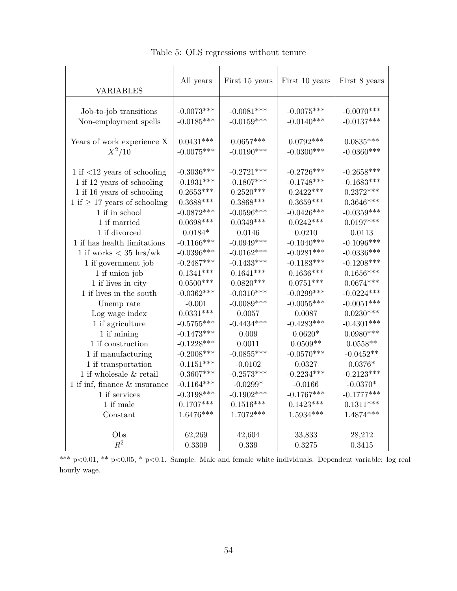<span id="page-55-0"></span>

| <b>VARIABLES</b>                             | All years         | First 15 years | First 10 years | First 8 years    |
|----------------------------------------------|-------------------|----------------|----------------|------------------|
| Job-to-job transitions                       | $-0.0073***$      | $-0.0081***$   | $-0.0075***$   | $-0.0070***$     |
| Non-employment spells                        | $-0.0185***$      | $-0.0159***$   | $-0.0140***$   | $-0.0137***$     |
| Years of work experience X                   | $0.0431***$       | $0.0657***$    | $0.0792***$    | $0.0835***$      |
| $X^2/10$                                     | $-0.0075***$      | $-0.0190***$   | $-0.0300***$   | $-0.0360***$     |
|                                              |                   |                |                |                  |
| 1 if $\langle 12 \rangle$ years of schooling | $-0.3036***$      | $-0.2721***$   | $-0.2726***$   | $-0.2658***$     |
| 1 if 12 years of schooling                   | $-0.1931***$      | $-0.1807***$   | $-0.1748***$   | $-0.1683***$     |
| 1 if 16 years of schooling                   | $0.2653***$       | $0.2520***$    | $0.2422***$    | $0.2372***$      |
| 1 if $\geq$ 17 years of schooling            | $0.3688***$       | $0.3868***$    | $0.3659***$    | $0.3646***$      |
| 1 if in school                               | $-0.0872***$      | $-0.0596***$   | $-0.0426***$   | $-0.0359***$     |
| 1 if married                                 | $0.0698***$       | $0.0349***$    | $0.0242***$    | $0.0197***$      |
| 1 if divorced                                | $0.0184*$         | 0.0146         | 0.0210         | 0.0113           |
| 1 if has health limitations                  | $-0.1166***$      | $-0.0949***$   | $-0.1040***$   | $-0.1096***$     |
| 1 if works $<$ 35 hrs/wk                     | $-0.0396***$      | $-0.0162***$   | $-0.0281***$   | $-0.0336***$     |
| 1 if government job                          | $-0.2487***$      | $-0.1433***$   | $-0.1183***$   | $-0.1208***$     |
| 1 if union job                               | $0.1341***$       | $0.1641***$    | $0.1636***$    | $0.1656***$      |
| 1 if lives in city                           | $0.0500***$       | $0.0820***$    | $0.0751***$    | $0.0674***$      |
| $1$ if lives in the south $\,$               | $-0.0362***$      | $-0.0310***$   | $-0.0299$ ***  | $-0.0224***$     |
| Unemp rate                                   | $-0.001$          | $-0.0089***$   | $-0.0055***$   | $-0.0051***$     |
| Log wage index                               | $0.0331***$       | 0.0057         | 0.0087         | $0.0230***$      |
| 1 if agriculture                             | $-0.5755^{***}\,$ | $-0.4434***$   | $-0.4283***$   | $-0.4301***$     |
| 1 if mining                                  | $-0.1473***$      | 0.009          | $0.0620*$      | $0.0980***$      |
| 1 if construction                            | $-0.1228***$      | 0.0011         | $0.0509**$     | $0.0558**$       |
| 1 if manufacturing                           | $-0.2008***$      | $-0.0855***$   | $-0.0570***$   | $-0.0452**$      |
| 1 if transportation                          | $-0.1151***$      | $-0.0102$      | 0.0327         | $0.0376*$        |
| $1$ if wholesale $\&$ retail                 | $-0.3607***$      | $-0.2573***$   | $-0.2234***$   | $-0.2123***$     |
| 1 if inf, finance $\&$ insurance             | $-0.1164***$      | $-0.0299*$     | $-0.0166$      | $-0.0370^{\ast}$ |
| 1 if services                                | $-0.3198***$      | $-0.1902***$   | $-0.1767***$   | $-0.1777***$     |
| 1 if male                                    | $0.1707***$       | $0.1516***$    | $0.1423***$    | $0.1311***$      |
| Constant                                     | $1.6476***$       | $1.7072***$    | $1.5934***$    | $1.4874***$      |
|                                              |                   |                |                |                  |
| Obs                                          | 62,269            | 42,604         | 33,833         | 28,212           |
| $R^2$                                        | 0.3309            | 0.339          | 0.3275         | 0.3415           |

Table 5: OLS regressions without tenure

\*\*\* p<0.01, \*\* p<0.05, \* p<0.1. Sample: Male and female white individuals. Dependent variable: log real hourly wage.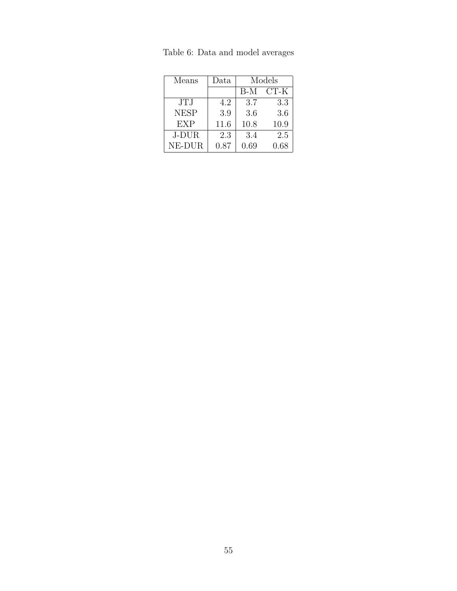| Means       | Data | Models |      |  |
|-------------|------|--------|------|--|
|             |      | $B-M$  | CT-K |  |
| JTJ         | 4.2  | 3.7    | 3.3  |  |
| <b>NESP</b> | 3.9  | 3.6    | 3.6  |  |
| <b>EXP</b>  | 11.6 | 10.8   | 10.9 |  |
| J-DUR       | 2.3  | 3.4    | 2.5  |  |
| NE-DUR      | 0.87 | 0.69   | 0.68 |  |

<span id="page-56-0"></span>Table 6: Data and model averages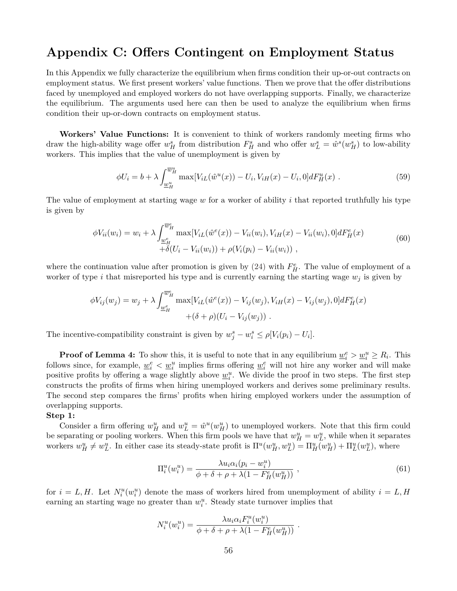## **Appendix C: Offers Contingent on Employment Status**

In this Appendix we fully characterize the equilibrium when firms condition their up-or-out contracts on employment status. We first present workers' value functions. Then we prove that the offer distributions faced by unemployed and employed workers do not have overlapping supports. Finally, we characterize the equilibrium. The arguments used here can then be used to analyze the equilibrium when firms condition their up-or-down contracts on employment status.

**Workers' Value Functions:** It is convenient to think of workers randomly meeting firms who draw the high-ability wage offer  $w_H^s$  from distribution  $F_H^s$  and who offer  $w_L^s = \hat{w}^s(w_H^s)$  to low-ability workers. This implies that the value of unemployment is given by

$$
\phi U_i = b + \lambda \int_{\frac{w_u^u}{H}}^{\overline{w}_H^u} \max[V_{iL}(\hat{w}^u(x)) - U_i, V_{iH}(x) - U_i, 0] dF_H^u(x) . \tag{59}
$$

The value of employment at starting wage *w* for a worker of ability *i* that reported truthfully his type is given by

$$
\phi V_{ii}(w_i) = w_i + \lambda \int_{\frac{w_H^e}{\delta(u_i)}}^{\overline{w}_H^e} \max[V_{iL}(\hat{w}^e(x)) - V_{ii}(w_i), V_{iH}(x) - V_{ii}(w_i), 0] dF_H^e(x) + \delta(U_i - V_{ii}(w_i)) + \rho(V_i(p_i) - V_{ii}(w_i)),
$$
\n(60)

where the continuation value after promotion is given by  $(24)$  with  $F_H^e$ . The value of employment of a worker of type *i* that misreported his type and is currently earning the starting wage  $w_j$  is given by

$$
\phi V_{ij}(w_j) = w_j + \lambda \int_{\underline{w}_H^e}^{\overline{w}_H^e} \max[V_{iL}(\hat{w}^e(x)) - V_{ij}(w_j), V_{iH}(x) - V_{ij}(w_j), 0] dF_H^e(x) + (\delta + \rho)(U_i - V_{ij}(w_j)).
$$

The incentive-compatibility constraint is given by  $w_j^s - w_i^s \leq \rho[V_i(p_i) - U_i].$ 

**Proof of Lemma 4:** To show this, it is useful to note that in any equilibrium  $\underline{w}_i^e > \underline{w}_i^u \geq R_i$ . This follows since, for example,  $w_i^e < w_i^u$  implies firms offering  $w_i^e$  will not hire any worker and will make positive profits by offering a wage slightly above  $\underline{w}_i^u$ . We divide the proof in two steps. The first step constructs the profits of firms when hiring unemployed workers and derives some preliminary results. The second step compares the firms' profits when hiring employed workers under the assumption of overlapping supports.

#### **Step 1:**

Consider a firm offering  $w_H^u$  and  $w_L^u = \hat{w}^u(w_H^u)$  to unemployed workers. Note that this firm could be separating or pooling workers. When this firm pools we have that  $w_H^u = w_L^u$ , while when it separates workers  $w_H^u \neq w_L^u$ . In either case its steady-state profit is  $\Pi^u(w_H^u, w_L^u) = \Pi^u_H(w_H^u) + \Pi^u_L(w_L^u)$ , where

<span id="page-57-0"></span>
$$
\Pi_i^u(w_i^u) = \frac{\lambda u_i \alpha_i (p_i - w_i^u)}{\phi + \delta + \rho + \lambda (1 - F_H^e(w_H^u))},
$$
\n(61)

for  $i = L, H$ . Let  $N_i^u(w_i^u)$  denote the mass of workers hired from unemployment of ability  $i = L, H$ earning an starting wage no greater than  $w_i^u$ . Steady state turnover implies that

$$
N_i^u(w_i^u) = \frac{\lambda u_i \alpha_i F_i^u(w_i^u)}{\phi + \delta + \rho + \lambda (1 - F_H^e(w_H^u))}.
$$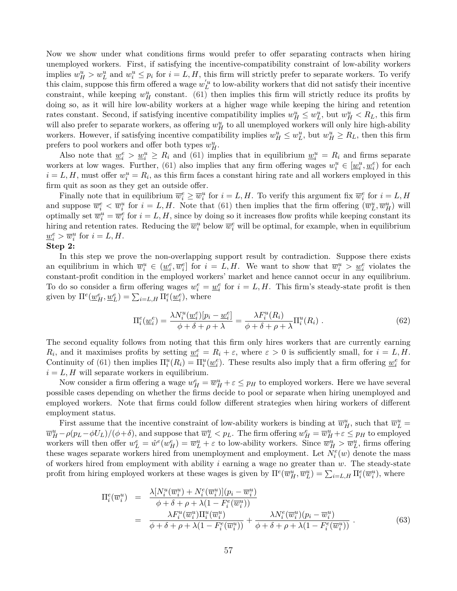Now we show under what conditions firms would prefer to offer separating contracts when hiring unemployed workers. First, if satisfying the incentive-compatibility constraint of low-ability workers implies  $w_H^u > w_L^u$  and  $w_i^u \leq p_i$  for  $i = L, H$ , this firm will strictly prefer to separate workers. To verify this claim, suppose this firm offered a wage  $w_L^{'u}$  to low-ability workers that did not satisfy their incentive constraint, while keeping  $w_H^u$  constant. [\(61\)](#page-57-0) then implies this firm will strictly reduce its profits by doing so, as it will hire low-ability workers at a higher wage while keeping the hiring and retention rates constant. Second, if satisfying incentive compatibility implies  $w_H^u \leq w_L^u$ , but  $w_H^u < R_L$ , this firm will also prefer to separate workers, as offering  $w_H^u$  to all unemployed workers will only hire high-ability workers. However, if satisfying incentive compatibility implies  $w_H^u \leq w_L^u$ , but  $w_H^u \geq R_L$ , then this firm prefers to pool workers and offer both types  $w_H^u$ .

Also note that  $w_i^e > w_i^u \geq R_i$  and [\(61\)](#page-57-0) implies that in equilibrium  $w_i^u = R_i$  and firms separate workers at low wages. Further, [\(61\)](#page-57-0) also implies that any firm offering wages  $w_i^u \in [\underline{w}_i^u, \underline{w}_i^e)$  for each  $i = L, H$ , must offer  $w_i^u = R_i$ , as this firm faces a constant hiring rate and all workers employed in this firm quit as soon as they get an outside offer.

Finally note that in equilibrium  $\overline{w}_i^e \geq \overline{w}_i^u$  for  $i = L, H$ . To verify this argument fix  $\overline{w}_i^e$  for  $i = L, H$ and suppose  $\overline{w}_i^e < \overline{w}_i^u$  for  $i = L, H$ . Note that [\(61\)](#page-57-0) then implies that the firm offering  $(\overline{w}_L^u, \overline{w}_H^u)$  will optimally set  $\overline{w}_i^u = \overline{w}_i^e$  for  $i = L, H$ , since by doing so it increases flow profits while keeping constant its hiring and retention rates. Reducing the  $\overline{w}_i^u$  below  $\overline{w}_i^e$  will be optimal, for example, when in equilibrium  $w_i^e > \overline{w}_i^u$  for  $i = L, H$ .

### **Step 2:**

In this step we prove the non-overlapping support result by contradiction. Suppose there exists an equilibrium in which  $\overline{w}_i^u \in (\underline{w}_i^e, \overline{w}_i^e]$  for  $i = L, H$ . We want to show that  $\overline{w}_i^u > \underline{w}_i^e$  violates the constant-profit condition in the employed workers' market and hence cannot occur in any equilibrium. To do so consider a firm offering wages  $w_i^e = \underline{w}_i^e$  for  $i = L, H$ . This firm's steady-state profit is then given by  $\Pi^e(\underline{w}_H^e, \underline{w}_L^e) = \sum_{i=L,H} \Pi_i^e(\underline{w}_i^e)$ , where

<span id="page-58-1"></span>
$$
\Pi_i^e(\underline{w}_i^e) = \frac{\lambda N_i^u(\underline{w}_i^e)[p_i - \underline{w}_i^e]}{\phi + \delta + \rho + \lambda} = \frac{\lambda F_i^u(R_i)}{\phi + \delta + \rho + \lambda} \Pi_i^u(R_i) \tag{62}
$$

The second equality follows from noting that this firm only hires workers that are currently earning *R*<sub>*i*</sub>, and it maximises profits by setting  $w_i^e = R_i + \varepsilon$ , where  $\varepsilon > 0$  is sufficiently small, for  $i = L, H$ . Continuity of [\(61\)](#page-57-0) then implies  $\Pi_i^u(R_i) = \Pi_i^u(\underline{w}_i^e)$ . These results also imply that a firm offering  $\underline{w}_i^e$  for  $i = L, H$  will separate workers in equilibrium.

Now consider a firm offering a wage  $w_H^e = \overline{w}_H^u + \varepsilon \leq p_H$  to employed workers. Here we have several possible cases depending on whether the firms decide to pool or separate when hiring unemployed and employed workers. Note that firms could follow different strategies when hiring workers of different employment status.

First assume that the incentive constraint of low-ability workers is binding at  $\overline{w}_{H}^{u}$ , such that  $\overline{w}_{L}^{u}$  $\overline{w}_{H}^{u} - \rho(p_{L} - \phi U_{L})/(\phi + \delta)$ , and suppose that  $\overline{w}_{L}^{u} < p_{L}$ . The firm offering  $w_{H}^{e} = \overline{w}_{H}^{u} + \varepsilon \leq p_{H}$  to employed workers will then offer  $w_L^e = \hat{w}^e(w_H^e) = \overline{w}_L^u + \varepsilon$  to low-ability workers. Since  $\overline{w}_H^u > \overline{w}_L^u$ , firms offering these wages separate workers hired from unemployment and employment. Let  $N_i^e(w)$  denote the mass of workers hired from employment with ability *i* earning a wage no greater than *w*. The steady-state profit from hiring employed workers at these wages is given by  $\Pi^e(\overline{w}_H^u, \overline{w}_L^u) = \sum_{i=L,H} \Pi_i^e(\overline{w}_i^u)$ , where

<span id="page-58-0"></span>
$$
\Pi_i^e(\overline{w}_i^u) = \frac{\lambda [N_i^u(\overline{w}_i^u) + N_i^e(\overline{w}_i^u)](p_i - \overline{w}_i^u)}{\phi + \delta + \rho + \lambda (1 - F_i^e(\overline{w}_i^u))}
$$
\n
$$
= \frac{\lambda F_i^u(\overline{w}_i^u) \Pi_i^u(\overline{w}_i^u)}{\phi + \delta + \rho + \lambda (1 - F_i^e(\overline{w}_i^u))} + \frac{\lambda N_i^e(\overline{w}_i^u)(p_i - \overline{w}_i^u)}{\phi + \delta + \rho + \lambda (1 - F_i^e(\overline{w}_i^u))}.
$$
\n(63)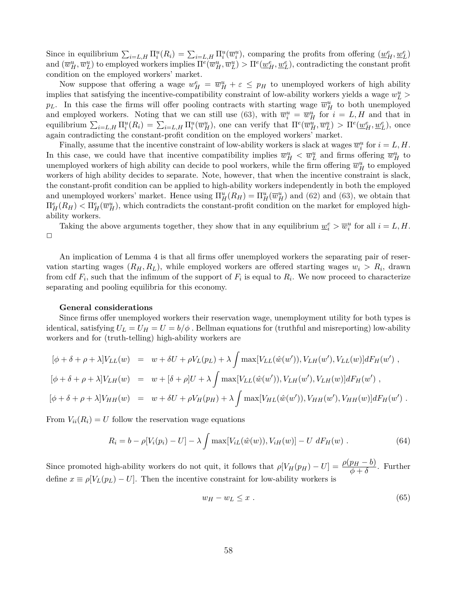Since in equilibrium  $\sum_{i=L,H} \Pi_i^u(R_i) = \sum_{i=L,H} \Pi_i^u(\overline{w}_i^u)$ , comparing the profits from offering  $(\underline{w}_H^e, \underline{w}_L^e)$ and  $(\overline{w}_H^u, \overline{w}_L^u)$  to employed workers implies  $\Pi^e(\overline{w}_H^u, \overline{w}_L^u) > \Pi^e(\underline{w}_H^e, \underline{w}_L^e)$ , contradicting the constant profit condition on the employed workers' market.

Now suppose that offering a wage  $w_H^e = \overline{w}_H^u + \varepsilon \leq p_H$  to unemployed workers of high ability implies that satisfying the incentive-compatibility constraint of low-ability workers yields a wage  $w_L^u$  >  $p_L$ . In this case the firms will offer pooling contracts with starting wage  $\overline{w}_H^u$  to both unemployed and employed workers. Noting that we can still use [\(63\),](#page-58-0) with  $\overline{w}_i^u = \overline{w}_H^u$  for  $i = L, H$  and that in equilibrium  $\sum_{i=L,H} \Pi_i^u(R_i) = \sum_{i=L,H} \Pi_i^u(\overline{w}_H^u)$ , one can verify that  $\Pi^e(\overline{w}_H^u, \overline{w}_L^u) > \Pi^e(\underline{w}_H^e, \underline{w}_L^e)$ , once again contradicting the constant-profit condition on the employed workers' market.

Finally, assume that the incentive constraint of low-ability workers is slack at wages  $\overline{w}_i^u$  for  $i = L, H$ . In this case, we could have that incentive compatibility implies  $\overline{w}_{H}^{u} < \overline{w}_{L}^{u}$  and firms offering  $\overline{w}_{H}^{u}$  to unemployed workers of high ability can decide to pool workers, while the firm offering  $\overline{w}_{H}^{u}$  to employed workers of high ability decides to separate. Note, however, that when the incentive constraint is slack, the constant-profit condition can be applied to high-ability workers independently in both the employed and unemployed workers' market. Hence using  $\Pi_H^u(R_H) = \Pi_H^u(\overline{w}_H^u)$  and [\(62\)](#page-58-1) and [\(63\),](#page-58-0) we obtain that  $\Pi_H^e(R_H) < \Pi_H^e(\overline{w}_H^u)$ , which contradicts the constant-profit condition on the market for employed highability workers.

Taking the above arguments together, they show that in any equilibrium  $\underline{w}_i^e > \overline{w}_i^u$  for all  $i = L, H$ .  $\Box$ 

An implication of Lemma 4 is that all firms offer unemployed workers the separating pair of reservation starting wages  $(R_H, R_L)$ , while employed workers are offered starting wages  $w_i > R_i$ , drawn from cdf  $F_i$ , such that the infimum of the support of  $F_i$  is equal to  $R_i$ . We now proceed to characterize separating and pooling equilibria for this economy.

#### **General considerations**

Since firms offer unemployed workers their reservation wage, unemployment utility for both types is identical, satisfying  $U_L = U_H = U = b/\phi$ . Bellman equations for (truthful and misreporting) low-ability workers and for (truth-telling) high-ability workers are

$$
[\phi + \delta + \rho + \lambda]V_{LL}(w) = w + \delta U + \rho V_L(p_L) + \lambda \int \max[V_{LL}(\hat{w}(w')), V_{LL}(w)], V_{LL}(w)]dF_H(w'),
$$
  

$$
[\phi + \delta + \rho + \lambda]V_{LH}(w) = w + [\delta + \rho]U + \lambda \int \max[V_{LL}(\hat{w}(w')), V_{LH}(w'), V_{LH}(w)]dF_H(w'),
$$
  

$$
[\phi + \delta + \rho + \lambda]V_{HH}(w) = w + \delta U + \rho V_H(p_H) + \lambda \int \max[V_{HL}(\hat{w}(w')), V_{HH}(w'), V_{HH}(w)]dF_H(w').
$$

From  $V_{ii}(R_i) = U$  follow the reservation wage equations

<span id="page-59-1"></span>
$$
R_i = b - \rho[V_i(p_i) - U] - \lambda \int \max[V_{iL}(\hat{w}(w)), V_{iH}(w)] - U \, dF_H(w) \,.
$$
 (64)

Since promoted high-ability workers do not quit, it follows that  $\rho[V_H(p_H) - U] = \frac{\rho(p_H - b)}{\phi + \delta}$ . Further define  $x \equiv \rho [V_L(p_L) - U]$ . Then the incentive constraint for low-ability workers is

<span id="page-59-0"></span>
$$
w_H - w_L \le x \tag{65}
$$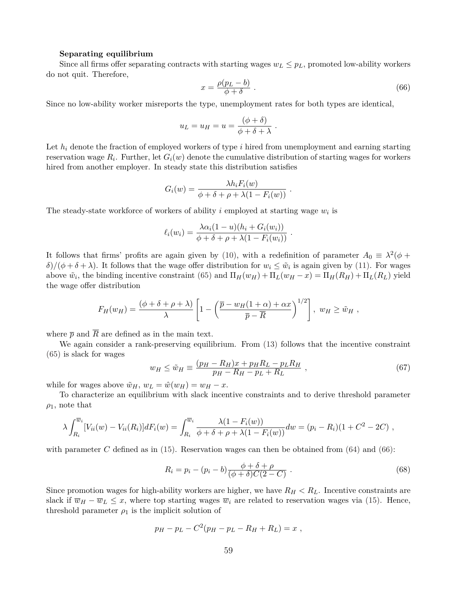#### **Separating equilibrium**

Since all firms offer separating contracts with starting wages  $w_L \leq p_L$ , promoted low-ability workers do not quit. Therefore,

<span id="page-60-0"></span>
$$
x = \frac{\rho(p_L - b)}{\phi + \delta} \tag{66}
$$

Since no low-ability worker misreports the type, unemployment rates for both types are identical,

$$
u_L = u_H = u = \frac{(\phi + \delta)}{\phi + \delta + \lambda} .
$$

Let  $h_i$  denote the fraction of employed workers of type *i* hired from unemployment and earning starting reservation wage *R<sup>i</sup>* . Further, let *Gi*(*w*) denote the cumulative distribution of starting wages for workers hired from another employer. In steady state this distribution satisfies

$$
G_i(w) = \frac{\lambda h_i F_i(w)}{\phi + \delta + \rho + \lambda (1 - F_i(w))}.
$$

The steady-state workforce of workers of ability *i* employed at starting wage *w<sup>i</sup>* is

$$
\ell_i(w_i) = \frac{\lambda \alpha_i (1-u)(h_i + G_i(w_i))}{\phi + \delta + \rho + \lambda (1 - F_i(w_i))}.
$$

It follows that firms' profits are again given by [\(10\),](#page-14-1) with a redefinition of parameter  $A_0 = \lambda^2(\phi +$  $\delta$ )/( $\phi + \delta + \lambda$ ). It follows that the wage offer distribution for  $w_i \leq \tilde{w}_i$  is again given by [\(11\).](#page-15-0) For wages above  $\tilde{w}_i$ , the binding incentive constraint [\(65\)](#page-59-0) and  $\Pi_H(w_H) + \Pi_L(w_H - x) = \Pi_H(R_H) + \Pi_L(R_L)$  yield the wage offer distribution

$$
F_H(w_H) = \frac{(\phi + \delta + \rho + \lambda)}{\lambda} \left[ 1 - \left( \frac{\overline{p} - w_H(1 + \alpha) + \alpha x}{\overline{p} - \overline{R}} \right)^{1/2} \right], \ w_H \ge \tilde{w}_H,
$$

where  $\bar{p}$  and  $\bar{R}$  are defined as in the main text.

We again consider a rank-preserving equilibrium. From  $(13)$  follows that the incentive constraint [\(65\)](#page-59-0) is slack for wages

<span id="page-60-2"></span>
$$
w_H \le \tilde{w}_H \equiv \frac{(p_H - R_H)x + p_H R_L - p_L R_H}{p_H - R_H - p_L + R_L} \,,\tag{67}
$$

while for wages above  $\tilde{w}_H$ ,  $w_L = \hat{w}(w_H) = w_H - x$ .

To characterize an equilibrium with slack incentive constraints and to derive threshold parameter  $\rho_1$ , note that

$$
\lambda \int_{R_i}^{\overline{w}_i} [V_{ii}(w) - V_{ii}(R_i)] dF_i(w) = \int_{R_i}^{\overline{w}_i} \frac{\lambda(1 - F_i(w))}{\phi + \delta + \rho + \lambda(1 - F_i(w))} dw = (p_i - R_i)(1 + C^2 - 2C) ,
$$

with parameter *C* defined as in [\(15\).](#page-16-0) Reservation wages can then be obtained from [\(64\)](#page-59-1) and [\(66\):](#page-60-0)

<span id="page-60-1"></span>
$$
R_i = p_i - (p_i - b) \frac{\phi + \delta + \rho}{(\phi + \delta)C(2 - C)} \,. \tag{68}
$$

Since promotion wages for high-ability workers are higher, we have  $R_H < R_L$ . Incentive constraints are slack if  $\overline{w}_H - \overline{w}_L \leq x$ , where top starting wages  $\overline{w}_i$  are related to reservation wages via [\(15\).](#page-16-0) Hence, threshold parameter  $\rho_1$  is the implicit solution of

$$
p_H - p_L - C^2(p_H - p_L - R_H + R_L) = x,
$$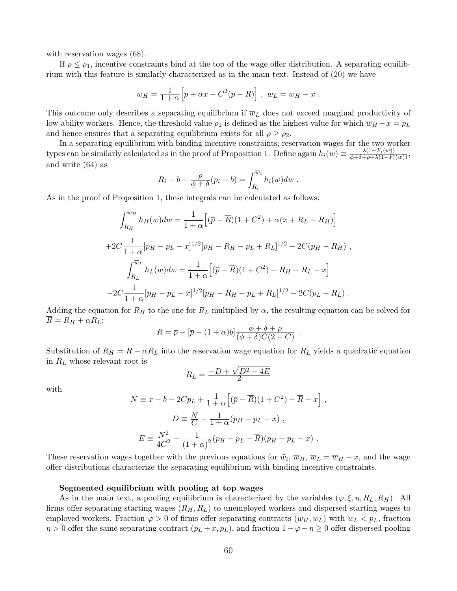with reservation wages  $(68)$ .

If  $\rho \leq \rho_1$ , incentive constraints bind at the top of the wage offer distribution. A separating equilibrium with this feature is similarly characterized as in the main text. Instead of [\(20\)](#page-17-0) we have

$$
\overline{w}_H = \frac{1}{1+\alpha} \Big[ \overline{p} + \alpha x - C^2 (\overline{p} - \overline{R}) \Big], \ \overline{w}_L = \overline{w}_H - x.
$$

This outcome only describes a separating equilibrium if  $\overline{w}_L$  does not exceed marginal productivity of low-ability workers. Hence, the threshold value  $\rho_2$  is defined as the highest value for which  $\overline{w}_H - x = p_L$ and hence ensures that a separating equilibrium exists for all  $\rho \geq \rho_2$ .

In a separating equilibrium with binding incentive constraints, reservation wages for the two worker types can be similarly calculated as in the proof of Proposition 1. Define again  $h_i(w) \equiv \frac{\lambda(1-F_i(w))}{\phi + \delta + \rho + \lambda(1-F_i(w))}$ , and write [\(64\)](#page-59-1) as

$$
R_i - b + \frac{\rho}{\phi + \delta}(p_i - b) = \int_{R_i}^{\overline{w}_i} h_i(w) dw.
$$

As in the proof of Proposition 1, these integrals can be calculated as follows:

$$
\int_{R_H}^{\overline{w}_H} h_H(w) dw = \frac{1}{1+\alpha} \Big[ (\overline{p} - \overline{R})(1 + C^2) + \alpha (x + R_L - R_H) \Big]
$$
  
+2C  $\frac{1}{1+\alpha} [p_H - p_L - x]^{1/2} [p_H - R_H - p_L + R_L]^{1/2} - 2C(p_H - R_H) ,$   

$$
\int_{R_L}^{\overline{w}_L} h_L(w) dw = \frac{1}{1+\alpha} \Big[ (\overline{p} - \overline{R})(1 + C^2) + R_H - R_L - x \Big]
$$
  
-2C  $\frac{1}{1+\alpha} [p_H - p_L - x]^{1/2} [p_H - R_H - p_L + R_L]^{1/2} - 2C(p_L - R_L) .$ 

Adding the equation for  $R_H$  to the one for  $R_L$  multiplied by  $\alpha$ , the resulting equation can be solved for  $\overline{R} = R_H + \alpha R_L$ :

$$
\overline{R} = \overline{p} - [\overline{p} - (1 + \alpha)b] \frac{\phi + \delta + \rho}{(\phi + \delta)C(2 - C)}.
$$

Substitution of  $R_H = \overline{R} - \alpha R_L$  into the reservation wage equation for  $R_L$  yields a quadratic equation in *R<sup>L</sup>* whose relevant root is

$$
R_L = \frac{-D + \sqrt{D^2 - 4E}}{2}
$$

with

$$
N \equiv x - b - 2Cp_L + \frac{1}{1+\alpha} \Big[ (\overline{p} - \overline{R})(1+C^2) + \overline{R} - x \Big] ,
$$
  

$$
D \equiv \frac{N}{C} - \frac{1}{1+\alpha}(p_H - p_L - x) ,
$$
  

$$
E \equiv \frac{N^2}{4C^2} - \frac{1}{(1+\alpha)^2}(p_H - p_L - \overline{R})(p_H - p_L - x) .
$$

These reservation wages together with the previous equations for  $\tilde{w}_i$ ,  $\overline{w}_H$ ,  $\overline{w}_L = \overline{w}_H - x$ , and the wage offer distributions characterize the separating equilibrium with binding incentive constraints.

#### **Segmented equilibrium with pooling at top wages**

As in the main text, a pooling equilibrium is characterized by the variables  $(\varphi, \xi, \eta, R_L, R_H)$ . All firms offer separating starting wages (*RH, RL*) to unemployed workers and dispersed starting wages to employed workers. Fraction  $\varphi > 0$  of firms offer separating contracts  $(w_H, w_L)$  with  $w_L < p_L$ , fraction  $\eta > 0$  offer the same separating contract  $(p_L + x, p_L)$ , and fraction  $1 - \varphi - \eta \geq 0$  offer dispersed pooling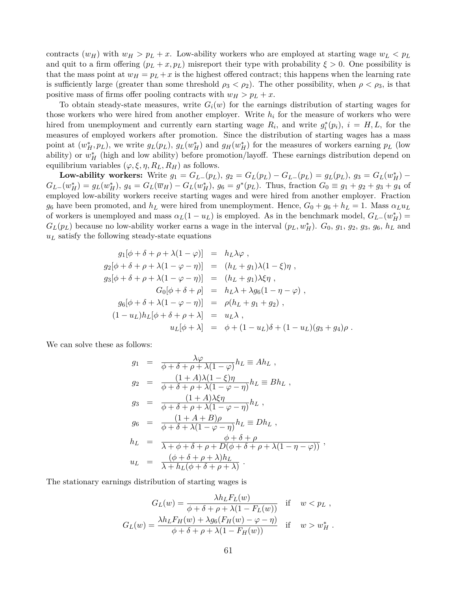contracts  $(w_H)$  with  $w_H > p_L + x$ . Low-ability workers who are employed at starting wage  $w_L < p_L$ and quit to a firm offering  $(p_L + x, p_L)$  misreport their type with probability  $\xi > 0$ . One possibility is that the mass point at  $w_H = p_L + x$  is the highest offered contract; this happens when the learning rate is sufficiently large (greater than some threshold  $\rho_3 < \rho_2$ ). The other possibility, when  $\rho < \rho_3$ , is that positive mass of firms offer pooling contracts with  $w_H > p_L + x$ .

To obtain steady-state measures, write  $G_i(w)$  for the earnings distribution of starting wages for those workers who were hired from another employer. Write *h<sup>i</sup>* for the measure of workers who were hired from unemployment and currently earn starting wage  $R_i$ , and write  $g_i^*(p_i)$ ,  $i = H, L$ , for the measures of employed workers after promotion. Since the distribution of starting wages has a mass point at  $(w_H^*, p_L)$ , we write  $g_L(p_L)$ ,  $g_L(w_H^*)$  and  $g_H(w_H^*)$  for the measures of workers earning  $p_L$  (low ability) or  $w_H^*$  (high and low ability) before promotion/layoff. These earnings distribution depend on equilibrium variables  $(\varphi, \xi, \eta, R_L, R_H)$  as follows.

**Low-ability workers:** Write  $g_1 = G_{L-}(p_L)$ ,  $g_2 = G_{L}(p_L) - G_{L-}(p_L) = g_{L}(p_L)$ ,  $g_3 = G_{L}(w_H^*) G_{L-}(w_H^*) = g_L(w_H^*), g_4 = G_L(\overline{w}_H) - G_L(w_H^*), g_6 = g^*(p_L).$  Thus, fraction  $G_0 \equiv g_1 + g_2 + g_3 + g_4$  of employed low-ability workers receive starting wages and were hired from another employer. Fraction *g*<sub>6</sub> have been promoted, and  $h_L$  were hired from unemployment. Hence,  $G_0 + g_6 + h_L = 1$ . Mass  $\alpha_L u_L$ of workers is unemployed and mass  $\alpha_L(1 - u_L)$  is employed. As in the benchmark model,  $G_{L-}(w_H^*)$  $G_L(p_L)$  because no low-ability worker earns a wage in the interval  $(p_L, w_H^*)$ .  $G_0$ ,  $g_1$ ,  $g_2$ ,  $g_3$ ,  $g_6$ ,  $h_L$  and *u<sup>L</sup>* satisfy the following steady-state equations

$$
g_1[\phi + \delta + \rho + \lambda(1 - \varphi)] = h_L \lambda \varphi,
$$
  
\n
$$
g_2[\phi + \delta + \rho + \lambda(1 - \varphi - \eta)] = (h_L + g_1)\lambda(1 - \xi)\eta,
$$
  
\n
$$
g_3[\phi + \delta + \rho + \lambda(1 - \varphi - \eta)] = (h_L + g_1)\lambda \xi \eta,
$$
  
\n
$$
G_0[\phi + \delta + \rho] = h_L \lambda + \lambda g_6(1 - \eta - \varphi),
$$
  
\n
$$
g_6[\phi + \delta + \lambda(1 - \varphi - \eta)] = \rho(h_L + g_1 + g_2),
$$
  
\n
$$
(1 - u_L)h_L[\phi + \delta + \rho + \lambda] = u_L \lambda,
$$
  
\n
$$
u_L[\phi + \lambda] = \phi + (1 - u_L)\delta + (1 - u_L)(g_3 + g_4)\rho.
$$

We can solve these as follows:

$$
g_1 = \frac{\lambda \varphi}{\phi + \delta + \rho + \lambda (1 - \varphi)} h_L \equiv Ah_L ,
$$
  
\n
$$
g_2 = \frac{(1 + A)\lambda (1 - \xi)\eta}{\phi + \delta + \rho + \lambda (1 - \varphi - \eta)} h_L \equiv Bh_L ,
$$
  
\n
$$
g_3 = \frac{(1 + A)\lambda \xi \eta}{\phi + \delta + \rho + \lambda (1 - \varphi - \eta)} h_L ,
$$
  
\n
$$
g_6 = \frac{(1 + A + B)\rho}{\phi + \delta + \lambda (1 - \varphi - \eta)} h_L \equiv Dh_L ,
$$
  
\n
$$
h_L = \frac{\phi + \delta + \rho}{\lambda + \phi + \delta + \rho + D(\phi + \delta + \rho + \lambda (1 - \eta - \varphi))} ,
$$
  
\n
$$
u_L = \frac{(\phi + \delta + \rho + \lambda)h_L}{\lambda + h_L(\phi + \delta + \rho + \lambda)} .
$$

The stationary earnings distribution of starting wages is

$$
G_L(w) = \frac{\lambda h_L F_L(w)}{\phi + \delta + \rho + \lambda (1 - F_L(w))} \quad \text{if} \quad w < p_L,
$$
\n
$$
G_L(w) = \frac{\lambda h_L F_H(w) + \lambda g_6(F_H(w) - \varphi - \eta)}{\phi + \delta + \rho + \lambda (1 - F_H(w))} \quad \text{if} \quad w > w_H^*.
$$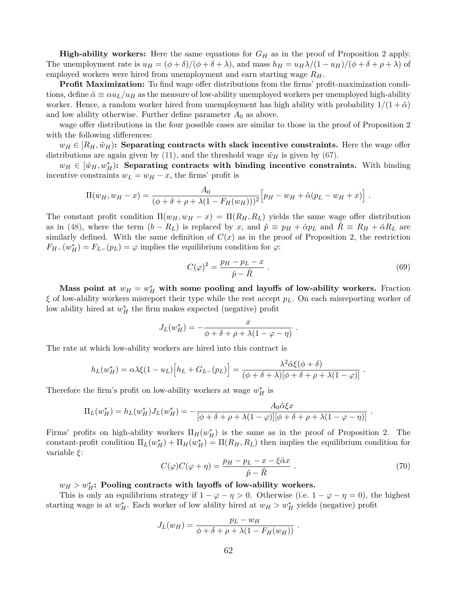**High-ability workers:** Here the same equations for *G<sup>H</sup>* as in the proof of Proposition 2 apply. The unemployment rate is  $u_H = (\phi + \delta)/(\phi + \delta + \lambda)$ , and mass  $h_H = u_H \lambda/(1 - u_H)/(\phi + \delta + \rho + \lambda)$  of employed workers were hired from unemployment and earn starting wage *RH*.

**Profit Maximization:** To find wage offer distributions from the firms' profit-maximization conditions, define  $\hat{\alpha} \equiv \alpha u_L/u_H$  as the measure of low-ability unemployed workers per unemployed high-ability worker. Hence, a random worker hired from unemployment has high ability with probability  $1/(1 + \hat{\alpha})$ and low ability otherwise. Further define parameter  $A_0$  as above.

wage offer distributions in the four possible cases are similar to those in the proof of Proposition 2 with the following differences:

 $w_H \in [R_H, \tilde{w}_H)$ : Separating contracts with slack incentive constraints. Here the wage offer distributions are again given by [\(11\),](#page-15-0) and the threshold wage  $\tilde{w}_H$  is given by [\(67\).](#page-60-2)

 $w_H \in [\tilde{w}_H, w_H^*]$ : Separating contracts with binding incentive constraints. With binding incentive constraints  $w_L = w_H - x$ , the firms' profit is

$$
\Pi(w_H, w_H - x) = \frac{A_0}{(\phi + \delta + \rho + \lambda(1 - F_H(w_H)))^2} \Big[ p_H - w_H + \hat{\alpha}(p_L - w_H + x) \Big]
$$

The constant profit condition  $\Pi(w_H, w_H - x) = \Pi(R_H, R_L)$  yields the same wage offer distribution as in [\(48\),](#page-45-1) where the term  $(b - R_L)$  is replaced by *x*, and  $\hat{p} \equiv p_H + \hat{\alpha} p_L$  and  $\hat{R} \equiv R_H + \hat{\alpha} R_L$  are similarly defined. With the same definition of  $C(x)$  as in the proof of Proposition 2, the restriction  $F_{H-}(w_H^*) = F_{L-}(p_L) = \varphi$  implies the equilibrium condition for  $\varphi$ :

<span id="page-63-0"></span>
$$
C(\varphi)^2 = \frac{p_H - p_L - x}{\hat{p} - \hat{R}} \tag{69}
$$

*.*

Mass point at  $w_H = w_H^*$  with some pooling and layoffs of low-ability workers. Fraction *ξ* of low-ability workers misreport their type while the rest accept *pL*. On each misreporting worker of low ability hired at  $w_H^*$  the firm makes expected (negative) profit

$$
J_L(w_H^*) = -\frac{x}{\phi + \delta + \rho + \lambda(1 - \varphi - \eta)}.
$$

The rate at which low-ability workers are hired into this contract is

$$
h_L(w_H^*) = \alpha \lambda \xi (1 - u_L) \Big[ h_L + G_{L-}(p_L) \Big] = \frac{\lambda^2 \hat{\alpha} \xi (\phi + \delta)}{(\phi + \delta + \lambda) [\phi + \delta + \rho + \lambda (1 - \varphi)]}.
$$

Therefore the firm's profit on low-ability workers at wage  $w_H^*$  is

$$
\Pi_L(w_H^*) = h_L(w_H^*) J_L(w_H^*) = -\frac{A_0 \hat{\alpha} \xi x}{[\phi + \delta + \rho + \lambda (1 - \varphi)][\phi + \delta + \rho + \lambda (1 - \varphi - \eta)]}.
$$

Firms' profits on high-ability workers  $\Pi_H(w_H^*)$  is the same as in the proof of Proposition 2. The constant-profit condition  $\Pi_L(w_H^*) + \Pi_H(w_H^*) = \Pi(R_H, R_L)$  then implies the equilibrium condition for variable *ξ*:

<span id="page-63-1"></span>
$$
C(\varphi)C(\varphi + \eta) = \frac{p_H - p_L - x - \xi \hat{\alpha} x}{\hat{p} - \hat{R}}.
$$
\n(70)

## $w_H > w_H^*$ : Pooling contracts with layoffs of low-ability workers.

This is only an equilibrium strategy if  $1 - \varphi - \eta > 0$ . Otherwise (i.e.  $1 - \varphi - \eta = 0$ ), the highest starting wage is at  $w_H^*$ . Each worker of low ability hired at  $w_H > w_H^*$  yields (negative) profit

$$
J_L(w_H) = \frac{p_L - w_H}{\phi + \delta + \rho + \lambda(1 - F_H(w_H))}.
$$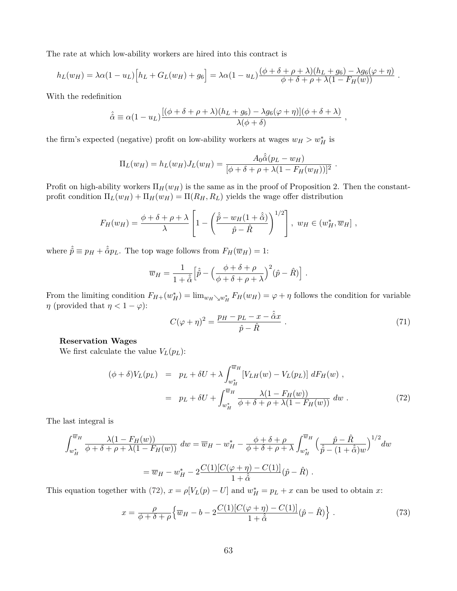The rate at which low-ability workers are hired into this contract is

$$
h_L(w_H) = \lambda \alpha (1 - u_L) \Big[ h_L + G_L(w_H) + g_6 \Big] = \lambda \alpha (1 - u_L) \frac{(\phi + \delta + \rho + \lambda)(h_L + g_6) - \lambda g_6(\varphi + \eta)}{\phi + \delta + \rho + \lambda (1 - F_H(w))}.
$$

With the redefinition

$$
\hat{\hat{\alpha}} \equiv \alpha (1 - u_L) \frac{[(\phi + \delta + \rho + \lambda)(h_L + g_6) - \lambda g_6(\varphi + \eta)](\phi + \delta + \lambda)}{\lambda (\phi + \delta)},
$$

the firm's expected (negative) profit on low-ability workers at wages  $w_H > w_H^*$  is

$$
\Pi_L(w_H) = h_L(w_H) J_L(w_H) = \frac{A_0 \hat{\alpha}(p_L - w_H)}{[\phi + \delta + \rho + \lambda(1 - F_H(w_H))]^2}.
$$

Profit on high-ability workers  $\Pi_H(w_H)$  is the same as in the proof of Proposition 2. Then the constantprofit condition  $\Pi_L(w_H) + \Pi_H(w_H) = \Pi(R_H, R_L)$  yields the wage offer distribution

$$
F_H(w_H) = \frac{\phi + \delta + \rho + \lambda}{\lambda} \left[ 1 - \left( \frac{\hat{p} - w_H(1 + \hat{\alpha})}{\hat{p} - \hat{R}} \right)^{1/2} \right], \ w_H \in (w_H^*, \overline{w}_H],
$$

where  $\hat{p} \equiv p_H + \hat{\alpha} p_L$ . The top wage follows from  $F_H(\overline{w}_H) = 1$ :

$$
\overline{w}_H = \frac{1}{1+\hat{\alpha}} \Big[ \hat{\hat{p}} - \Big( \frac{\phi + \delta + \rho}{\phi + \delta + \rho + \lambda} \Big)^2 (\hat{p} - \hat{R}) \Big] .
$$

From the limiting condition  $F_{H+}(w_H^*) = \lim_{w_H \searrow w_H^*} F_H(w_H) = \varphi + \eta$  follows the condition for variable *η* (provided that  $\eta < 1 - \varphi$ ):

<span id="page-64-2"></span>
$$
C(\varphi + \eta)^2 = \frac{p_H - p_L - x - \hat{\hat{\alpha}}x}{\hat{p} - \hat{R}} \tag{71}
$$

### **Reservation Wages**

We first calculate the value  $V_L(p_L)$ :

<span id="page-64-0"></span>
$$
(\phi + \delta) V_L(p_L) = p_L + \delta U + \lambda \int_{w_H^*}^{\overline{w}_H} [V_{LH}(w) - V_L(p_L)] \, dF_H(w) ,
$$
  

$$
= p_L + \delta U + \int_{w_H^*}^{\overline{w}_H} \frac{\lambda (1 - F_H(w))}{\phi + \delta + \rho + \lambda (1 - F_H(w))} \, dw . \tag{72}
$$

The last integral is

$$
\int_{w_H^*}^{\overline{w}_H} \frac{\lambda (1 - F_H(w))}{\phi + \delta + \rho + \lambda (1 - F_H(w))} dw = \overline{w}_H - w_H^* - \frac{\phi + \delta + \rho}{\phi + \delta + \rho + \lambda} \int_{w_H^*}^{\overline{w}_H} \left(\frac{\hat{p} - \hat{R}}{\hat{p} - (1 + \hat{\alpha})w}\right)^{1/2} dw
$$
  

$$
= \overline{w}_H - w_H^* - 2 \frac{C(1)[C(\varphi + \eta) - C(1)]}{1 + \hat{\alpha}} (\hat{p} - \hat{R}).
$$

This equation together with [\(72\),](#page-64-0)  $x = \rho[V_L(p) - U]$  and  $w_H^* = p_L + x$  can be used to obtain *x*:

<span id="page-64-1"></span>
$$
x = \frac{\rho}{\phi + \delta + \rho} \left\{ \overline{w}_H - b - 2 \frac{C(1)[C(\varphi + \eta) - C(1)]}{1 + \hat{\alpha}} (\hat{p} - \hat{R}) \right\}.
$$
 (73)